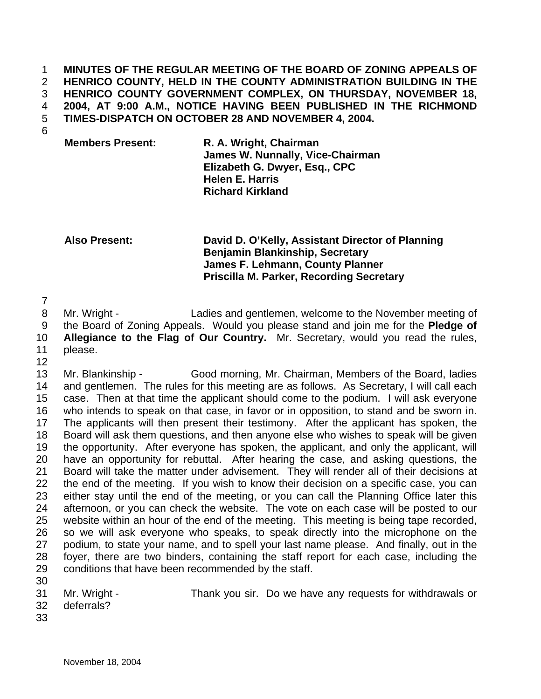**MINUTES OF THE REGULAR MEETING OF THE BOARD OF ZONING APPEALS OF HENRICO COUNTY, HELD IN THE COUNTY ADMINISTRATION BUILDING IN THE HENRICO COUNTY GOVERNMENT COMPLEX, ON THURSDAY, NOVEMBER 18, 2004, AT 9:00 A.M., NOTICE HAVING BEEN PUBLISHED IN THE RICHMOND TIMES-DISPATCH ON OCTOBER 28 AND NOVEMBER 4, 2004.**  1 2 3 4 5

- 6
- **Members Present: R. A. Wright, Chairman James W. Nunnally, Vice-Chairman Elizabeth G. Dwyer, Esq., CPC Helen E. Harris Richard Kirkland**

**Also Present: David D. O'Kelly, Assistant Director of Planning Benjamin Blankinship, Secretary James F. Lehmann, County Planner Priscilla M. Parker, Recording Secretary** 

7

8 9 10 11 Mr. Wright - Ladies and gentlemen, welcome to the November meeting of the Board of Zoning Appeals. Would you please stand and join me for the **Pledge of Allegiance to the Flag of Our Country.** Mr. Secretary, would you read the rules, please.

12

13 14 15 16 17 18 19 20 21 22 23 24 25 26 27 28 29 Mr. Blankinship - Good morning, Mr. Chairman, Members of the Board, ladies and gentlemen. The rules for this meeting are as follows. As Secretary, I will call each case. Then at that time the applicant should come to the podium. I will ask everyone who intends to speak on that case, in favor or in opposition, to stand and be sworn in. The applicants will then present their testimony. After the applicant has spoken, the Board will ask them questions, and then anyone else who wishes to speak will be given the opportunity. After everyone has spoken, the applicant, and only the applicant, will have an opportunity for rebuttal. After hearing the case, and asking questions, the Board will take the matter under advisement. They will render all of their decisions at the end of the meeting. If you wish to know their decision on a specific case, you can either stay until the end of the meeting, or you can call the Planning Office later this afternoon, or you can check the website. The vote on each case will be posted to our website within an hour of the end of the meeting. This meeting is being tape recorded, so we will ask everyone who speaks, to speak directly into the microphone on the podium, to state your name, and to spell your last name please. And finally, out in the foyer, there are two binders, containing the staff report for each case, including the conditions that have been recommended by the staff.

30 31

32 deferrals?

- Mr. Wright Thank you sir. Do we have any requests for withdrawals or
- 33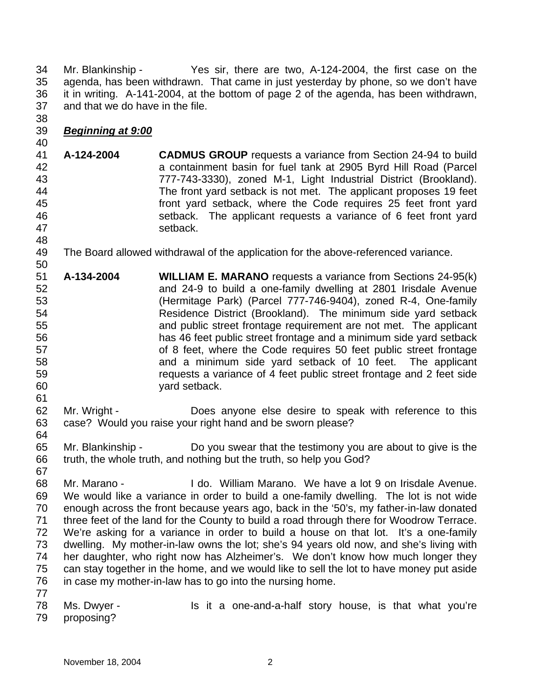34 35 36 37 38 Mr. Blankinship - Yes sir, there are two, A-124-2004, the first case on the agenda, has been withdrawn. That came in just yesterday by phone, so we don't have it in writing. A-141-2004, at the bottom of page 2 of the agenda, has been withdrawn, and that we do have in the file.

## 39 *Beginning at 9:00*

40

50

61

64

- 41 42 43 44 45 46 47 48 **A-124-2004 CADMUS GROUP** requests a variance from Section 24-94 to build a containment basin for fuel tank at 2905 Byrd Hill Road (Parcel 777-743-3330), zoned M-1, Light Industrial District (Brookland). The front yard setback is not met. The applicant proposes 19 feet front yard setback, where the Code requires 25 feet front yard setback. The applicant requests a variance of 6 feet front yard setback.
- 49 The Board allowed withdrawal of the application for the above-referenced variance.
- 51 52 53 54 55 56 57 58 59 60 **A-134-2004 WILLIAM E. MARANO** requests a variance from Sections 24-95(k) and 24-9 to build a one-family dwelling at 2801 Irisdale Avenue (Hermitage Park) (Parcel 777-746-9404), zoned R-4, One-family Residence District (Brookland). The minimum side yard setback and public street frontage requirement are not met. The applicant has 46 feet public street frontage and a minimum side yard setback of 8 feet, where the Code requires 50 feet public street frontage and a minimum side yard setback of 10 feet. The applicant requests a variance of 4 feet public street frontage and 2 feet side yard setback.
- 62 63 Mr. Wright - Does anyone else desire to speak with reference to this case? Would you raise your right hand and be sworn please?
- 65 66 Mr. Blankinship - Do you swear that the testimony you are about to give is the truth, the whole truth, and nothing but the truth, so help you God?
- 68 69 70 71 72 73 74 75 76 77 Mr. Marano - I do. William Marano. We have a lot 9 on Irisdale Avenue. We would like a variance in order to build a one-family dwelling. The lot is not wide enough across the front because years ago, back in the '50's, my father-in-law donated three feet of the land for the County to build a road through there for Woodrow Terrace. We're asking for a variance in order to build a house on that lot. It's a one-family dwelling. My mother-in-law owns the lot; she's 94 years old now, and she's living with her daughter, who right now has Alzheimer's. We don't know how much longer they can stay together in the home, and we would like to sell the lot to have money put aside in case my mother-in-law has to go into the nursing home.
- 78 79 Ms. Dwyer - Is it a one-and-a-half story house, is that what you're proposing?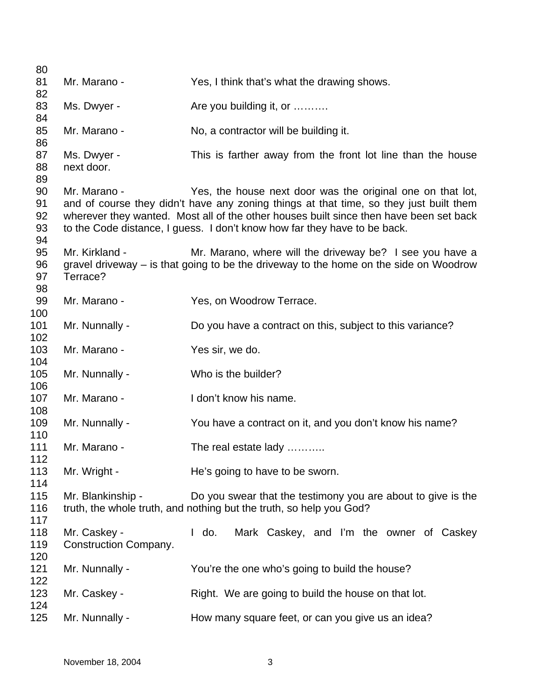| 80         |                              |                                                                                        |
|------------|------------------------------|----------------------------------------------------------------------------------------|
| 81         | Mr. Marano -                 | Yes, I think that's what the drawing shows.                                            |
| 82         |                              |                                                                                        |
| 83<br>84   | Ms. Dwyer -                  | Are you building it, or                                                                |
| 85         | Mr. Marano -                 | No, a contractor will be building it.                                                  |
| 86         |                              |                                                                                        |
| 87         | Ms. Dwyer -                  | This is farther away from the front lot line than the house                            |
| 88         | next door.                   |                                                                                        |
| 89         |                              |                                                                                        |
| 90         | Mr. Marano -                 | Yes, the house next door was the original one on that lot,                             |
| 91         |                              | and of course they didn't have any zoning things at that time, so they just built them |
| 92         |                              | wherever they wanted. Most all of the other houses built since then have been set back |
| 93         |                              | to the Code distance, I guess. I don't know how far they have to be back.              |
| 94         |                              |                                                                                        |
| 95         | Mr. Kirkland -               | Mr. Marano, where will the driveway be? I see you have a                               |
| 96         |                              | gravel driveway - is that going to be the driveway to the home on the side on Woodrow  |
| 97         | Terrace?                     |                                                                                        |
| 98         |                              |                                                                                        |
| 99         | Mr. Marano -                 | Yes, on Woodrow Terrace.                                                               |
| 100        |                              |                                                                                        |
| 101        | Mr. Nunnally -               | Do you have a contract on this, subject to this variance?                              |
| 102        |                              |                                                                                        |
| 103        | Mr. Marano -                 | Yes sir, we do.                                                                        |
| 104        |                              |                                                                                        |
| 105        | Mr. Nunnally -               | Who is the builder?                                                                    |
| 106        |                              |                                                                                        |
| 107        | Mr. Marano -                 | I don't know his name.                                                                 |
| 108        |                              |                                                                                        |
| 109        | Mr. Nunnally -               | You have a contract on it, and you don't know his name?                                |
| 110<br>111 | Mr. Marano -                 |                                                                                        |
| 112        |                              | The real estate lady                                                                   |
| 113        | Mr. Wright -                 | He's going to have to be sworn.                                                        |
| 114        |                              |                                                                                        |
| 115        | Mr. Blankinship -            | Do you swear that the testimony you are about to give is the                           |
| 116        |                              | truth, the whole truth, and nothing but the truth, so help you God?                    |
| 117        |                              |                                                                                        |
| 118        | Mr. Caskey -                 | Mark Caskey, and I'm the owner of Caskey<br>$\mathsf{I}$ do.                           |
| 119        | <b>Construction Company.</b> |                                                                                        |
| 120        |                              |                                                                                        |
| 121        | Mr. Nunnally -               | You're the one who's going to build the house?                                         |
| 122        |                              |                                                                                        |
| 123        | Mr. Caskey -                 | Right. We are going to build the house on that lot.                                    |
| 124        |                              |                                                                                        |
| 125        | Mr. Nunnally -               | How many square feet, or can you give us an idea?                                      |
|            |                              |                                                                                        |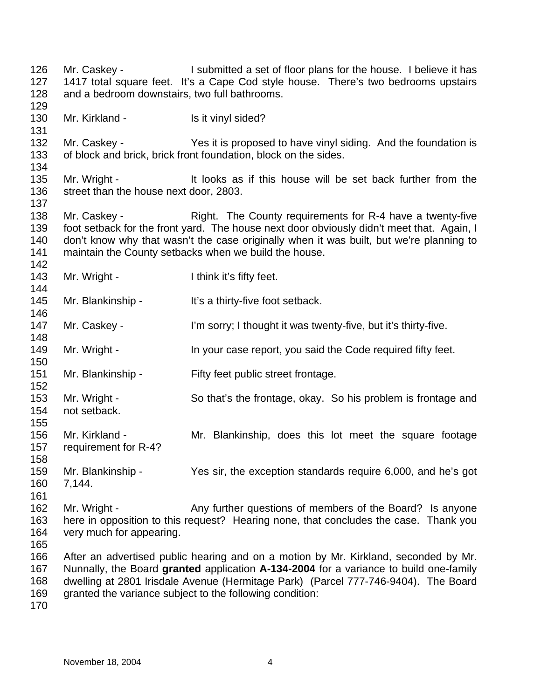126 127 128 129 130 131 132 133 134 135 136 137 138 139 140 141 142 143 144 145 146 147 148 149 150 151 152 153 154 155 156 157 158 159 160 161 162 163 164 165 166 167 168 169 170 Mr. Caskey - I submitted a set of floor plans for the house. I believe it has 1417 total square feet. It's a Cape Cod style house. There's two bedrooms upstairs and a bedroom downstairs, two full bathrooms. Mr. Kirkland - Is it vinyl sided? Mr. Caskey - The Yes it is proposed to have vinyl siding. And the foundation is of block and brick, brick front foundation, block on the sides. Mr. Wright - It looks as if this house will be set back further from the street than the house next door, 2803. Mr. Caskey - Right. The County requirements for R-4 have a twenty-five foot setback for the front yard. The house next door obviously didn't meet that. Again, I don't know why that wasn't the case originally when it was built, but we're planning to maintain the County setbacks when we build the house. Mr. Wright - Think it's fifty feet. Mr. Blankinship - It's a thirty-five foot setback. Mr. Caskey - I'm sorry; I thought it was twenty-five, but it's thirty-five. Mr. Wright - In your case report, you said the Code required fifty feet. Mr. Blankinship - Fifty feet public street frontage. Mr. Wright - So that's the frontage, okay. So his problem is frontage and not setback. Mr. Kirkland - The Mr. Blankinship, does this lot meet the square footage requirement for R-4? Mr. Blankinship - Yes sir, the exception standards require 6,000, and he's got 7,144. Mr. Wright - Any further questions of members of the Board? Is anyone here in opposition to this request? Hearing none, that concludes the case. Thank you very much for appearing. After an advertised public hearing and on a motion by Mr. Kirkland, seconded by Mr. Nunnally, the Board **granted** application **A-134-2004** for a variance to build one-family dwelling at 2801 Irisdale Avenue (Hermitage Park) (Parcel 777-746-9404). The Board granted the variance subject to the following condition: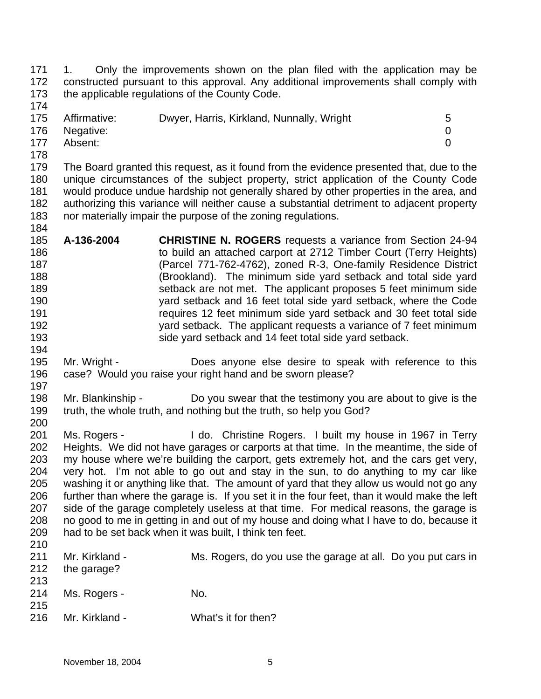171 172 173 1. Only the improvements shown on the plan filed with the application may be constructed pursuant to this approval. Any additional improvements shall comply with the applicable regulations of the County Code.

| 175 | Affirmative:  | Dwyer, Harris, Kirkland, Nunnally, Wright | 5 |
|-----|---------------|-------------------------------------------|---|
|     | 176 Negative: |                                           |   |
| 177 | Absent:       |                                           |   |

178

174

179 180 181 182 183 184 The Board granted this request, as it found from the evidence presented that, due to the unique circumstances of the subject property, strict application of the County Code would produce undue hardship not generally shared by other properties in the area, and authorizing this variance will neither cause a substantial detriment to adjacent property nor materially impair the purpose of the zoning regulations.

- 185 186 187 188 189 190 191 192 193 194 **A-136-2004 CHRISTINE N. ROGERS** requests a variance from Section 24-94 to build an attached carport at 2712 Timber Court (Terry Heights) (Parcel 771-762-4762), zoned R-3, One-family Residence District (Brookland). The minimum side yard setback and total side yard setback are not met. The applicant proposes 5 feet minimum side yard setback and 16 feet total side yard setback, where the Code requires 12 feet minimum side yard setback and 30 feet total side yard setback. The applicant requests a variance of 7 feet minimum side yard setback and 14 feet total side yard setback.
- 195 196 197 Mr. Wright - **Does anyone else desire to speak with reference to this** case? Would you raise your right hand and be sworn please?
- 198 199 200 Mr. Blankinship - Do you swear that the testimony you are about to give is the truth, the whole truth, and nothing but the truth, so help you God?
- 201 202 203 204 205 206 207 208 209 210 Ms. Rogers - I do. Christine Rogers. I built my house in 1967 in Terry Heights. We did not have garages or carports at that time. In the meantime, the side of my house where we're building the carport, gets extremely hot, and the cars get very, very hot. I'm not able to go out and stay in the sun, to do anything to my car like washing it or anything like that. The amount of yard that they allow us would not go any further than where the garage is. If you set it in the four feet, than it would make the left side of the garage completely useless at that time. For medical reasons, the garage is no good to me in getting in and out of my house and doing what I have to do, because it had to be set back when it was built, I think ten feet.

| 211 | Mr. Kirkland - | Ms. Rogers, do you use the garage at all. Do you put cars in |
|-----|----------------|--------------------------------------------------------------|
| 212 | the garage?    |                                                              |
| 213 |                |                                                              |
| 214 | Ms. Rogers -   | No.                                                          |
| 215 |                |                                                              |
| 216 | Mr. Kirkland - | What's it for then?                                          |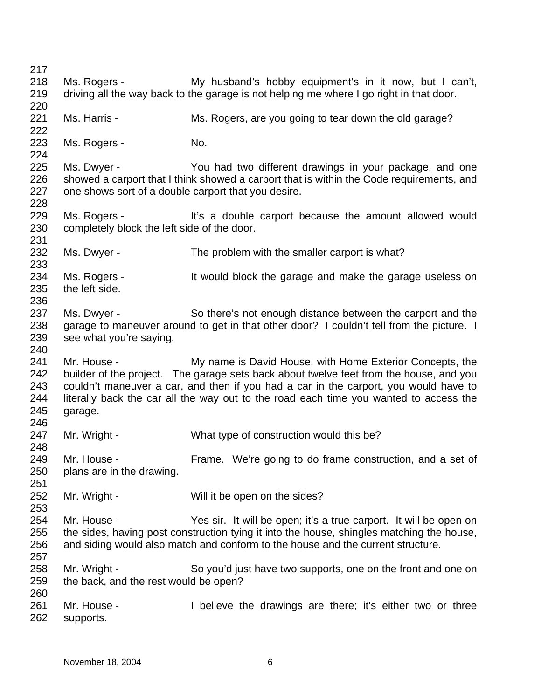| 217 |                                                     |                                                                                           |
|-----|-----------------------------------------------------|-------------------------------------------------------------------------------------------|
| 218 | Ms. Rogers -                                        | My husband's hobby equipment's in it now, but I can't,                                    |
| 219 |                                                     | driving all the way back to the garage is not helping me where I go right in that door.   |
| 220 |                                                     |                                                                                           |
| 221 | Ms. Harris -                                        | Ms. Rogers, are you going to tear down the old garage?                                    |
| 222 |                                                     |                                                                                           |
| 223 | Ms. Rogers -                                        | No.                                                                                       |
| 224 |                                                     |                                                                                           |
| 225 | Ms. Dwyer -                                         | You had two different drawings in your package, and one                                   |
| 226 |                                                     | showed a carport that I think showed a carport that is within the Code requirements, and  |
| 227 | one shows sort of a double carport that you desire. |                                                                                           |
| 228 |                                                     |                                                                                           |
| 229 | Ms. Rogers -                                        | It's a double carport because the amount allowed would                                    |
| 230 | completely block the left side of the door.         |                                                                                           |
| 231 |                                                     |                                                                                           |
| 232 | Ms. Dwyer -                                         | The problem with the smaller carport is what?                                             |
| 233 |                                                     |                                                                                           |
| 234 | Ms. Rogers -                                        | It would block the garage and make the garage useless on                                  |
| 235 | the left side.                                      |                                                                                           |
| 236 |                                                     |                                                                                           |
| 237 | Ms. Dwyer -                                         | So there's not enough distance between the carport and the                                |
| 238 |                                                     | garage to maneuver around to get in that other door? I couldn't tell from the picture. I  |
| 239 | see what you're saying.                             |                                                                                           |
| 240 |                                                     |                                                                                           |
| 241 | Mr. House -                                         | My name is David House, with Home Exterior Concepts, the                                  |
| 242 |                                                     | builder of the project. The garage sets back about twelve feet from the house, and you    |
| 243 |                                                     | couldn't maneuver a car, and then if you had a car in the carport, you would have to      |
| 244 |                                                     | literally back the car all the way out to the road each time you wanted to access the     |
| 245 | garage.                                             |                                                                                           |
| 246 |                                                     |                                                                                           |
| 247 | Mr. Wright -                                        | What type of construction would this be?                                                  |
| 248 |                                                     |                                                                                           |
| 249 | Mr. House -                                         | Frame. We're going to do frame construction, and a set of                                 |
| 250 | plans are in the drawing.                           |                                                                                           |
| 251 |                                                     |                                                                                           |
| 252 | Mr. Wright -                                        | Will it be open on the sides?                                                             |
| 253 |                                                     |                                                                                           |
| 254 | Mr. House -                                         | Yes sir. It will be open; it's a true carport. It will be open on                         |
| 255 |                                                     | the sides, having post construction tying it into the house, shingles matching the house, |
| 256 |                                                     | and siding would also match and conform to the house and the current structure.           |
| 257 |                                                     |                                                                                           |
| 258 | Mr. Wright -                                        | So you'd just have two supports, one on the front and one on                              |
| 259 | the back, and the rest would be open?               |                                                                                           |
| 260 |                                                     |                                                                                           |
| 261 | Mr. House -                                         | I believe the drawings are there; it's either two or three                                |
| 262 | supports.                                           |                                                                                           |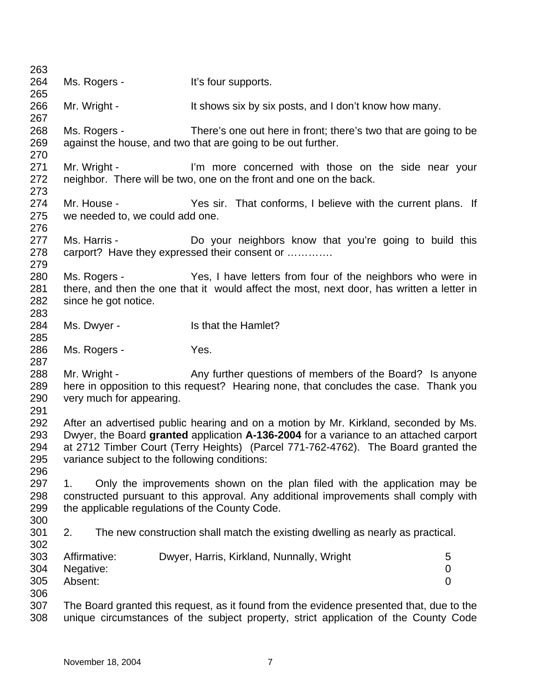| 263                      |                                                |                                                                                                                                 |                |
|--------------------------|------------------------------------------------|---------------------------------------------------------------------------------------------------------------------------------|----------------|
| 264                      | Ms. Rogers -                                   | It's four supports.                                                                                                             |                |
| 265                      |                                                |                                                                                                                                 |                |
| 266<br>267               | Mr. Wright -                                   | It shows six by six posts, and I don't know how many.                                                                           |                |
| 268<br>269<br>270        | Ms. Rogers -                                   | There's one out here in front; there's two that are going to be<br>against the house, and two that are going to be out further. |                |
| 271<br>272               | Mr. Wright -                                   | I'm more concerned with those on the side near your<br>neighbor. There will be two, one on the front and one on the back.       |                |
| 273<br>274<br>275<br>276 | Mr. House -<br>we needed to, we could add one. | Yes sir. That conforms, I believe with the current plans. If                                                                    |                |
| 277<br>278               | Ms. Harris -                                   | Do your neighbors know that you're going to build this<br>carport? Have they expressed their consent or                         |                |
| 279<br>280               | Ms. Rogers -                                   | Yes, I have letters from four of the neighbors who were in                                                                      |                |
| 281                      |                                                | there, and then the one that it would affect the most, next door, has written a letter in                                       |                |
| 282                      |                                                |                                                                                                                                 |                |
|                          | since he got notice.                           |                                                                                                                                 |                |
| 283                      |                                                |                                                                                                                                 |                |
| 284<br>285               | Ms. Dwyer -                                    | Is that the Hamlet?                                                                                                             |                |
| 286                      | Ms. Rogers -                                   | Yes.                                                                                                                            |                |
| 287                      |                                                |                                                                                                                                 |                |
| 288                      | Mr. Wright -                                   | Any further questions of members of the Board? Is anyone                                                                        |                |
| 289                      |                                                | here in opposition to this request? Hearing none, that concludes the case. Thank you                                            |                |
| 290<br>291               | very much for appearing.                       |                                                                                                                                 |                |
| 292                      |                                                | After an advertised public hearing and on a motion by Mr. Kirkland, seconded by Ms.                                             |                |
| 293                      |                                                | Dwyer, the Board granted application A-136-2004 for a variance to an attached carport                                           |                |
| 294                      |                                                | at 2712 Timber Court (Terry Heights) (Parcel 771-762-4762). The Board granted the                                               |                |
| 295                      | variance subject to the following conditions:  |                                                                                                                                 |                |
| 296                      |                                                |                                                                                                                                 |                |
| 297                      | 1.                                             | Only the improvements shown on the plan filed with the application may be                                                       |                |
| 298                      |                                                | constructed pursuant to this approval. Any additional improvements shall comply with                                            |                |
| 299                      | the applicable regulations of the County Code. |                                                                                                                                 |                |
| 300                      |                                                |                                                                                                                                 |                |
| 301<br>302               | 2.                                             | The new construction shall match the existing dwelling as nearly as practical.                                                  |                |
| 303                      | Affirmative:                                   | Dwyer, Harris, Kirkland, Nunnally, Wright                                                                                       | 5              |
| 304                      | Negative:                                      |                                                                                                                                 | 0              |
| 305                      | Absent:                                        |                                                                                                                                 | $\overline{0}$ |
| 306                      |                                                |                                                                                                                                 |                |
| 307                      |                                                | The Board granted this request, as it found from the evidence presented that, due to the                                        |                |
| 308                      |                                                | unique circumstances of the subject property, strict application of the County Code                                             |                |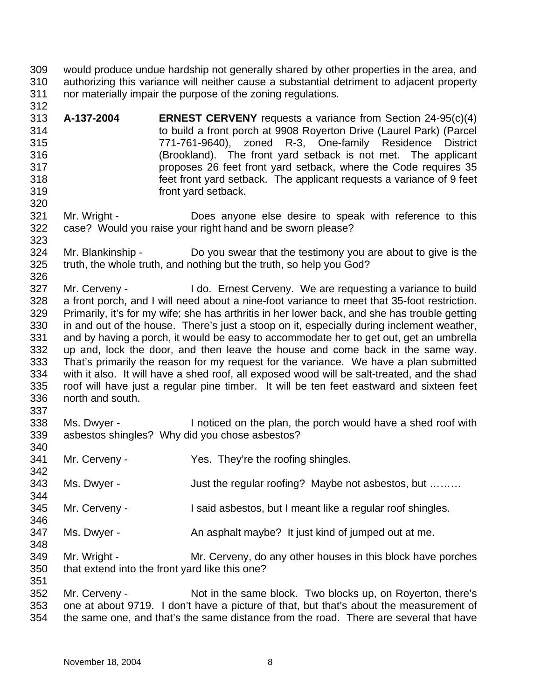- 309 310 311 would produce undue hardship not generally shared by other properties in the area, and authorizing this variance will neither cause a substantial detriment to adjacent property nor materially impair the purpose of the zoning regulations.
- 313 314 315 316 317 318 319 320 **A-137-2004 ERNEST CERVENY** requests a variance from Section 24-95(c)(4) to build a front porch at 9908 Royerton Drive (Laurel Park) (Parcel 771-761-9640), zoned R-3, One-family Residence District (Brookland). The front yard setback is not met. The applicant proposes 26 feet front yard setback, where the Code requires 35 feet front yard setback. The applicant requests a variance of 9 feet front yard setback.
- 321 322 323 Mr. Wright - Does anyone else desire to speak with reference to this case? Would you raise your right hand and be sworn please?
- 324 325 Mr. Blankinship - Do you swear that the testimony you are about to give is the truth, the whole truth, and nothing but the truth, so help you God?
- 326 327 328 329 330 331 332 333 334 335 336 337 Mr. Cerveny - I do. Ernest Cerveny. We are requesting a variance to build a front porch, and I will need about a nine-foot variance to meet that 35-foot restriction. Primarily, it's for my wife; she has arthritis in her lower back, and she has trouble getting in and out of the house. There's just a stoop on it, especially during inclement weather, and by having a porch, it would be easy to accommodate her to get out, get an umbrella up and, lock the door, and then leave the house and come back in the same way. That's primarily the reason for my request for the variance. We have a plan submitted with it also. It will have a shed roof, all exposed wood will be salt-treated, and the shad roof will have just a regular pine timber. It will be ten feet eastward and sixteen feet north and south.
- 338 339 340 Ms. Dwyer - Inoticed on the plan, the porch would have a shed roof with asbestos shingles? Why did you chose asbestos?
- 341 Mr. Cerveny - They're the roofing shingles.
- 343 Ms. Dwyer - Just the regular roofing? Maybe not asbestos, but .........
- 345 Mr. Cerveny - I said asbestos, but I meant like a regular roof shingles.
- 347 Ms. Dwyer - An asphalt maybe? It just kind of jumped out at me.
- 349 350 Mr. Wright - **Mr. Cerveny, do any other houses in this block have porches** that extend into the front yard like this one?
- 352 353 354 Mr. Cerveny - Not in the same block. Two blocks up, on Royerton, there's one at about 9719. I don't have a picture of that, but that's about the measurement of the same one, and that's the same distance from the road. There are several that have

342

344

346

348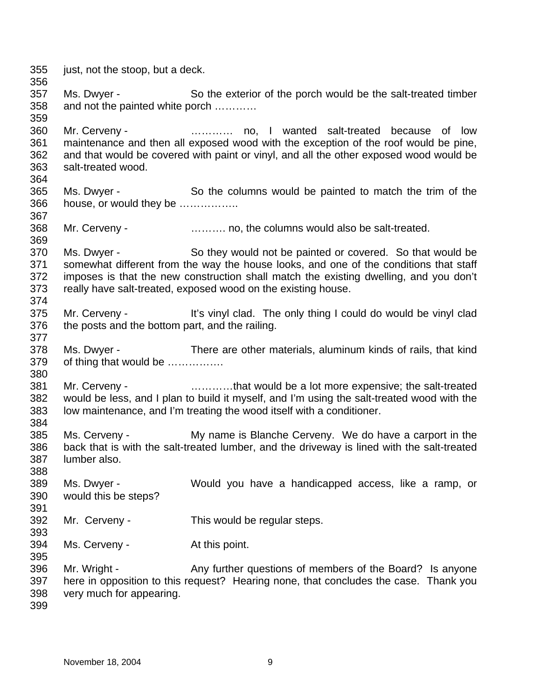355 356 357 358 359 360 361 362 363 364 365 366 367 368 369 370 371 372 373 374 375 376 377 378 379 380 381 382 383 384 385 386 387 388 389 390 391 392 393 394 395 396 397 398 399 just, not the stoop, but a deck. Ms. Dwyer - So the exterior of the porch would be the salt-treated timber and not the painted white porch ………… Mr. Cerveny - **Example 20** metal constant and the wanted salt-treated because of low maintenance and then all exposed wood with the exception of the roof would be pine, and that would be covered with paint or vinyl, and all the other exposed wood would be salt-treated wood. Ms. Dwyer - So the columns would be painted to match the trim of the house, or would they be …………….. Mr. Cerveny - ………. no, the columns would also be salt-treated. Ms. Dwyer - So they would not be painted or covered. So that would be somewhat different from the way the house looks, and one of the conditions that staff imposes is that the new construction shall match the existing dwelling, and you don't really have salt-treated, exposed wood on the existing house. Mr. Cerveny - It's vinyl clad. The only thing I could do would be vinyl clad the posts and the bottom part, and the railing. Ms. Dwyer - There are other materials, aluminum kinds of rails, that kind of thing that would be ……………. Mr. Cerveny - **Example 20** ............that would be a lot more expensive; the salt-treated would be less, and I plan to build it myself, and I'm using the salt-treated wood with the low maintenance, and I'm treating the wood itself with a conditioner. Ms. Cerveny - My name is Blanche Cerveny. We do have a carport in the back that is with the salt-treated lumber, and the driveway is lined with the salt-treated lumber also. Ms. Dwyer - Would you have a handicapped access, like a ramp, or would this be steps? Mr. Cerveny - This would be regular steps. Ms. Cerveny - The At this point. Mr. Wright - Any further questions of members of the Board? Is anyone here in opposition to this request? Hearing none, that concludes the case. Thank you very much for appearing.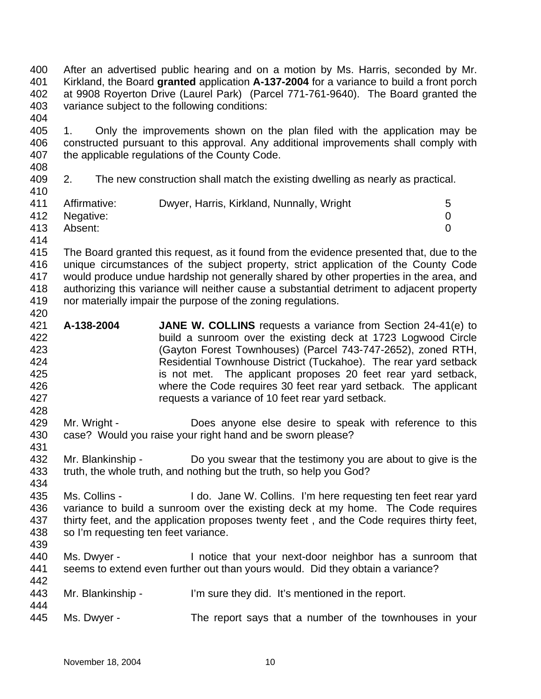400 401 402 403 404 After an advertised public hearing and on a motion by Ms. Harris, seconded by Mr. Kirkland, the Board **granted** application **A-137-2004** for a variance to build a front porch at 9908 Royerton Drive (Laurel Park) (Parcel 771-761-9640). The Board granted the variance subject to the following conditions:

405 406 407 408 1. Only the improvements shown on the plan filed with the application may be constructed pursuant to this approval. Any additional improvements shall comply with the applicable regulations of the County Code.

409 2. The new construction shall match the existing dwelling as nearly as practical.

| 410 |               |                                           |  |
|-----|---------------|-------------------------------------------|--|
| 411 | Affirmative:  | Dwyer, Harris, Kirkland, Nunnally, Wright |  |
|     | 412 Negative: |                                           |  |
| 413 | Absent:       |                                           |  |

414

420

428

415 416 417 418 419 The Board granted this request, as it found from the evidence presented that, due to the unique circumstances of the subject property, strict application of the County Code would produce undue hardship not generally shared by other properties in the area, and authorizing this variance will neither cause a substantial detriment to adjacent property nor materially impair the purpose of the zoning regulations.

- 421 422 423 424 425 426 427 **A-138-2004 JANE W. COLLINS** requests a variance from Section 24-41(e) to build a sunroom over the existing deck at 1723 Logwood Circle (Gayton Forest Townhouses) (Parcel 743-747-2652), zoned RTH, Residential Townhouse District (Tuckahoe). The rear yard setback is not met. The applicant proposes 20 feet rear yard setback, where the Code requires 30 feet rear yard setback. The applicant requests a variance of 10 feet rear yard setback.
- 429 430 431 Mr. Wright - **Does anyone else desire to speak with reference to this** case? Would you raise your right hand and be sworn please?
- 432 433 434 Mr. Blankinship - Do you swear that the testimony you are about to give is the truth, the whole truth, and nothing but the truth, so help you God?
- 435 436 437 438 Ms. Collins - I do. Jane W. Collins. I'm here requesting ten feet rear yard variance to build a sunroom over the existing deck at my home. The Code requires thirty feet, and the application proposes twenty feet , and the Code requires thirty feet, so I'm requesting ten feet variance.
- 439

- 440 441 442 Ms. Dwyer - Inotice that your next-door neighbor has a sunroom that seems to extend even further out than yours would. Did they obtain a variance?
- 443 Mr. Blankinship - I'm sure they did. It's mentioned in the report.
- 445 Ms. Dwyer - The report says that a number of the townhouses in your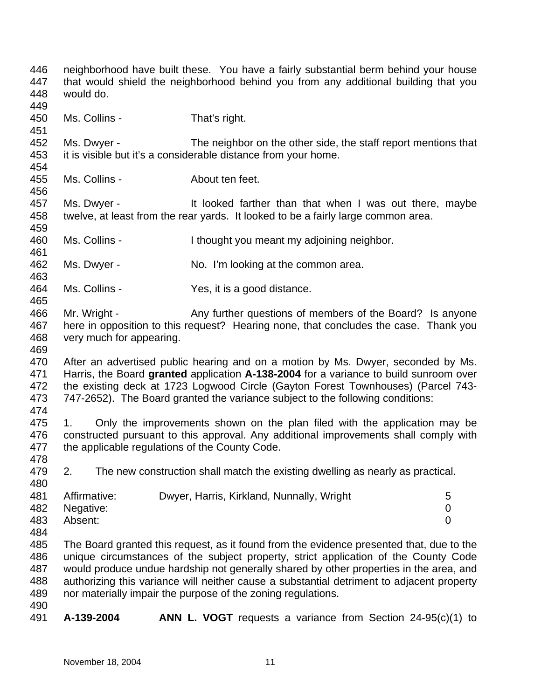446 447 448 449 450 451 452 453 454 455 456 457 458 459 460 461 462 463 464 465 466 467 468 469 470 471 472 473 474 475 476 477 478 479 480 481 482 483 484 485 486 487 488 489 490 491 neighborhood have built these. You have a fairly substantial berm behind your house that would shield the neighborhood behind you from any additional building that you would do. Ms. Collins - That's right. Ms. Dwyer - The neighbor on the other side, the staff report mentions that it is visible but it's a considerable distance from your home. Ms. Collins - About ten feet. Ms. Dwyer - It looked farther than that when I was out there, maybe twelve, at least from the rear yards. It looked to be a fairly large common area. Ms. Collins - I thought you meant my adjoining neighbor. Ms. Dwyer - No. I'm looking at the common area. Ms. Collins - Yes, it is a good distance. Mr. Wright - Any further questions of members of the Board? Is anyone here in opposition to this request? Hearing none, that concludes the case. Thank you very much for appearing. After an advertised public hearing and on a motion by Ms. Dwyer, seconded by Ms. Harris, the Board **granted** application **A-138-2004** for a variance to build sunroom over the existing deck at 1723 Logwood Circle (Gayton Forest Townhouses) (Parcel 743- 747-2652). The Board granted the variance subject to the following conditions: 1. Only the improvements shown on the plan filed with the application may be constructed pursuant to this approval. Any additional improvements shall comply with the applicable regulations of the County Code. 2. The new construction shall match the existing dwelling as nearly as practical. Affirmative: Dwyer, Harris, Kirkland, Nunnally, Wright 5 Negative: 0 Absent: 0 The Board granted this request, as it found from the evidence presented that, due to the unique circumstances of the subject property, strict application of the County Code would produce undue hardship not generally shared by other properties in the area, and authorizing this variance will neither cause a substantial detriment to adjacent property nor materially impair the purpose of the zoning regulations. **A-139-2004 ANN L. VOGT** requests a variance from Section 24-95(c)(1) to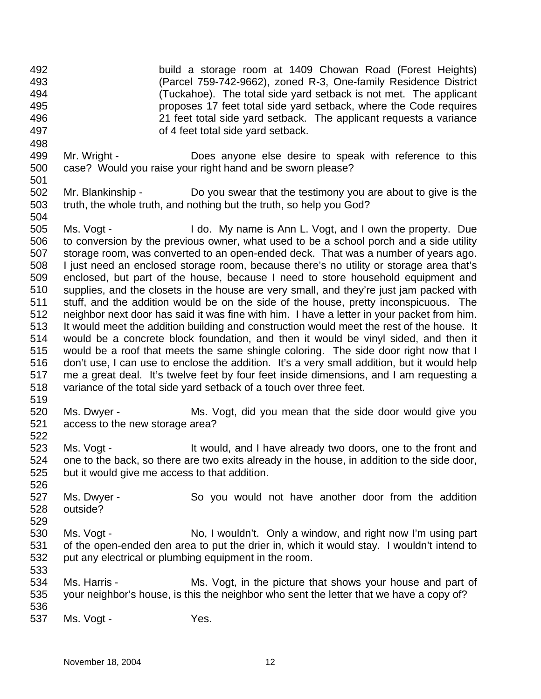- 492 493 494 495 496 497 build a storage room at 1409 Chowan Road (Forest Heights) (Parcel 759-742-9662), zoned R-3, One-family Residence District (Tuckahoe). The total side yard setback is not met. The applicant proposes 17 feet total side yard setback, where the Code requires 21 feet total side yard setback. The applicant requests a variance of 4 feet total side yard setback.
- 499 500 501 Mr. Wright - **Does anyone else desire to speak with reference to this** case? Would you raise your right hand and be sworn please?
- 502 503 504 Mr. Blankinship - Do you swear that the testimony you are about to give is the truth, the whole truth, and nothing but the truth, so help you God?
- 505 506 507 508 509 510 511 512 513 514 515 516 517 518 519 Ms. Vogt - I do. My name is Ann L. Vogt, and I own the property. Due to conversion by the previous owner, what used to be a school porch and a side utility storage room, was converted to an open-ended deck. That was a number of years ago. I just need an enclosed storage room, because there's no utility or storage area that's enclosed, but part of the house, because I need to store household equipment and supplies, and the closets in the house are very small, and they're just jam packed with stuff, and the addition would be on the side of the house, pretty inconspicuous. The neighbor next door has said it was fine with him. I have a letter in your packet from him. It would meet the addition building and construction would meet the rest of the house. It would be a concrete block foundation, and then it would be vinyl sided, and then it would be a roof that meets the same shingle coloring. The side door right now that I don't use, I can use to enclose the addition. It's a very small addition, but it would help me a great deal. It's twelve feet by four feet inside dimensions, and I am requesting a variance of the total side yard setback of a touch over three feet.
- 520 521 Ms. Dwyer - Ms. Vogt, did you mean that the side door would give you access to the new storage area?
- 523 524 525 Ms. Vogt - It would, and I have already two doors, one to the front and one to the back, so there are two exits already in the house, in addition to the side door, but it would give me access to that addition.
- 526 527 528 Ms. Dwyer - So you would not have another door from the addition outside?
- 530 531 532 Ms. Vogt - No, I wouldn't. Only a window, and right now I'm using part of the open-ended den area to put the drier in, which it would stay. I wouldn't intend to put any electrical or plumbing equipment in the room.
- 534 535 536 Ms. Harris - Ms. Vogt, in the picture that shows your house and part of your neighbor's house, is this the neighbor who sent the letter that we have a copy of?
- 537 Ms. Vogt - Yes.

522

529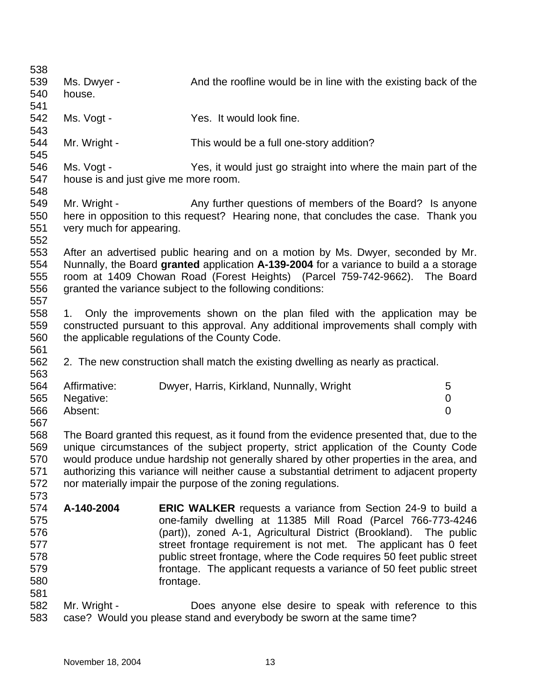| Ms. Dwyer -<br>house.<br>Ms. Vogt -<br>Mr. Wright - | And the roofline would be in line with the existing back of the<br>Yes. It would look fine.<br>This would be a full one-story addition? |                                                                                                                                                                                                                                                                                                                                                                                                                                                                                                                                                                                                                                                                                                                                                                                                                                                                                                                                                                                                                                                                                                                                                                                                                                                                                                                                                  |
|-----------------------------------------------------|-----------------------------------------------------------------------------------------------------------------------------------------|--------------------------------------------------------------------------------------------------------------------------------------------------------------------------------------------------------------------------------------------------------------------------------------------------------------------------------------------------------------------------------------------------------------------------------------------------------------------------------------------------------------------------------------------------------------------------------------------------------------------------------------------------------------------------------------------------------------------------------------------------------------------------------------------------------------------------------------------------------------------------------------------------------------------------------------------------------------------------------------------------------------------------------------------------------------------------------------------------------------------------------------------------------------------------------------------------------------------------------------------------------------------------------------------------------------------------------------------------|
|                                                     |                                                                                                                                         |                                                                                                                                                                                                                                                                                                                                                                                                                                                                                                                                                                                                                                                                                                                                                                                                                                                                                                                                                                                                                                                                                                                                                                                                                                                                                                                                                  |
|                                                     |                                                                                                                                         |                                                                                                                                                                                                                                                                                                                                                                                                                                                                                                                                                                                                                                                                                                                                                                                                                                                                                                                                                                                                                                                                                                                                                                                                                                                                                                                                                  |
|                                                     |                                                                                                                                         |                                                                                                                                                                                                                                                                                                                                                                                                                                                                                                                                                                                                                                                                                                                                                                                                                                                                                                                                                                                                                                                                                                                                                                                                                                                                                                                                                  |
|                                                     |                                                                                                                                         |                                                                                                                                                                                                                                                                                                                                                                                                                                                                                                                                                                                                                                                                                                                                                                                                                                                                                                                                                                                                                                                                                                                                                                                                                                                                                                                                                  |
|                                                     |                                                                                                                                         |                                                                                                                                                                                                                                                                                                                                                                                                                                                                                                                                                                                                                                                                                                                                                                                                                                                                                                                                                                                                                                                                                                                                                                                                                                                                                                                                                  |
|                                                     |                                                                                                                                         |                                                                                                                                                                                                                                                                                                                                                                                                                                                                                                                                                                                                                                                                                                                                                                                                                                                                                                                                                                                                                                                                                                                                                                                                                                                                                                                                                  |
|                                                     |                                                                                                                                         |                                                                                                                                                                                                                                                                                                                                                                                                                                                                                                                                                                                                                                                                                                                                                                                                                                                                                                                                                                                                                                                                                                                                                                                                                                                                                                                                                  |
| Ms. Vogt -                                          | Yes, it would just go straight into where the main part of the                                                                          |                                                                                                                                                                                                                                                                                                                                                                                                                                                                                                                                                                                                                                                                                                                                                                                                                                                                                                                                                                                                                                                                                                                                                                                                                                                                                                                                                  |
|                                                     |                                                                                                                                         |                                                                                                                                                                                                                                                                                                                                                                                                                                                                                                                                                                                                                                                                                                                                                                                                                                                                                                                                                                                                                                                                                                                                                                                                                                                                                                                                                  |
|                                                     |                                                                                                                                         |                                                                                                                                                                                                                                                                                                                                                                                                                                                                                                                                                                                                                                                                                                                                                                                                                                                                                                                                                                                                                                                                                                                                                                                                                                                                                                                                                  |
|                                                     |                                                                                                                                         |                                                                                                                                                                                                                                                                                                                                                                                                                                                                                                                                                                                                                                                                                                                                                                                                                                                                                                                                                                                                                                                                                                                                                                                                                                                                                                                                                  |
|                                                     |                                                                                                                                         |                                                                                                                                                                                                                                                                                                                                                                                                                                                                                                                                                                                                                                                                                                                                                                                                                                                                                                                                                                                                                                                                                                                                                                                                                                                                                                                                                  |
|                                                     |                                                                                                                                         |                                                                                                                                                                                                                                                                                                                                                                                                                                                                                                                                                                                                                                                                                                                                                                                                                                                                                                                                                                                                                                                                                                                                                                                                                                                                                                                                                  |
|                                                     |                                                                                                                                         |                                                                                                                                                                                                                                                                                                                                                                                                                                                                                                                                                                                                                                                                                                                                                                                                                                                                                                                                                                                                                                                                                                                                                                                                                                                                                                                                                  |
|                                                     |                                                                                                                                         |                                                                                                                                                                                                                                                                                                                                                                                                                                                                                                                                                                                                                                                                                                                                                                                                                                                                                                                                                                                                                                                                                                                                                                                                                                                                                                                                                  |
|                                                     |                                                                                                                                         |                                                                                                                                                                                                                                                                                                                                                                                                                                                                                                                                                                                                                                                                                                                                                                                                                                                                                                                                                                                                                                                                                                                                                                                                                                                                                                                                                  |
|                                                     |                                                                                                                                         |                                                                                                                                                                                                                                                                                                                                                                                                                                                                                                                                                                                                                                                                                                                                                                                                                                                                                                                                                                                                                                                                                                                                                                                                                                                                                                                                                  |
|                                                     |                                                                                                                                         |                                                                                                                                                                                                                                                                                                                                                                                                                                                                                                                                                                                                                                                                                                                                                                                                                                                                                                                                                                                                                                                                                                                                                                                                                                                                                                                                                  |
|                                                     |                                                                                                                                         |                                                                                                                                                                                                                                                                                                                                                                                                                                                                                                                                                                                                                                                                                                                                                                                                                                                                                                                                                                                                                                                                                                                                                                                                                                                                                                                                                  |
|                                                     |                                                                                                                                         |                                                                                                                                                                                                                                                                                                                                                                                                                                                                                                                                                                                                                                                                                                                                                                                                                                                                                                                                                                                                                                                                                                                                                                                                                                                                                                                                                  |
|                                                     |                                                                                                                                         |                                                                                                                                                                                                                                                                                                                                                                                                                                                                                                                                                                                                                                                                                                                                                                                                                                                                                                                                                                                                                                                                                                                                                                                                                                                                                                                                                  |
|                                                     |                                                                                                                                         |                                                                                                                                                                                                                                                                                                                                                                                                                                                                                                                                                                                                                                                                                                                                                                                                                                                                                                                                                                                                                                                                                                                                                                                                                                                                                                                                                  |
|                                                     |                                                                                                                                         |                                                                                                                                                                                                                                                                                                                                                                                                                                                                                                                                                                                                                                                                                                                                                                                                                                                                                                                                                                                                                                                                                                                                                                                                                                                                                                                                                  |
|                                                     |                                                                                                                                         |                                                                                                                                                                                                                                                                                                                                                                                                                                                                                                                                                                                                                                                                                                                                                                                                                                                                                                                                                                                                                                                                                                                                                                                                                                                                                                                                                  |
|                                                     |                                                                                                                                         |                                                                                                                                                                                                                                                                                                                                                                                                                                                                                                                                                                                                                                                                                                                                                                                                                                                                                                                                                                                                                                                                                                                                                                                                                                                                                                                                                  |
|                                                     |                                                                                                                                         |                                                                                                                                                                                                                                                                                                                                                                                                                                                                                                                                                                                                                                                                                                                                                                                                                                                                                                                                                                                                                                                                                                                                                                                                                                                                                                                                                  |
|                                                     |                                                                                                                                         | 5                                                                                                                                                                                                                                                                                                                                                                                                                                                                                                                                                                                                                                                                                                                                                                                                                                                                                                                                                                                                                                                                                                                                                                                                                                                                                                                                                |
|                                                     |                                                                                                                                         | 0                                                                                                                                                                                                                                                                                                                                                                                                                                                                                                                                                                                                                                                                                                                                                                                                                                                                                                                                                                                                                                                                                                                                                                                                                                                                                                                                                |
|                                                     |                                                                                                                                         | $\overline{0}$                                                                                                                                                                                                                                                                                                                                                                                                                                                                                                                                                                                                                                                                                                                                                                                                                                                                                                                                                                                                                                                                                                                                                                                                                                                                                                                                   |
|                                                     |                                                                                                                                         |                                                                                                                                                                                                                                                                                                                                                                                                                                                                                                                                                                                                                                                                                                                                                                                                                                                                                                                                                                                                                                                                                                                                                                                                                                                                                                                                                  |
|                                                     |                                                                                                                                         |                                                                                                                                                                                                                                                                                                                                                                                                                                                                                                                                                                                                                                                                                                                                                                                                                                                                                                                                                                                                                                                                                                                                                                                                                                                                                                                                                  |
|                                                     |                                                                                                                                         |                                                                                                                                                                                                                                                                                                                                                                                                                                                                                                                                                                                                                                                                                                                                                                                                                                                                                                                                                                                                                                                                                                                                                                                                                                                                                                                                                  |
|                                                     |                                                                                                                                         |                                                                                                                                                                                                                                                                                                                                                                                                                                                                                                                                                                                                                                                                                                                                                                                                                                                                                                                                                                                                                                                                                                                                                                                                                                                                                                                                                  |
|                                                     |                                                                                                                                         |                                                                                                                                                                                                                                                                                                                                                                                                                                                                                                                                                                                                                                                                                                                                                                                                                                                                                                                                                                                                                                                                                                                                                                                                                                                                                                                                                  |
|                                                     |                                                                                                                                         |                                                                                                                                                                                                                                                                                                                                                                                                                                                                                                                                                                                                                                                                                                                                                                                                                                                                                                                                                                                                                                                                                                                                                                                                                                                                                                                                                  |
|                                                     |                                                                                                                                         |                                                                                                                                                                                                                                                                                                                                                                                                                                                                                                                                                                                                                                                                                                                                                                                                                                                                                                                                                                                                                                                                                                                                                                                                                                                                                                                                                  |
| A-140-2004                                          | <b>ERIC WALKER</b> requests a variance from Section 24-9 to build a                                                                     |                                                                                                                                                                                                                                                                                                                                                                                                                                                                                                                                                                                                                                                                                                                                                                                                                                                                                                                                                                                                                                                                                                                                                                                                                                                                                                                                                  |
|                                                     | one-family dwelling at 11385 Mill Road (Parcel 766-773-4246                                                                             |                                                                                                                                                                                                                                                                                                                                                                                                                                                                                                                                                                                                                                                                                                                                                                                                                                                                                                                                                                                                                                                                                                                                                                                                                                                                                                                                                  |
|                                                     |                                                                                                                                         |                                                                                                                                                                                                                                                                                                                                                                                                                                                                                                                                                                                                                                                                                                                                                                                                                                                                                                                                                                                                                                                                                                                                                                                                                                                                                                                                                  |
|                                                     |                                                                                                                                         |                                                                                                                                                                                                                                                                                                                                                                                                                                                                                                                                                                                                                                                                                                                                                                                                                                                                                                                                                                                                                                                                                                                                                                                                                                                                                                                                                  |
|                                                     | (part)), zoned A-1, Agricultural District (Brookland). The public                                                                       |                                                                                                                                                                                                                                                                                                                                                                                                                                                                                                                                                                                                                                                                                                                                                                                                                                                                                                                                                                                                                                                                                                                                                                                                                                                                                                                                                  |
|                                                     | street frontage requirement is not met. The applicant has 0 feet                                                                        |                                                                                                                                                                                                                                                                                                                                                                                                                                                                                                                                                                                                                                                                                                                                                                                                                                                                                                                                                                                                                                                                                                                                                                                                                                                                                                                                                  |
|                                                     | public street frontage, where the Code requires 50 feet public street                                                                   |                                                                                                                                                                                                                                                                                                                                                                                                                                                                                                                                                                                                                                                                                                                                                                                                                                                                                                                                                                                                                                                                                                                                                                                                                                                                                                                                                  |
|                                                     | frontage. The applicant requests a variance of 50 feet public street                                                                    |                                                                                                                                                                                                                                                                                                                                                                                                                                                                                                                                                                                                                                                                                                                                                                                                                                                                                                                                                                                                                                                                                                                                                                                                                                                                                                                                                  |
|                                                     | frontage.                                                                                                                               |                                                                                                                                                                                                                                                                                                                                                                                                                                                                                                                                                                                                                                                                                                                                                                                                                                                                                                                                                                                                                                                                                                                                                                                                                                                                                                                                                  |
| Mr. Wright -                                        | Does anyone else desire to speak with reference to this                                                                                 |                                                                                                                                                                                                                                                                                                                                                                                                                                                                                                                                                                                                                                                                                                                                                                                                                                                                                                                                                                                                                                                                                                                                                                                                                                                                                                                                                  |
|                                                     | Mr. Wright -<br>1.<br>Affirmative:<br>Negative:<br>Absent:                                                                              | house is and just give me more room.<br>Any further questions of members of the Board? Is anyone<br>here in opposition to this request? Hearing none, that concludes the case. Thank you<br>very much for appearing.<br>After an advertised public hearing and on a motion by Ms. Dwyer, seconded by Mr.<br>Nunnally, the Board granted application A-139-2004 for a variance to build a a storage<br>room at 1409 Chowan Road (Forest Heights) (Parcel 759-742-9662). The Board<br>granted the variance subject to the following conditions:<br>Only the improvements shown on the plan filed with the application may be<br>constructed pursuant to this approval. Any additional improvements shall comply with<br>the applicable regulations of the County Code.<br>2. The new construction shall match the existing dwelling as nearly as practical.<br>Dwyer, Harris, Kirkland, Nunnally, Wright<br>The Board granted this request, as it found from the evidence presented that, due to the<br>unique circumstances of the subject property, strict application of the County Code<br>would produce undue hardship not generally shared by other properties in the area, and<br>authorizing this variance will neither cause a substantial detriment to adjacent property<br>nor materially impair the purpose of the zoning regulations. |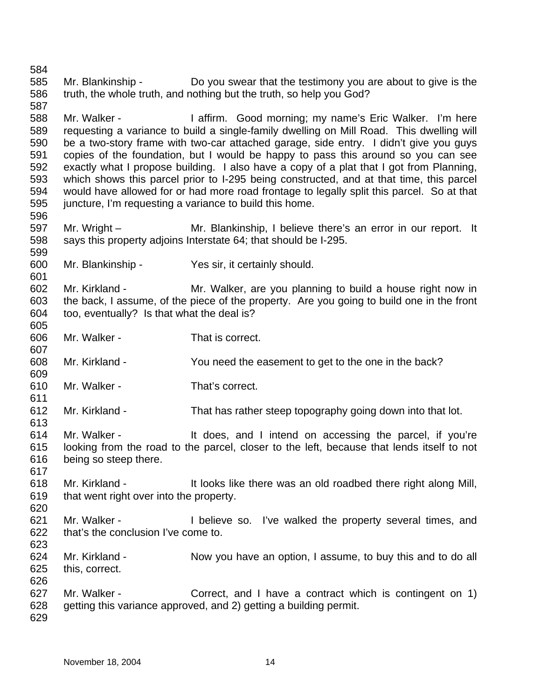585 586 587 588 589 590 591 592 593 594 595 596 597 598 599 600 601 602 603 604 605 606 607 608 609 610 611 612 613 614 615 616 617 618 619 620 621 622 623 624 625 626 627 628 629 Mr. Blankinship - Do you swear that the testimony you are about to give is the truth, the whole truth, and nothing but the truth, so help you God? Mr. Walker - The Muslim Cood morning; my name's Eric Walker. I'm here requesting a variance to build a single-family dwelling on Mill Road. This dwelling will be a two-story frame with two-car attached garage, side entry. I didn't give you guys copies of the foundation, but I would be happy to pass this around so you can see exactly what I propose building. I also have a copy of a plat that I got from Planning, which shows this parcel prior to I-295 being constructed, and at that time, this parcel would have allowed for or had more road frontage to legally split this parcel. So at that juncture, I'm requesting a variance to build this home. Mr. Wright – Mr. Blankinship, I believe there's an error in our report. It says this property adjoins Interstate 64; that should be I-295. Mr. Blankinship - Yes sir, it certainly should. Mr. Kirkland - The Mr. Walker, are you planning to build a house right now in the back, I assume, of the piece of the property. Are you going to build one in the front too, eventually? Is that what the deal is? Mr. Walker - That is correct. Mr. Kirkland - You need the easement to get to the one in the back? Mr. Walker - That's correct. Mr. Kirkland - That has rather steep topography going down into that lot. Mr. Walker - The Music of the does, and I intend on accessing the parcel, if you're looking from the road to the parcel, closer to the left, because that lends itself to not being so steep there. Mr. Kirkland - It looks like there was an old roadbed there right along Mill, that went right over into the property. Mr. Walker - The I believe so. I've walked the property several times, and that's the conclusion I've come to. Mr. Kirkland - Now you have an option, I assume, to buy this and to do all this, correct. Mr. Walker - Correct, and I have a contract which is contingent on 1) getting this variance approved, and 2) getting a building permit.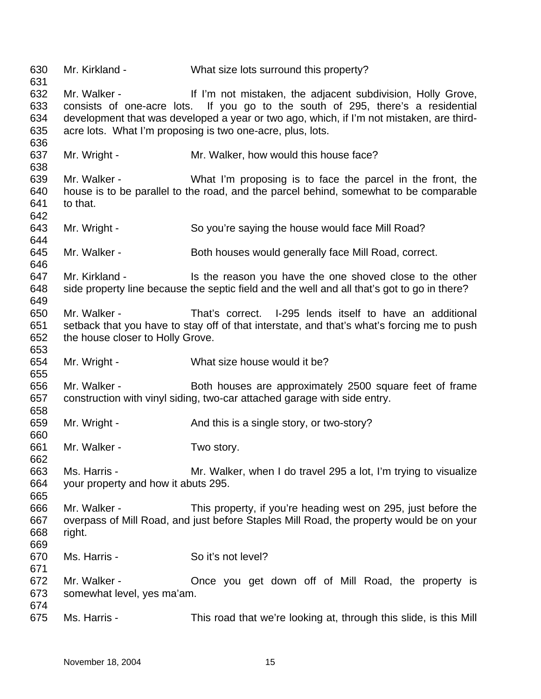630 631 632 633 634 635 636 637 638 639 640 641 642 643 644 645 646 647 648 649 650 651 652 653 654 655 656 657 658 659 660 661 662 663 664 665 666 667 668 669 670 671 672 673 674 675 Mr. Kirkland - What size lots surround this property? Mr. Walker - The Muslim of mistaken, the adjacent subdivision, Holly Grove, consists of one-acre lots. If you go to the south of 295, there's a residential development that was developed a year or two ago, which, if I'm not mistaken, are thirdacre lots. What I'm proposing is two one-acre, plus, lots. Mr. Wright - Mr. Walker, how would this house face? Mr. Walker - What I'm proposing is to face the parcel in the front, the house is to be parallel to the road, and the parcel behind, somewhat to be comparable to that. Mr. Wright - So you're saying the house would face Mill Road? Mr. Walker - **Both houses would generally face Mill Road, correct.** Mr. Kirkland - Is the reason you have the one shoved close to the other side property line because the septic field and the well and all that's got to go in there? Mr. Walker - That's correct. I-295 lends itself to have an additional setback that you have to stay off of that interstate, and that's what's forcing me to push the house closer to Holly Grove. Mr. Wright - What size house would it be? Mr. Walker - **Both houses are approximately 2500 square feet of frame** construction with vinyl siding, two-car attached garage with side entry. Mr. Wright - And this is a single story, or two-story? Mr. Walker - Two story. Ms. Harris - Mr. Walker, when I do travel 295 a lot, I'm trying to visualize your property and how it abuts 295. Mr. Walker - This property, if you're heading west on 295, just before the overpass of Mill Road, and just before Staples Mill Road, the property would be on your right. Ms. Harris - So it's not level? Mr. Walker - The Conce you get down off of Mill Road, the property is somewhat level, yes ma'am. Ms. Harris - This road that we're looking at, through this slide, is this Mill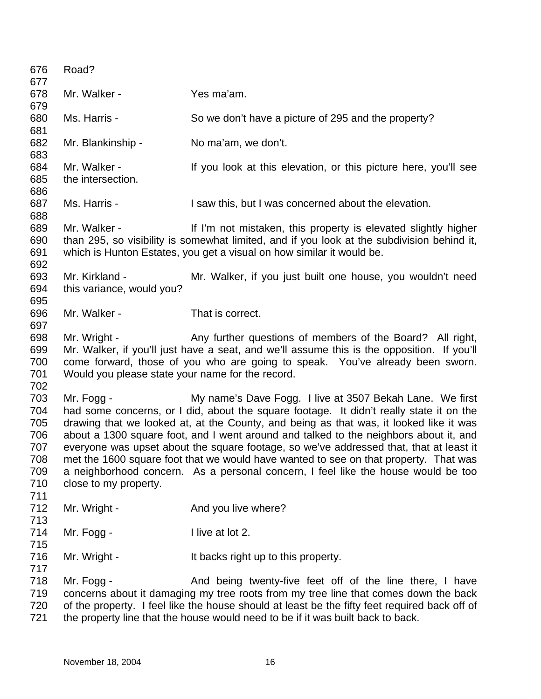676 677 678 679 680 681 682 683 684 685 686 687 688 689 690 691 692 693 694 695 696 697 698 699 700 701 702 703 704 705 706 707 708 709 710 711 712 713 714 715 716 717 718 719 720 721 Road? Mr. Walker - Yes ma'am. Ms. Harris - So we don't have a picture of 295 and the property? Mr. Blankinship - No ma'am, we don't. Mr. Walker - The Mr ou look at this elevation, or this picture here, you'll see the intersection. Ms. Harris - I saw this, but I was concerned about the elevation. Mr. Walker - The Music of I'm not mistaken, this property is elevated slightly higher than 295, so visibility is somewhat limited, and if you look at the subdivision behind it, which is Hunton Estates, you get a visual on how similar it would be. Mr. Kirkland - The Mr. Walker, if you just built one house, you wouldn't need this variance, would you? Mr. Walker - That is correct. Mr. Wright - Any further questions of members of the Board? All right, Mr. Walker, if you'll just have a seat, and we'll assume this is the opposition. If you'll come forward, those of you who are going to speak. You've already been sworn. Would you please state your name for the record. Mr. Fogg - My name's Dave Fogg. I live at 3507 Bekah Lane. We first had some concerns, or I did, about the square footage. It didn't really state it on the drawing that we looked at, at the County, and being as that was, it looked like it was about a 1300 square foot, and I went around and talked to the neighbors about it, and everyone was upset about the square footage, so we've addressed that, that at least it met the 1600 square foot that we would have wanted to see on that property. That was a neighborhood concern. As a personal concern, I feel like the house would be too close to my property. Mr. Wright - The And you live where? Mr. Fogg - I live at lot 2. Mr. Wright - The Music Henry Henry It backs right up to this property. Mr. Fogg - And being twenty-five feet off of the line there, I have concerns about it damaging my tree roots from my tree line that comes down the back of the property. I feel like the house should at least be the fifty feet required back off of the property line that the house would need to be if it was built back to back.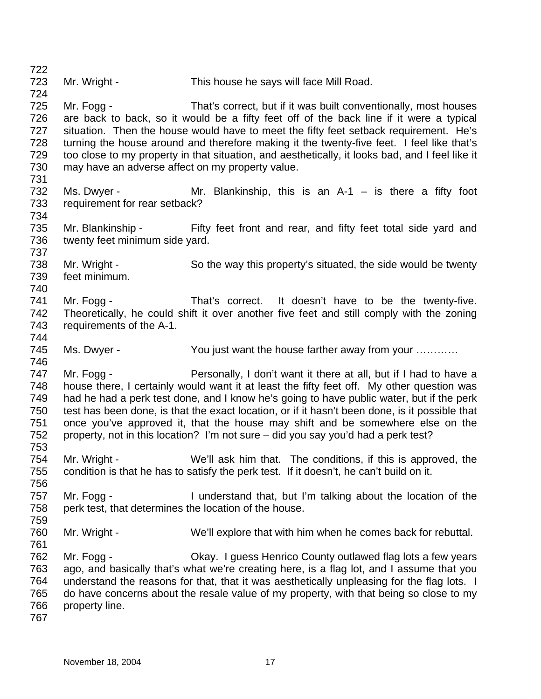723 724 725 726 727 728 729 730 731 732 733 734 735 736 737 738 739 740 741 742 743 744 745 746 747 748 749 750 751 752 753 754 755 756 757 758 759 760 761 762 763 764 765 766 767 Mr. Wright - This house he says will face Mill Road. Mr. Fogg - That's correct, but if it was built conventionally, most houses are back to back, so it would be a fifty feet off of the back line if it were a typical situation. Then the house would have to meet the fifty feet setback requirement. He's turning the house around and therefore making it the twenty-five feet. I feel like that's too close to my property in that situation, and aesthetically, it looks bad, and I feel like it may have an adverse affect on my property value. Ms. Dwyer - Mr. Blankinship, this is an  $A-1 - I$  is there a fifty foot requirement for rear setback? Mr. Blankinship - Fifty feet front and rear, and fifty feet total side yard and twenty feet minimum side yard. Mr. Wright - So the way this property's situated, the side would be twenty feet minimum. Mr. Fogg - That's correct. It doesn't have to be the twenty-five. Theoretically, he could shift it over another five feet and still comply with the zoning requirements of the A-1. Ms. Dwyer - The You just want the house farther away from your ........... Mr. Fogg - Personally, I don't want it there at all, but if I had to have a house there, I certainly would want it at least the fifty feet off. My other question was had he had a perk test done, and I know he's going to have public water, but if the perk test has been done, is that the exact location, or if it hasn't been done, is it possible that once you've approved it, that the house may shift and be somewhere else on the property, not in this location? I'm not sure – did you say you'd had a perk test? Mr. Wright - We'll ask him that. The conditions, if this is approved, the condition is that he has to satisfy the perk test. If it doesn't, he can't build on it. Mr. Fogg - I understand that, but I'm talking about the location of the perk test, that determines the location of the house. Mr. Wright - We'll explore that with him when he comes back for rebuttal. Mr. Fogg - Okay. I guess Henrico County outlawed flag lots a few years ago, and basically that's what we're creating here, is a flag lot, and I assume that you understand the reasons for that, that it was aesthetically unpleasing for the flag lots. I do have concerns about the resale value of my property, with that being so close to my property line.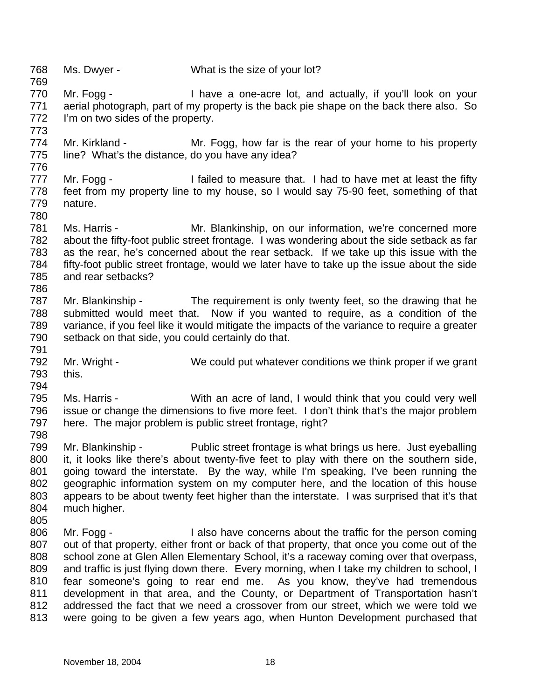768 769 Ms. Dwyer - What is the size of your lot?

773

794

- 770 771 772 Mr. Fogg - Thave a one-acre lot, and actually, if you'll look on your aerial photograph, part of my property is the back pie shape on the back there also. So I'm on two sides of the property.
- 774 775 776 Mr. Kirkland - Mr. Fogg, how far is the rear of your home to his property line? What's the distance, do you have any idea?
- 777 778 779 780 Mr. Fogg - I failed to measure that. I had to have met at least the fifty feet from my property line to my house, so I would say 75-90 feet, something of that nature.
- 781 782 783 784 785 786 Ms. Harris - **Mr. Blankinship, on our information, we're concerned more** about the fifty-foot public street frontage. I was wondering about the side setback as far as the rear, he's concerned about the rear setback. If we take up this issue with the fifty-foot public street frontage, would we later have to take up the issue about the side and rear setbacks?
- 787 788 789 790 791 Mr. Blankinship - The requirement is only twenty feet, so the drawing that he submitted would meet that. Now if you wanted to require, as a condition of the variance, if you feel like it would mitigate the impacts of the variance to require a greater setback on that side, you could certainly do that.
- 792 793 Mr. Wright - We could put whatever conditions we think proper if we grant this.
- 795 796 797 Ms. Harris - With an acre of land, I would think that you could very well issue or change the dimensions to five more feet. I don't think that's the major problem here. The major problem is public street frontage, right?
- 799 800 801 802 803 804 Mr. Blankinship - Public street frontage is what brings us here. Just eyeballing it, it looks like there's about twenty-five feet to play with there on the southern side, going toward the interstate. By the way, while I'm speaking, I've been running the geographic information system on my computer here, and the location of this house appears to be about twenty feet higher than the interstate. I was surprised that it's that much higher.
- 805 806 807 808 809 810 811 812 813 Mr. Fogg - The I also have concerns about the traffic for the person coming out of that property, either front or back of that property, that once you come out of the school zone at Glen Allen Elementary School, it's a raceway coming over that overpass, and traffic is just flying down there. Every morning, when I take my children to school, I fear someone's going to rear end me. As you know, they've had tremendous development in that area, and the County, or Department of Transportation hasn't addressed the fact that we need a crossover from our street, which we were told we were going to be given a few years ago, when Hunton Development purchased that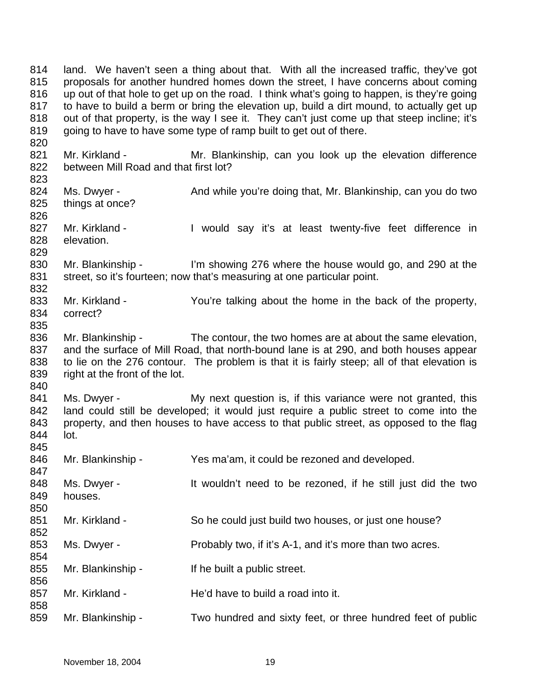814 815 816 817 818 819 820 land. We haven't seen a thing about that. With all the increased traffic, they've got proposals for another hundred homes down the street, I have concerns about coming up out of that hole to get up on the road. I think what's going to happen, is they're going to have to build a berm or bring the elevation up, build a dirt mound, to actually get up out of that property, is the way I see it. They can't just come up that steep incline; it's going to have to have some type of ramp built to get out of there.

821 822 Mr. Kirkland - The Mr. Blankinship, can you look up the elevation difference between Mill Road and that first lot?

- 824 825 Ms. Dwyer - And while you're doing that, Mr. Blankinship, can you do two things at once?
- 827 828 829 Mr. Kirkland - The Muld say it's at least twenty-five feet difference in elevation.

830 831 832 Mr. Blankinship - I'm showing 276 where the house would go, and 290 at the street, so it's fourteen; now that's measuring at one particular point.

- 833 834 835 Mr. Kirkland - You're talking about the home in the back of the property, correct?
- 836 837 838 839 Mr. Blankinship - The contour, the two homes are at about the same elevation, and the surface of Mill Road, that north-bound lane is at 290, and both houses appear to lie on the 276 contour. The problem is that it is fairly steep; all of that elevation is right at the front of the lot.
- 841 842 843 844 845 Ms. Dwyer - My next question is, if this variance were not granted, this land could still be developed; it would just require a public street to come into the property, and then houses to have access to that public street, as opposed to the flag lot.
- 846 Mr. Blankinship - Yes ma'am, it could be rezoned and developed.
- 847 848 849 Ms. Dwyer - It wouldn't need to be rezoned, if he still just did the two houses.
- 851 Mr. Kirkland - So he could just build two houses, or just one house?
	- Ms. Dwyer Probably two, if it's A-1, and it's more than two acres.
- 855 Mr. Blankinship - If he built a public street.
- 857 Mr. Kirkland - The'd have to build a road into it.
- 859 Mr. Blankinship - Two hundred and sixty feet, or three hundred feet of public

823

826

840

850

852 853 854

856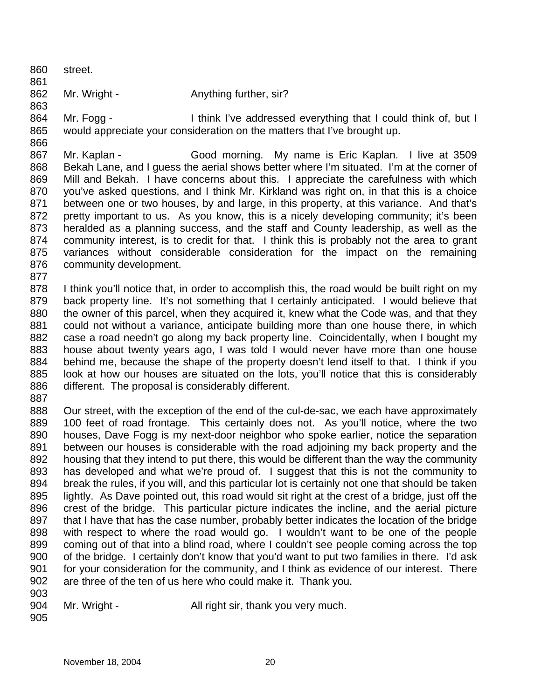860 861 862 863 864 865 866 867 street. Mr. Wright - **Anything further, sir?** Mr. Fogg - Think I've addressed everything that I could think of, but I would appreciate your consideration on the matters that I've brought up. Mr. Kaplan - Good morning. My name is Eric Kaplan. I live at 3509

868 869 870 871 872 873 874 875 876 Bekah Lane, and I guess the aerial shows better where I'm situated. I'm at the corner of Mill and Bekah. I have concerns about this. I appreciate the carefulness with which you've asked questions, and I think Mr. Kirkland was right on, in that this is a choice between one or two houses, by and large, in this property, at this variance. And that's pretty important to us. As you know, this is a nicely developing community; it's been heralded as a planning success, and the staff and County leadership, as well as the community interest, is to credit for that. I think this is probably not the area to grant variances without considerable consideration for the impact on the remaining community development.

877

878 879 880 881 882 883 884 885 886 I think you'll notice that, in order to accomplish this, the road would be built right on my back property line. It's not something that I certainly anticipated. I would believe that the owner of this parcel, when they acquired it, knew what the Code was, and that they could not without a variance, anticipate building more than one house there, in which case a road needn't go along my back property line. Coincidentally, when I bought my house about twenty years ago, I was told I would never have more than one house behind me, because the shape of the property doesn't lend itself to that. I think if you look at how our houses are situated on the lots, you'll notice that this is considerably different. The proposal is considerably different.

887

888 889 890 891 892 893 894 895 896 897 898 899 900 901 902 Our street, with the exception of the end of the cul-de-sac, we each have approximately 100 feet of road frontage. This certainly does not. As you'll notice, where the two houses, Dave Fogg is my next-door neighbor who spoke earlier, notice the separation between our houses is considerable with the road adjoining my back property and the housing that they intend to put there, this would be different than the way the community has developed and what we're proud of. I suggest that this is not the community to break the rules, if you will, and this particular lot is certainly not one that should be taken lightly. As Dave pointed out, this road would sit right at the crest of a bridge, just off the crest of the bridge. This particular picture indicates the incline, and the aerial picture that I have that has the case number, probably better indicates the location of the bridge with respect to where the road would go. I wouldn't want to be one of the people coming out of that into a blind road, where I couldn't see people coming across the top of the bridge. I certainly don't know that you'd want to put two families in there. I'd ask for your consideration for the community, and I think as evidence of our interest. There are three of the ten of us here who could make it. Thank you.

903

904 Mr. Wright - All right sir, thank you very much.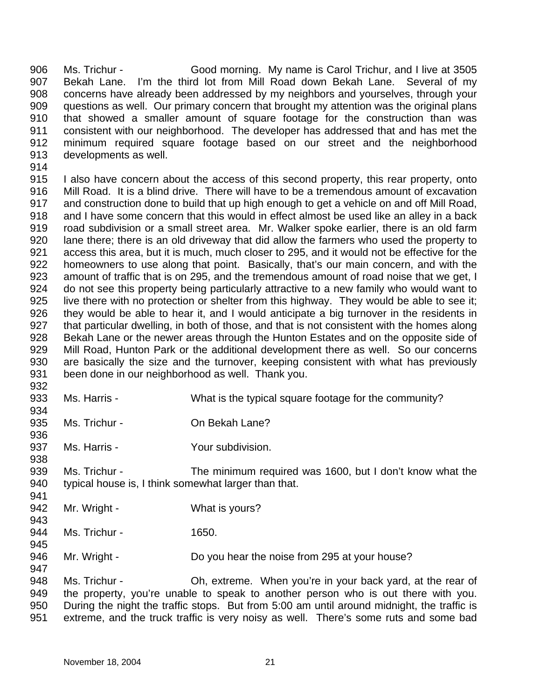906 907 908 909 910 911 912 913 Ms. Trichur - Good morning. My name is Carol Trichur, and I live at 3505 Bekah Lane. I'm the third lot from Mill Road down Bekah Lane. Several of my concerns have already been addressed by my neighbors and yourselves, through your questions as well. Our primary concern that brought my attention was the original plans that showed a smaller amount of square footage for the construction than was consistent with our neighborhood. The developer has addressed that and has met the minimum required square footage based on our street and the neighborhood developments as well.

914

915 916 917 918 919 920 921 922 923 924 925 926 927 928 929 930 931 I also have concern about the access of this second property, this rear property, onto Mill Road. It is a blind drive. There will have to be a tremendous amount of excavation and construction done to build that up high enough to get a vehicle on and off Mill Road, and I have some concern that this would in effect almost be used like an alley in a back road subdivision or a small street area. Mr. Walker spoke earlier, there is an old farm lane there; there is an old driveway that did allow the farmers who used the property to access this area, but it is much, much closer to 295, and it would not be effective for the homeowners to use along that point. Basically, that's our main concern, and with the amount of traffic that is on 295, and the tremendous amount of road noise that we get, I do not see this property being particularly attractive to a new family who would want to live there with no protection or shelter from this highway. They would be able to see it; they would be able to hear it, and I would anticipate a big turnover in the residents in that particular dwelling, in both of those, and that is not consistent with the homes along Bekah Lane or the newer areas through the Hunton Estates and on the opposite side of Mill Road, Hunton Park or the additional development there as well. So our concerns are basically the size and the turnover, keeping consistent with what has previously been done in our neighborhood as well. Thank you.

932 933

934

936

938

941

943

947

- Ms. Harris What is the typical square footage for the community?
- 935 Ms. Trichur - **On Bekah Lane?**
- 937 Ms. Harris - The Your subdivision.

939 940 Ms. Trichur - The minimum required was 1600, but I don't know what the typical house is, I think somewhat larger than that.

- 942 Mr. Wright - What is yours?
- 944 945 Ms. Trichur - 1650.
- 946 Mr. Wright - Do you hear the noise from 295 at your house?

948 949 950 951 Ms. Trichur - Oh, extreme. When you're in your back yard, at the rear of the property, you're unable to speak to another person who is out there with you. During the night the traffic stops. But from 5:00 am until around midnight, the traffic is extreme, and the truck traffic is very noisy as well. There's some ruts and some bad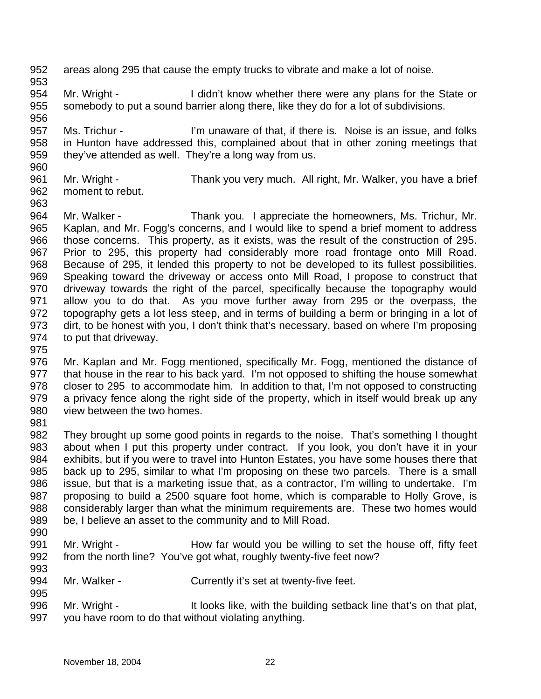- 952 953 areas along 295 that cause the empty trucks to vibrate and make a lot of noise.
- 954 955 Mr. Wright - I didn't know whether there were any plans for the State or somebody to put a sound barrier along there, like they do for a lot of subdivisions.
- 957 958 959 960 Ms. Trichur - I'm unaware of that, if there is. Noise is an issue, and folks in Hunton have addressed this, complained about that in other zoning meetings that they've attended as well. They're a long way from us.
- 961 962 Mr. Wright - Thank you very much. All right, Mr. Walker, you have a brief moment to rebut.
- 964 965 966 967 968 969 970 971 972 973 974 Mr. Walker - Thank you. I appreciate the homeowners, Ms. Trichur, Mr. Kaplan, and Mr. Fogg's concerns, and I would like to spend a brief moment to address those concerns. This property, as it exists, was the result of the construction of 295. Prior to 295, this property had considerably more road frontage onto Mill Road. Because of 295, it lended this property to not be developed to its fullest possibilities. Speaking toward the driveway or access onto Mill Road, I propose to construct that driveway towards the right of the parcel, specifically because the topography would allow you to do that. As you move further away from 295 or the overpass, the topography gets a lot less steep, and in terms of building a berm or bringing in a lot of dirt, to be honest with you, I don't think that's necessary, based on where I'm proposing to put that driveway.
- 975

963

- 976 977 978 979 980 Mr. Kaplan and Mr. Fogg mentioned, specifically Mr. Fogg, mentioned the distance of that house in the rear to his back yard. I'm not opposed to shifting the house somewhat closer to 295 to accommodate him. In addition to that, I'm not opposed to constructing a privacy fence along the right side of the property, which in itself would break up any view between the two homes.
- 981
- 982 983 984 985 986 987 988 989 They brought up some good points in regards to the noise. That's something I thought about when I put this property under contract. If you look, you don't have it in your exhibits, but if you were to travel into Hunton Estates, you have some houses there that back up to 295, similar to what I'm proposing on these two parcels. There is a small issue, but that is a marketing issue that, as a contractor, I'm willing to undertake. I'm proposing to build a 2500 square foot home, which is comparable to Holly Grove, is considerably larger than what the minimum requirements are. These two homes would be, I believe an asset to the community and to Mill Road.
- 990

- 991 992 993 Mr. Wright - How far would you be willing to set the house off, fifty feet from the north line? You've got what, roughly twenty-five feet now?
- 994 Mr. Walker - Currently it's set at twenty-five feet.
- 996 997 Mr. Wright - It looks like, with the building setback line that's on that plat, you have room to do that without violating anything.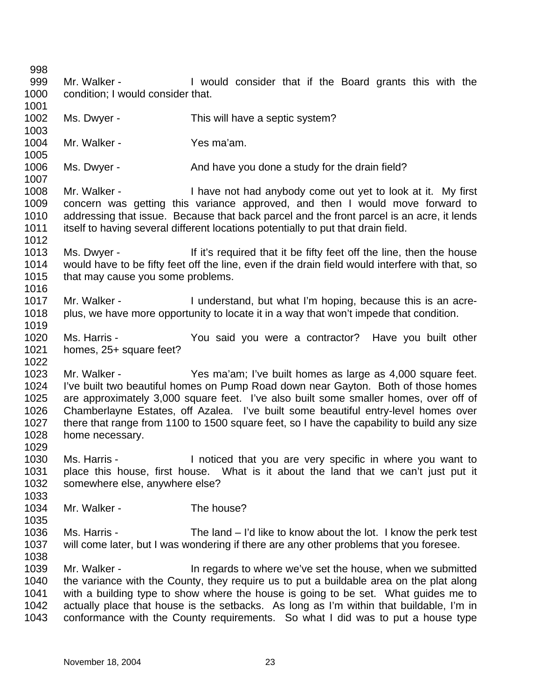998 999 1000 1001 1002 1003 1004 1005 1006 1007 1008 1009 1010 1011 1012 1013 1014 1015 1016 1017 1018 1019 1020 1021 1022 1023 1024 1025 1026 1027 1028 1029 1030 1031 1032 1033 1034 1035 1036 1037 1038 1039 1040 1041 1042 1043 Mr. Walker - The U would consider that if the Board grants this with the condition; I would consider that. Ms. Dwyer - This will have a septic system? Mr. Walker - Yes ma'am. Ms. Dwyer - The And have you done a study for the drain field? Mr. Walker - The Music have not had anybody come out yet to look at it. My first concern was getting this variance approved, and then I would move forward to addressing that issue. Because that back parcel and the front parcel is an acre, it lends itself to having several different locations potentially to put that drain field. Ms. Dwyer - If it's required that it be fifty feet off the line, then the house would have to be fifty feet off the line, even if the drain field would interfere with that, so that may cause you some problems. Mr. Walker - I understand, but what I'm hoping, because this is an acreplus, we have more opportunity to locate it in a way that won't impede that condition. Ms. Harris - You said you were a contractor? Have you built other homes, 25+ square feet? Mr. Walker - Yes ma'am; I've built homes as large as 4,000 square feet. I've built two beautiful homes on Pump Road down near Gayton. Both of those homes are approximately 3,000 square feet. I've also built some smaller homes, over off of Chamberlayne Estates, off Azalea. I've built some beautiful entry-level homes over there that range from 1100 to 1500 square feet, so I have the capability to build any size home necessary. Ms. Harris - The Inoticed that you are very specific in where you want to place this house, first house. What is it about the land that we can't just put it somewhere else, anywhere else? Mr. Walker - The house? Ms. Harris - The land – I'd like to know about the lot. I know the perk test will come later, but I was wondering if there are any other problems that you foresee. Mr. Walker - The In regards to where we've set the house, when we submitted the variance with the County, they require us to put a buildable area on the plat along with a building type to show where the house is going to be set. What guides me to actually place that house is the setbacks. As long as I'm within that buildable, I'm in conformance with the County requirements. So what I did was to put a house type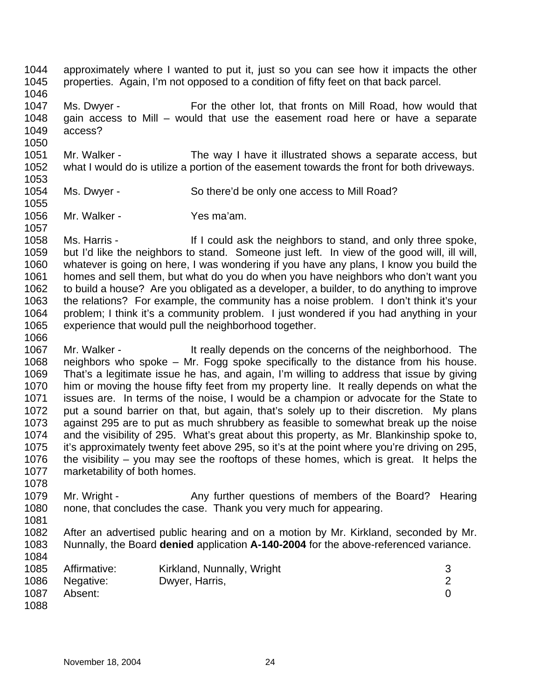1044 1045 approximately where I wanted to put it, just so you can see how it impacts the other properties. Again, I'm not opposed to a condition of fifty feet on that back parcel.

1046

1047 1048 1049 Ms. Dwyer - For the other lot, that fronts on Mill Road, how would that gain access to Mill – would that use the easement road here or have a separate access?

1051 1052 Mr. Walker - The way I have it illustrated shows a separate access, but what I would do is utilize a portion of the easement towards the front for both driveways.

1053 1054

1055

1057

1066

1050

- Ms. Dwyer So there'd be only one access to Mill Road?
- 1056 Mr. Walker - Yes ma'am.

1058 1059 1060 1061 1062 1063 1064 1065 Ms. Harris - If I could ask the neighbors to stand, and only three spoke, but I'd like the neighbors to stand. Someone just left. In view of the good will, ill will, whatever is going on here, I was wondering if you have any plans, I know you build the homes and sell them, but what do you do when you have neighbors who don't want you to build a house? Are you obligated as a developer, a builder, to do anything to improve the relations? For example, the community has a noise problem. I don't think it's your problem; I think it's a community problem. I just wondered if you had anything in your experience that would pull the neighborhood together.

- 1067 1068 1069 1070 1071 1072 1073 1074 1075 1076 1077 Mr. Walker - The It really depends on the concerns of the neighborhood. The neighbors who spoke – Mr. Fogg spoke specifically to the distance from his house. That's a legitimate issue he has, and again, I'm willing to address that issue by giving him or moving the house fifty feet from my property line. It really depends on what the issues are. In terms of the noise, I would be a champion or advocate for the State to put a sound barrier on that, but again, that's solely up to their discretion. My plans against 295 are to put as much shrubbery as feasible to somewhat break up the noise and the visibility of 295. What's great about this property, as Mr. Blankinship spoke to, it's approximately twenty feet above 295, so it's at the point where you're driving on 295, the visibility – you may see the rooftops of these homes, which is great. It helps the marketability of both homes.
- 1078 1079 1080 Mr. Wright - Any further questions of members of the Board? Hearing none, that concludes the case. Thank you very much for appearing.
- 1081

1082 1083 After an advertised public hearing and on a motion by Mr. Kirkland, seconded by Mr. Nunnally, the Board **denied** application **A-140-2004** for the above-referenced variance.

- 1084 1085 1086 1087 1088 Affirmative: Kirkland, Nunnally, Wright 3 Negative: Dwyer, Harris, 2 Absent: 0
	- November 18, 2004 24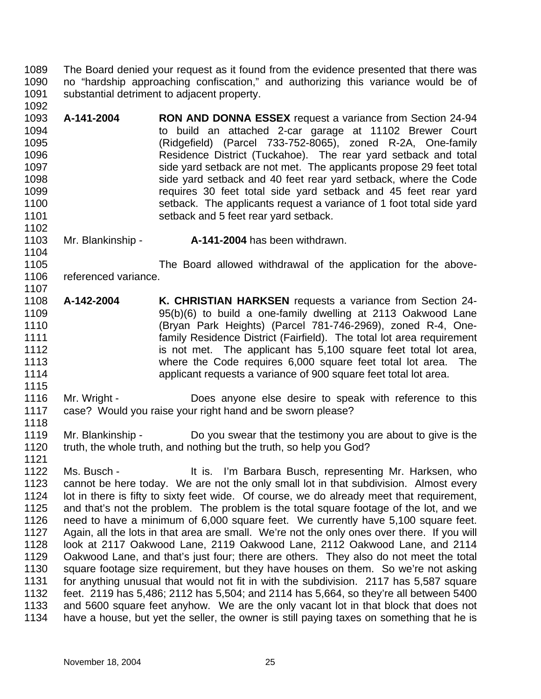1089 1090 1091 The Board denied your request as it found from the evidence presented that there was no "hardship approaching confiscation," and authorizing this variance would be of substantial detriment to adjacent property.

- 1093 1094 1095 1096 1097 1098 1099 1100 1101 1102 **A-141-2004 RON AND DONNA ESSEX** request a variance from Section 24-94 to build an attached 2-car garage at 11102 Brewer Court (Ridgefield) (Parcel 733-752-8065), zoned R-2A, One-family Residence District (Tuckahoe). The rear yard setback and total side yard setback are not met. The applicants propose 29 feet total side yard setback and 40 feet rear yard setback, where the Code requires 30 feet total side yard setback and 45 feet rear yard setback. The applicants request a variance of 1 foot total side yard setback and 5 feet rear yard setback.
- 1103 Mr. Blankinship - **A-141-2004** has been withdrawn.

1105 1106 1107 The Board allowed withdrawal of the application for the abovereferenced variance.

- 1108 1109 1110 1111 1112 1113 1114 **A-142-2004 K. CHRISTIAN HARKSEN** requests a variance from Section 24- 95(b)(6) to build a one-family dwelling at 2113 Oakwood Lane (Bryan Park Heights) (Parcel 781-746-2969), zoned R-4, Onefamily Residence District (Fairfield). The total lot area requirement is not met. The applicant has 5,100 square feet total lot area, where the Code requires 6,000 square feet total lot area. The applicant requests a variance of 900 square feet total lot area.
- 1116 1117 Mr. Wright - **Does** anyone else desire to speak with reference to this case? Would you raise your right hand and be sworn please?
- 1119 1120 Mr. Blankinship - Do you swear that the testimony you are about to give is the truth, the whole truth, and nothing but the truth, so help you God?
- 1121 1122 1123 1124 1125 1126 1127 1128 1129 1130 1131 1132 1133 1134 Ms. Busch - The Musch state of the It is. I'm Barbara Busch, representing Mr. Harksen, who cannot be here today. We are not the only small lot in that subdivision. Almost every lot in there is fifty to sixty feet wide. Of course, we do already meet that requirement, and that's not the problem. The problem is the total square footage of the lot, and we need to have a minimum of 6,000 square feet. We currently have 5,100 square feet. Again, all the lots in that area are small. We're not the only ones over there. If you will look at 2117 Oakwood Lane, 2119 Oakwood Lane, 2112 Oakwood Lane, and 2114 Oakwood Lane, and that's just four; there are others. They also do not meet the total square footage size requirement, but they have houses on them. So we're not asking for anything unusual that would not fit in with the subdivision. 2117 has 5,587 square feet. 2119 has 5,486; 2112 has 5,504; and 2114 has 5,664, so they're all between 5400 and 5600 square feet anyhow. We are the only vacant lot in that block that does not have a house, but yet the seller, the owner is still paying taxes on something that he is

1092

1104

1115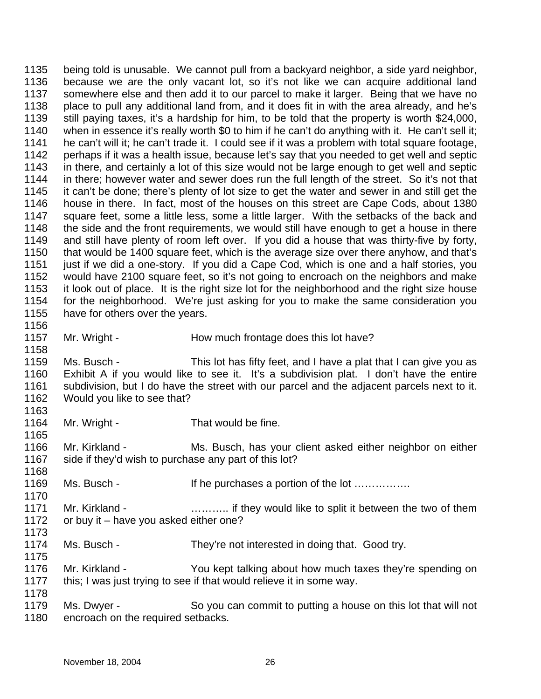1135 1136 1137 1138 1139 1140 1141 1142 1143 1144 1145 1146 1147 1148 1149 1150 1151 1152 1153 1154 1155 1156 1157 1158 being told is unusable. We cannot pull from a backyard neighbor, a side yard neighbor, because we are the only vacant lot, so it's not like we can acquire additional land somewhere else and then add it to our parcel to make it larger. Being that we have no place to pull any additional land from, and it does fit in with the area already, and he's still paying taxes, it's a hardship for him, to be told that the property is worth \$24,000, when in essence it's really worth \$0 to him if he can't do anything with it. He can't sell it; he can't will it; he can't trade it. I could see if it was a problem with total square footage, perhaps if it was a health issue, because let's say that you needed to get well and septic in there, and certainly a lot of this size would not be large enough to get well and septic in there; however water and sewer does run the full length of the street. So it's not that it can't be done; there's plenty of lot size to get the water and sewer in and still get the house in there. In fact, most of the houses on this street are Cape Cods, about 1380 square feet, some a little less, some a little larger. With the setbacks of the back and the side and the front requirements, we would still have enough to get a house in there and still have plenty of room left over. If you did a house that was thirty-five by forty, that would be 1400 square feet, which is the average size over there anyhow, and that's just if we did a one-story. If you did a Cape Cod, which is one and a half stories, you would have 2100 square feet, so it's not going to encroach on the neighbors and make it look out of place. It is the right size lot for the neighborhood and the right size house for the neighborhood. We're just asking for you to make the same consideration you have for others over the years. Mr. Wright - **How much frontage does this lot have?** 

1159 1160 1161 1162 Ms. Busch - This lot has fifty feet, and I have a plat that I can give you as Exhibit A if you would like to see it. It's a subdivision plat. I don't have the entire subdivision, but I do have the street with our parcel and the adjacent parcels next to it. Would you like to see that?

1163 1164

1165

1170

1175

- Mr. Wright That would be fine.
- 1166 1167 1168 Mr. Kirkland - Ms. Busch, has your client asked either neighbor on either side if they'd wish to purchase any part of this lot?
- 1169 Ms. Busch - If he purchases a portion of the lot ……………
- 1171 1172 1173 Mr. Kirkland - **Example 2.1.** Summark if they would like to split it between the two of them or buy it – have you asked either one?
- 1174 Ms. Busch - They're not interested in doing that. Good try.
- 1176 1177 Mr. Kirkland - You kept talking about how much taxes they're spending on this; I was just trying to see if that would relieve it in some way.
- 1179 1180 Ms. Dwyer - So you can commit to putting a house on this lot that will not encroach on the required setbacks.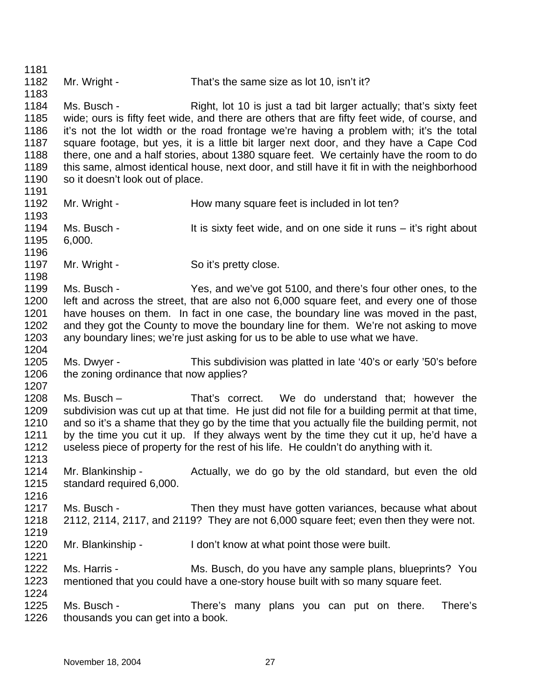1181 1182 1183 1184 1185 1186 1187 1188 1189 1190 1191 1192 1193 1194 1195 1196 1197 1198 1199 1200 1201 1202 1203 1204 1205 1206 1207 1208 1209 1210 1211 1212 1213 1214 1215 1216 1217 1218 1219 1220 1221 1222 1223 1224 1225 1226 Mr. Wright - That's the same size as lot 10, isn't it? Ms. Busch - Right, lot 10 is just a tad bit larger actually; that's sixty feet wide; ours is fifty feet wide, and there are others that are fifty feet wide, of course, and it's not the lot width or the road frontage we're having a problem with; it's the total square footage, but yes, it is a little bit larger next door, and they have a Cape Cod there, one and a half stories, about 1380 square feet. We certainly have the room to do this same, almost identical house, next door, and still have it fit in with the neighborhood so it doesn't look out of place. Mr. Wright - How many square feet is included in lot ten? Ms. Busch - It is sixty feet wide, and on one side it runs – it's right about 6,000. Mr. Wright - So it's pretty close. Ms. Busch - Yes, and we've got 5100, and there's four other ones, to the left and across the street, that are also not 6,000 square feet, and every one of those have houses on them. In fact in one case, the boundary line was moved in the past, and they got the County to move the boundary line for them. We're not asking to move any boundary lines; we're just asking for us to be able to use what we have. Ms. Dwyer - This subdivision was platted in late '40's or early '50's before the zoning ordinance that now applies? Ms. Busch – That's correct. We do understand that; however the subdivision was cut up at that time. He just did not file for a building permit at that time, and so it's a shame that they go by the time that you actually file the building permit, not by the time you cut it up. If they always went by the time they cut it up, he'd have a useless piece of property for the rest of his life. He couldn't do anything with it. Mr. Blankinship - The Actually, we do go by the old standard, but even the old standard required 6,000. Ms. Busch - Then they must have gotten variances, because what about 2112, 2114, 2117, and 2119? They are not 6,000 square feet; even then they were not. Mr. Blankinship - I don't know at what point those were built. Ms. Harris - Ms. Busch, do you have any sample plans, blueprints? You mentioned that you could have a one-story house built with so many square feet. Ms. Busch - There's many plans you can put on there. There's thousands you can get into a book.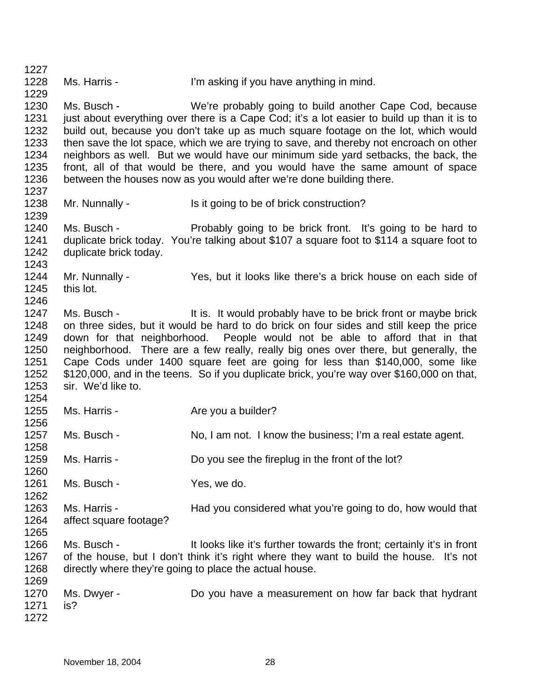1227 1228 1229 1230 1231 1232 1233 1234 1235 1236 1237 1238 1239 1240 1241 1242 1243 1244 1245 1246 1247 1248 1249 1250 1251 1252 1253 1254 1255 1256 1257 1258 1259 1260 1261 1262 1263 1264 1265 1266 1267 1268 1269 1270 1271 1272 Ms. Harris - I'm asking if you have anything in mind. Ms. Busch - We're probably going to build another Cape Cod, because just about everything over there is a Cape Cod; it's a lot easier to build up than it is to build out, because you don't take up as much square footage on the lot, which would then save the lot space, which we are trying to save, and thereby not encroach on other neighbors as well. But we would have our minimum side yard setbacks, the back, the front, all of that would be there, and you would have the same amount of space between the houses now as you would after we're done building there. Mr. Nunnally - Is it going to be of brick construction? Ms. Busch - Probably going to be brick front. It's going to be hard to duplicate brick today. You're talking about \$107 a square foot to \$114 a square foot to duplicate brick today. Mr. Nunnally - Yes, but it looks like there's a brick house on each side of this lot. Ms. Busch - It is. It would probably have to be brick front or maybe brick on three sides, but it would be hard to do brick on four sides and still keep the price down for that neighborhood. People would not be able to afford that in that neighborhood. There are a few really, really big ones over there, but generally, the Cape Cods under 1400 square feet are going for less than \$140,000, some like \$120,000, and in the teens. So if you duplicate brick, you're way over \$160,000 on that, sir. We'd like to. Ms. Harris - The Are you a builder? Ms. Busch - No, I am not. I know the business; I'm a real estate agent. Ms. Harris - Do you see the fireplug in the front of the lot? Ms. Busch - Yes, we do. Ms. Harris - **Had you considered what you're going to do, how would that** affect square footage? Ms. Busch - It looks like it's further towards the front; certainly it's in front of the house, but I don't think it's right where they want to build the house. It's not directly where they're going to place the actual house. Ms. Dwyer - **Do** you have a measurement on how far back that hydrant is?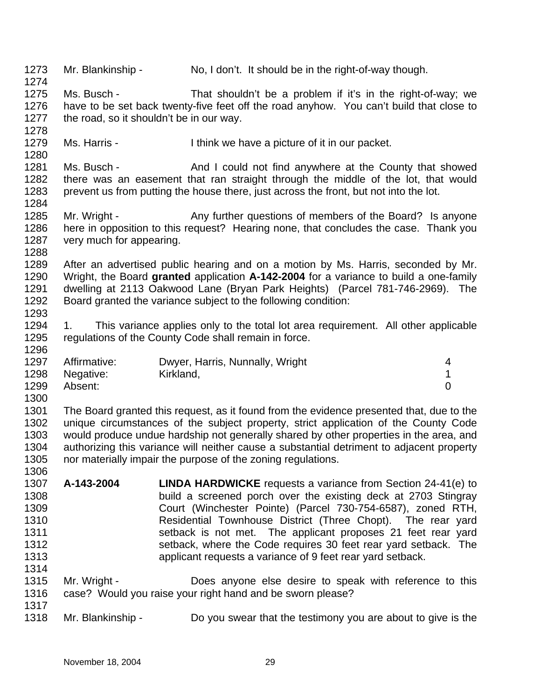| 1273<br>1274                                                 | Mr. Blankinship -                                       | No, I don't. It should be in the right-of-way though.                                                                                                                                                                                                                                                                                                                                                                                                                |             |
|--------------------------------------------------------------|---------------------------------------------------------|----------------------------------------------------------------------------------------------------------------------------------------------------------------------------------------------------------------------------------------------------------------------------------------------------------------------------------------------------------------------------------------------------------------------------------------------------------------------|-------------|
| 1275<br>1276<br>1277<br>1278                                 | Ms. Busch -<br>the road, so it shouldn't be in our way. | That shouldn't be a problem if it's in the right-of-way; we<br>have to be set back twenty-five feet off the road anyhow. You can't build that close to                                                                                                                                                                                                                                                                                                               |             |
| 1279<br>1280                                                 | Ms. Harris -                                            | I think we have a picture of it in our packet.                                                                                                                                                                                                                                                                                                                                                                                                                       |             |
| 1281<br>1282<br>1283<br>1284                                 | Ms. Busch -                                             | And I could not find anywhere at the County that showed<br>there was an easement that ran straight through the middle of the lot, that would<br>prevent us from putting the house there, just across the front, but not into the lot.                                                                                                                                                                                                                                |             |
| 1285<br>1286<br>1287<br>1288                                 | Mr. Wright -<br>very much for appearing.                | Any further questions of members of the Board? Is anyone<br>here in opposition to this request? Hearing none, that concludes the case. Thank you                                                                                                                                                                                                                                                                                                                     |             |
| 1289<br>1290<br>1291<br>1292<br>1293                         |                                                         | After an advertised public hearing and on a motion by Ms. Harris, seconded by Mr.<br>Wright, the Board granted application A-142-2004 for a variance to build a one-family<br>dwelling at 2113 Oakwood Lane (Bryan Park Heights) (Parcel 781-746-2969). The<br>Board granted the variance subject to the following condition:                                                                                                                                        |             |
| 1294<br>1295                                                 | 1.                                                      | This variance applies only to the total lot area requirement. All other applicable<br>regulations of the County Code shall remain in force.                                                                                                                                                                                                                                                                                                                          |             |
|                                                              |                                                         |                                                                                                                                                                                                                                                                                                                                                                                                                                                                      |             |
| 1296<br>1297<br>1298<br>1299                                 | Affirmative:<br>Negative:<br>Absent:                    | Dwyer, Harris, Nunnally, Wright<br>Kirkland,                                                                                                                                                                                                                                                                                                                                                                                                                         | 4<br>1<br>0 |
| 1300<br>1301<br>1302<br>1303<br>1304<br>1305                 |                                                         | The Board granted this request, as it found from the evidence presented that, due to the<br>unique circumstances of the subject property, strict application of the County Code<br>would produce undue hardship not generally shared by other properties in the area, and<br>authorizing this variance will neither cause a substantial detriment to adjacent property<br>nor materially impair the purpose of the zoning regulations.                               |             |
| 1306<br>1307<br>1308<br>1309<br>1310<br>1311<br>1312<br>1313 | A-143-2004                                              | <b>LINDA HARDWICKE</b> requests a variance from Section 24-41(e) to<br>build a screened porch over the existing deck at 2703 Stingray<br>Court (Winchester Pointe) (Parcel 730-754-6587), zoned RTH,<br>Residential Townhouse District (Three Chopt). The rear yard<br>setback is not met. The applicant proposes 21 feet rear yard<br>setback, where the Code requires 30 feet rear yard setback. The<br>applicant requests a variance of 9 feet rear yard setback. |             |
| 1314<br>1315<br>1316<br>1317                                 | Mr. Wright -                                            | Does anyone else desire to speak with reference to this<br>case? Would you raise your right hand and be sworn please?                                                                                                                                                                                                                                                                                                                                                |             |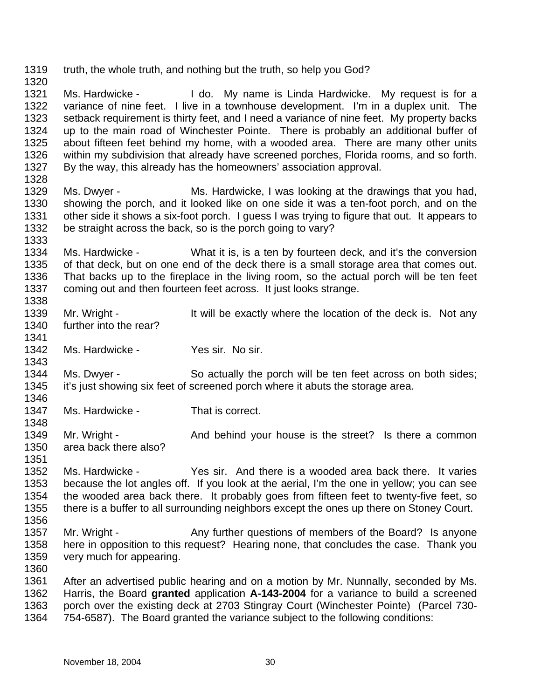1319 truth, the whole truth, and nothing but the truth, so help you God?

1321 1322 1323 1324 1325 1326 1327 Ms. Hardwicke - I do. My name is Linda Hardwicke. My request is for a variance of nine feet. I live in a townhouse development. I'm in a duplex unit. The setback requirement is thirty feet, and I need a variance of nine feet. My property backs up to the main road of Winchester Pointe. There is probably an additional buffer of about fifteen feet behind my home, with a wooded area. There are many other units within my subdivision that already have screened porches, Florida rooms, and so forth. By the way, this already has the homeowners' association approval.

- 1329 1330 1331 1332 Ms. Dwyer - Ms. Hardwicke, I was looking at the drawings that you had, showing the porch, and it looked like on one side it was a ten-foot porch, and on the other side it shows a six-foot porch. I guess I was trying to figure that out. It appears to be straight across the back, so is the porch going to vary?
- 1334 1335 1336 1337 1338 Ms. Hardwicke - What it is, is a ten by fourteen deck, and it's the conversion of that deck, but on one end of the deck there is a small storage area that comes out. That backs up to the fireplace in the living room, so the actual porch will be ten feet coming out and then fourteen feet across. It just looks strange.
- 1339 1340 Mr. Wright - It will be exactly where the location of the deck is. Not any further into the rear?
- 1342 Ms. Hardwicke - Yes sir. No sir.
- 1344 1345 1346 Ms. Dwyer - So actually the porch will be ten feet across on both sides; it's just showing six feet of screened porch where it abuts the storage area.
- 1347 Ms. Hardwicke - That is correct.
- 1349 1350 Mr. Wright - And behind your house is the street? Is there a common area back there also?
- 1352 1353 1354 1355 1356 Ms. Hardwicke - Yes sir. And there is a wooded area back there. It varies because the lot angles off. If you look at the aerial, I'm the one in yellow; you can see the wooded area back there. It probably goes from fifteen feet to twenty-five feet, so there is a buffer to all surrounding neighbors except the ones up there on Stoney Court.
- 1357 1358 1359 Mr. Wright - Any further questions of members of the Board? Is anyone here in opposition to this request? Hearing none, that concludes the case. Thank you very much for appearing.
- 1360

1320

1328

1333

1341

1343

1348

1351

1361 1362 1363 1364 After an advertised public hearing and on a motion by Mr. Nunnally, seconded by Ms. Harris, the Board **granted** application **A-143-2004** for a variance to build a screened porch over the existing deck at 2703 Stingray Court (Winchester Pointe) (Parcel 730- 754-6587). The Board granted the variance subject to the following conditions: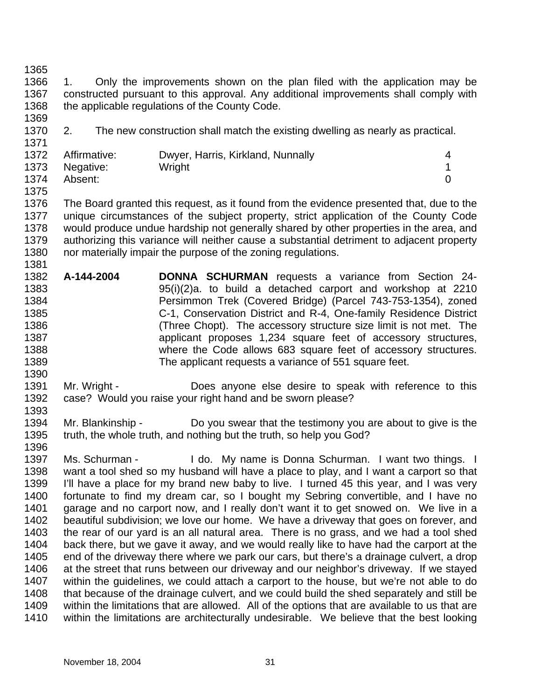1375

1381

1366 1367 1368 1369 1. Only the improvements shown on the plan filed with the application may be constructed pursuant to this approval. Any additional improvements shall comply with the applicable regulations of the County Code.

1370 1371 2. The new construction shall match the existing dwelling as nearly as practical.

|      | 1372 Affirmative: | Dwyer, Harris, Kirkland, Nunnally |  |
|------|-------------------|-----------------------------------|--|
|      | 1373 Negative:    | Wright                            |  |
| 1374 | Absent:           |                                   |  |

- 1376 1377 1378 1379 1380 The Board granted this request, as it found from the evidence presented that, due to the unique circumstances of the subject property, strict application of the County Code would produce undue hardship not generally shared by other properties in the area, and authorizing this variance will neither cause a substantial detriment to adjacent property nor materially impair the purpose of the zoning regulations.
- 1382 1383 1384 1385 1386 1387 1388 1389 **A-144-2004 DONNA SCHURMAN** requests a variance from Section 24- 95(i)(2)a. to build a detached carport and workshop at 2210 Persimmon Trek (Covered Bridge) (Parcel 743-753-1354), zoned C-1, Conservation District and R-4, One-family Residence District (Three Chopt). The accessory structure size limit is not met. The applicant proposes 1,234 square feet of accessory structures, where the Code allows 683 square feet of accessory structures. The applicant requests a variance of 551 square feet.
- 1390 1391 1392 1393 Mr. Wright - Does anyone else desire to speak with reference to this case? Would you raise your right hand and be sworn please?
- 1394 1395 1396 Mr. Blankinship - Do you swear that the testimony you are about to give is the truth, the whole truth, and nothing but the truth, so help you God?
- 1397 1398 1399 1400 1401 1402 1403 1404 1405 1406 1407 1408 1409 1410 Ms. Schurman - I do. My name is Donna Schurman. I want two things. I want a tool shed so my husband will have a place to play, and I want a carport so that I'll have a place for my brand new baby to live. I turned 45 this year, and I was very fortunate to find my dream car, so I bought my Sebring convertible, and I have no garage and no carport now, and I really don't want it to get snowed on. We live in a beautiful subdivision; we love our home. We have a driveway that goes on forever, and the rear of our yard is an all natural area. There is no grass, and we had a tool shed back there, but we gave it away, and we would really like to have had the carport at the end of the driveway there where we park our cars, but there's a drainage culvert, a drop at the street that runs between our driveway and our neighbor's driveway. If we stayed within the guidelines, we could attach a carport to the house, but we're not able to do that because of the drainage culvert, and we could build the shed separately and still be within the limitations that are allowed. All of the options that are available to us that are within the limitations are architecturally undesirable. We believe that the best looking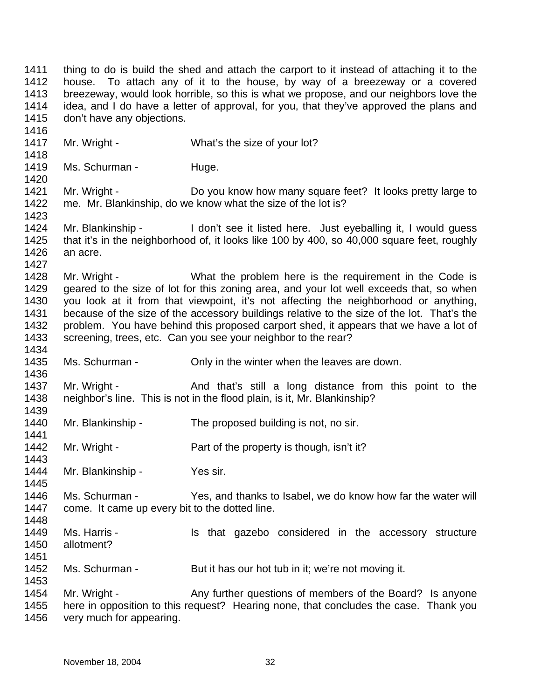1411 1412 1413 1414 1415 1416 thing to do is build the shed and attach the carport to it instead of attaching it to the house. To attach any of it to the house, by way of a breezeway or a covered breezeway, would look horrible, so this is what we propose, and our neighbors love the idea, and I do have a letter of approval, for you, that they've approved the plans and don't have any objections.

- 1417 Mr. Wright - What's the size of your lot?
- 1419 Ms. Schurman - Huge.

1418

1420

1423

1427

1436

1439

1441

1443

1445

1448

1451

1453

1421 1422 Mr. Wright - Do you know how many square feet? It looks pretty large to me. Mr. Blankinship, do we know what the size of the lot is?

1424 1425 1426 Mr. Blankinship - I don't see it listed here. Just eyeballing it, I would quess that it's in the neighborhood of, it looks like 100 by 400, so 40,000 square feet, roughly an acre.

1428 1429 1430 1431 1432 1433 1434 Mr. Wright - What the problem here is the requirement in the Code is geared to the size of lot for this zoning area, and your lot well exceeds that, so when you look at it from that viewpoint, it's not affecting the neighborhood or anything, because of the size of the accessory buildings relative to the size of the lot. That's the problem. You have behind this proposed carport shed, it appears that we have a lot of screening, trees, etc. Can you see your neighbor to the rear?

1435 Ms. Schurman - Only in the winter when the leaves are down.

1437 1438 Mr. Wright - The And that's still a long distance from this point to the neighbor's line. This is not in the flood plain, is it, Mr. Blankinship?

1440 Mr. Blankinship - The proposed building is not, no sir.

1442 Mr. Wright - Part of the property is though, isn't it?

- 1444 Mr. Blankinship - Yes sir.
- 1446 1447 Ms. Schurman - Yes, and thanks to Isabel, we do know how far the water will come. It came up every bit to the dotted line.
- 1449 1450 Ms. Harris - The Music et a Is that gazebo considered in the accessory structure allotment?
- 1452 Ms. Schurman - But it has our hot tub in it; we're not moving it.

1454 1455 1456 Mr. Wright - Any further questions of members of the Board? Is anyone here in opposition to this request? Hearing none, that concludes the case. Thank you very much for appearing.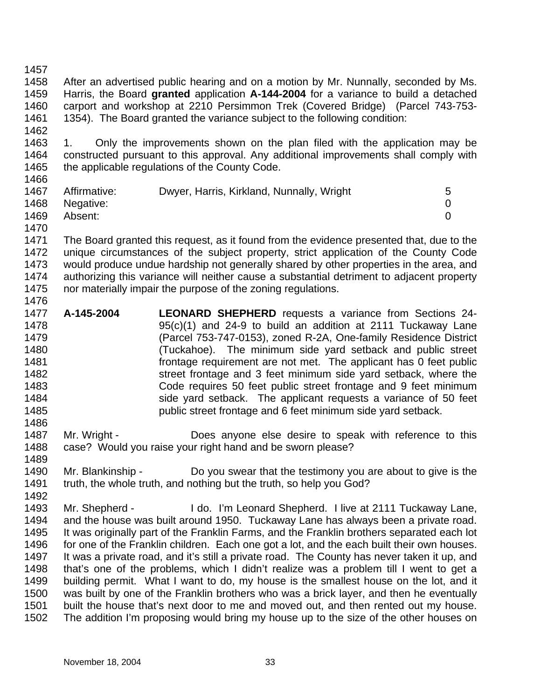1462

1458 1459 1460 1461 After an advertised public hearing and on a motion by Mr. Nunnally, seconded by Ms. Harris, the Board **granted** application **A-144-2004** for a variance to build a detached carport and workshop at 2210 Persimmon Trek (Covered Bridge) (Parcel 743-753- 1354). The Board granted the variance subject to the following condition:

1463 1464 1465 1466 1. Only the improvements shown on the plan filed with the application may be constructed pursuant to this approval. Any additional improvements shall comply with the applicable regulations of the County Code.

1470

1486

1471 1472 1473 1474 1475 1476 The Board granted this request, as it found from the evidence presented that, due to the unique circumstances of the subject property, strict application of the County Code would produce undue hardship not generally shared by other properties in the area, and authorizing this variance will neither cause a substantial detriment to adjacent property nor materially impair the purpose of the zoning regulations.

- 1477 1478 1479 1480 1481 1482 1483 1484 1485 **A-145-2004 LEONARD SHEPHERD** requests a variance from Sections 24- 95(c)(1) and 24-9 to build an addition at 2111 Tuckaway Lane (Parcel 753-747-0153), zoned R-2A, One-family Residence District (Tuckahoe). The minimum side yard setback and public street frontage requirement are not met. The applicant has 0 feet public street frontage and 3 feet minimum side yard setback, where the Code requires 50 feet public street frontage and 9 feet minimum side yard setback. The applicant requests a variance of 50 feet public street frontage and 6 feet minimum side yard setback.
- 1487 1488 Mr. Wright - **Does anyone else desire to speak with reference to this** case? Would you raise your right hand and be sworn please?
- 1489 1490 1491 Mr. Blankinship - Do you swear that the testimony you are about to give is the truth, the whole truth, and nothing but the truth, so help you God?

1492 1493 1494 1495 1496 1497 1498 1499 1500 1501 1502 Mr. Shepherd - I do. I'm Leonard Shepherd. I live at 2111 Tuckaway Lane, and the house was built around 1950. Tuckaway Lane has always been a private road. It was originally part of the Franklin Farms, and the Franklin brothers separated each lot for one of the Franklin children. Each one got a lot, and the each built their own houses. It was a private road, and it's still a private road. The County has never taken it up, and that's one of the problems, which I didn't realize was a problem till I went to get a building permit. What I want to do, my house is the smallest house on the lot, and it was built by one of the Franklin brothers who was a brick layer, and then he eventually built the house that's next door to me and moved out, and then rented out my house. The addition I'm proposing would bring my house up to the size of the other houses on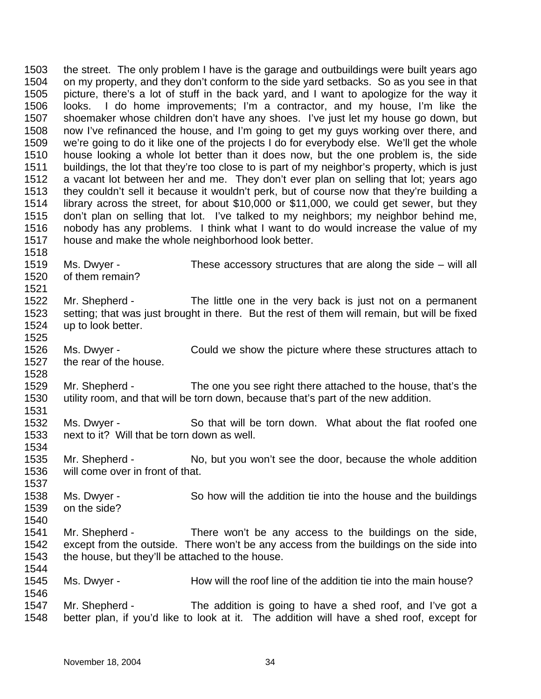1503 1504 1505 1506 1507 1508 1509 1510 1511 1512 1513 1514 1515 1516 1517 1518 the street. The only problem I have is the garage and outbuildings were built years ago on my property, and they don't conform to the side yard setbacks. So as you see in that picture, there's a lot of stuff in the back yard, and I want to apologize for the way it looks. I do home improvements; I'm a contractor, and my house, I'm like the shoemaker whose children don't have any shoes. I've just let my house go down, but now I've refinanced the house, and I'm going to get my guys working over there, and we're going to do it like one of the projects I do for everybody else. We'll get the whole house looking a whole lot better than it does now, but the one problem is, the side buildings, the lot that they're too close to is part of my neighbor's property, which is just a vacant lot between her and me. They don't ever plan on selling that lot; years ago they couldn't sell it because it wouldn't perk, but of course now that they're building a library across the street, for about \$10,000 or \$11,000, we could get sewer, but they don't plan on selling that lot. I've talked to my neighbors; my neighbor behind me, nobody has any problems. I think what I want to do would increase the value of my house and make the whole neighborhood look better.

- 1519 1520 Ms. Dwyer - These accessory structures that are along the side – will all of them remain?
- 1522 1523 1524 Mr. Shepherd - The little one in the very back is just not on a permanent setting; that was just brought in there. But the rest of them will remain, but will be fixed up to look better.
- 1526 1527 Ms. Dwyer - Could we show the picture where these structures attach to the rear of the house.
- 1529 1530 Mr. Shepherd - The one you see right there attached to the house, that's the utility room, and that will be torn down, because that's part of the new addition.
- 1532 1533 1534 Ms. Dwyer - So that will be torn down. What about the flat roofed one next to it? Will that be torn down as well.
- 1535 1536 Mr. Shepherd - No, but you won't see the door, because the whole addition will come over in front of that.
- 1538 1539 Ms. Dwyer - So how will the addition tie into the house and the buildings on the side?
- 1541 1542 1543 1544 Mr. Shepherd - There won't be any access to the buildings on the side, except from the outside. There won't be any access from the buildings on the side into the house, but they'll be attached to the house.
- 1545 1546 Ms. Dwyer - How will the roof line of the addition tie into the main house?
- 1547 1548 Mr. Shepherd - The addition is going to have a shed roof, and I've got a better plan, if you'd like to look at it. The addition will have a shed roof, except for

1521

1525

1528

1531

1537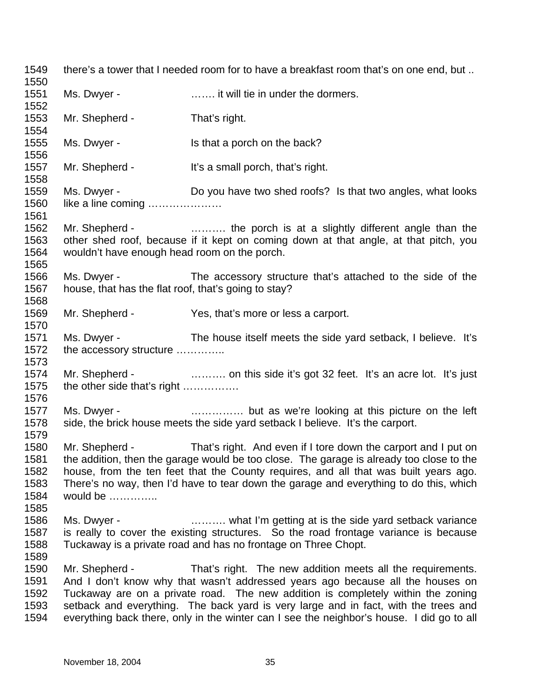1549 1550 1551 1552 1553 1554 1555 1556 1557 1558 1559 1560 1561 1562 1563 1564 1565 1566 1567 1568 1569 1570 1571 1572 1573 1574 1575 1576 1577 1578 1579 1580 1581 1582 1583 1584 1585 1586 1587 1588 1589 1590 1591 1592 1593 1594 there's a tower that I needed room for to have a breakfast room that's on one end, but .. Ms. Dwyer - **Example 20** ....... it will tie in under the dormers. Mr. Shepherd - That's right. Ms. Dwyer - Is that a porch on the back? Mr. Shepherd - It's a small porch, that's right. Ms. Dwyer - Do you have two shed roofs? Is that two angles, what looks like a line coming ………………… Mr. Shepherd - ............... the porch is at a slightly different angle than the other shed roof, because if it kept on coming down at that angle, at that pitch, you wouldn't have enough head room on the porch. Ms. Dwyer - The accessory structure that's attached to the side of the house, that has the flat roof, that's going to stay? Mr. Shepherd - Yes, that's more or less a carport. Ms. Dwyer - The house itself meets the side yard setback, I believe. It's the accessory structure ………….. Mr. Shepherd - ………. on this side it's got 32 feet. It's an acre lot. It's just the other side that's right ……………. Ms. Dwyer - **Example 20** ................ but as we're looking at this picture on the left side, the brick house meets the side yard setback I believe. It's the carport. Mr. Shepherd - That's right. And even if I tore down the carport and I put on the addition, then the garage would be too close. The garage is already too close to the house, from the ten feet that the County requires, and all that was built years ago. There's no way, then I'd have to tear down the garage and everything to do this, which would be ………….. Ms. Dwyer - **Example 2.1.**  $\ldots$  what I'm getting at is the side yard setback variance is really to cover the existing structures. So the road frontage variance is because Tuckaway is a private road and has no frontage on Three Chopt. Mr. Shepherd - That's right. The new addition meets all the requirements. And I don't know why that wasn't addressed years ago because all the houses on Tuckaway are on a private road. The new addition is completely within the zoning setback and everything. The back yard is very large and in fact, with the trees and everything back there, only in the winter can I see the neighbor's house. I did go to all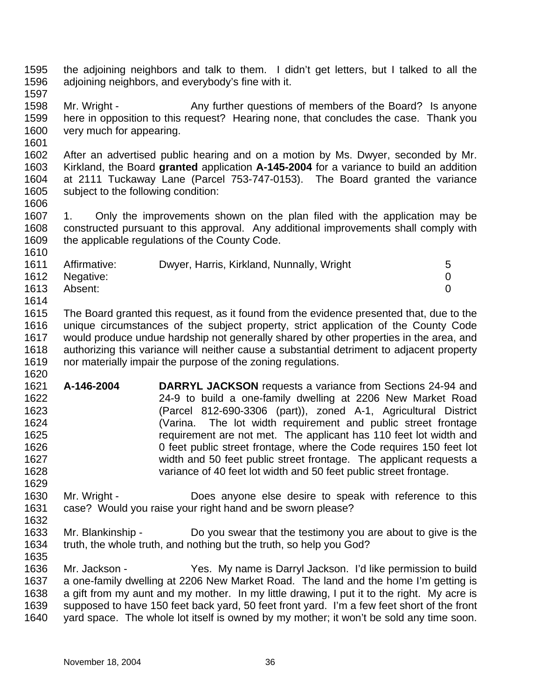- 1595 1596 the adjoining neighbors and talk to them. I didn't get letters, but I talked to all the adjoining neighbors, and everybody's fine with it.
- 1597
- 1598 1599 1600 Mr. Wright - Any further questions of members of the Board? Is anyone here in opposition to this request? Hearing none, that concludes the case. Thank you very much for appearing.
- 1601

- 1602 1603 1604 1605 1606 After an advertised public hearing and on a motion by Ms. Dwyer, seconded by Mr. Kirkland, the Board **granted** application **A-145-2004** for a variance to build an addition at 2111 Tuckaway Lane (Parcel 753-747-0153). The Board granted the variance subject to the following condition:
- 1607 1608 1609 1. Only the improvements shown on the plan filed with the application may be constructed pursuant to this approval. Any additional improvements shall comply with the applicable regulations of the County Code.

| 1611 | Affirmative:   | Dwyer, Harris, Kirkland, Nunnally, Wright | 5 |
|------|----------------|-------------------------------------------|---|
|      | 1612 Negative: |                                           |   |
| 1613 | Absent:        |                                           |   |
| 1614 |                |                                           |   |

- 1615 1616 1617 1618 1619 1620 The Board granted this request, as it found from the evidence presented that, due to the unique circumstances of the subject property, strict application of the County Code would produce undue hardship not generally shared by other properties in the area, and authorizing this variance will neither cause a substantial detriment to adjacent property nor materially impair the purpose of the zoning regulations.
- 1621 1622 1623 1624 1625 1626 1627 1628 1629 **A-146-2004 DARRYL JACKSON** requests a variance from Sections 24-94 and 24-9 to build a one-family dwelling at 2206 New Market Road (Parcel 812-690-3306 (part)), zoned A-1, Agricultural District (Varina. The lot width requirement and public street frontage requirement are not met. The applicant has 110 feet lot width and 0 feet public street frontage, where the Code requires 150 feet lot width and 50 feet public street frontage. The applicant requests a variance of 40 feet lot width and 50 feet public street frontage.
- 1630 1631 1632 Mr. Wright - **Does** anyone else desire to speak with reference to this case? Would you raise your right hand and be sworn please?
- 1633 1634 Mr. Blankinship - Do you swear that the testimony you are about to give is the truth, the whole truth, and nothing but the truth, so help you God?
- 1636 1637 1638 1639 1640 Mr. Jackson - Yes. My name is Darryl Jackson. I'd like permission to build a one-family dwelling at 2206 New Market Road. The land and the home I'm getting is a gift from my aunt and my mother. In my little drawing, I put it to the right. My acre is supposed to have 150 feet back yard, 50 feet front yard. I'm a few feet short of the front yard space. The whole lot itself is owned by my mother; it won't be sold any time soon.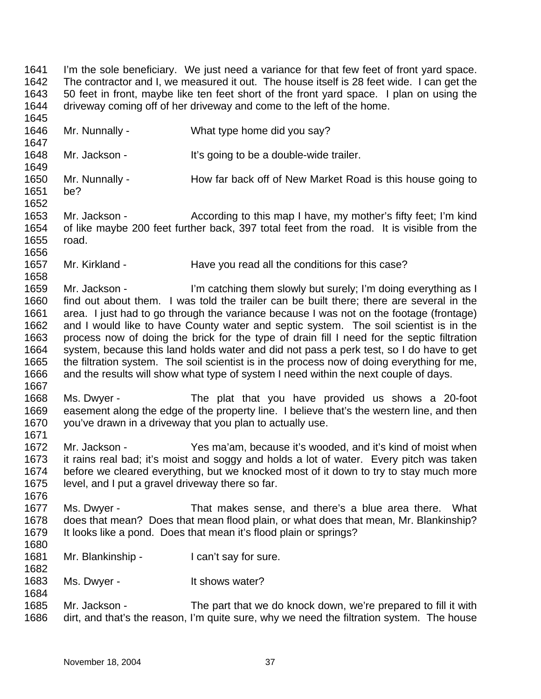1641 1642 1643 1644 1645 I'm the sole beneficiary. We just need a variance for that few feet of front yard space. The contractor and I, we measured it out. The house itself is 28 feet wide. I can get the 50 feet in front, maybe like ten feet short of the front yard space. I plan on using the driveway coming off of her driveway and come to the left of the home.

1646 1647 1648 1649 1650 1651 1652 1653 1654 1655 1656 1657 1658 1659 1660 1661 1662 1663 1664 1665 1666 1667 1668 1669 1670 1671 1672 1673 1674 1675 1676 1677 1678 1679 1680 1681 1682 1683 1684 1685 1686 Mr. Nunnally - What type home did you say? Mr. Jackson - It's going to be a double-wide trailer. Mr. Nunnally - How far back off of New Market Road is this house going to be? Mr. Jackson - According to this map I have, my mother's fifty feet; I'm kind of like maybe 200 feet further back, 397 total feet from the road. It is visible from the road. Mr. Kirkland - Have you read all the conditions for this case? Mr. Jackson - I'm catching them slowly but surely; I'm doing everything as I find out about them. I was told the trailer can be built there; there are several in the area. I just had to go through the variance because I was not on the footage (frontage) and I would like to have County water and septic system. The soil scientist is in the process now of doing the brick for the type of drain fill I need for the septic filtration system, because this land holds water and did not pass a perk test, so I do have to get the filtration system. The soil scientist is in the process now of doing everything for me, and the results will show what type of system I need within the next couple of days. Ms. Dwyer - The plat that you have provided us shows a 20-foot easement along the edge of the property line. I believe that's the western line, and then you've drawn in a driveway that you plan to actually use. Mr. Jackson - Yes ma'am, because it's wooded, and it's kind of moist when it rains real bad; it's moist and soggy and holds a lot of water. Every pitch was taken before we cleared everything, but we knocked most of it down to try to stay much more level, and I put a gravel driveway there so far. Ms. Dwyer - That makes sense, and there's a blue area there. What does that mean? Does that mean flood plain, or what does that mean, Mr. Blankinship? It looks like a pond. Does that mean it's flood plain or springs? Mr. Blankinship - I can't say for sure. Ms. Dwyer - The Music Shows water? Mr. Jackson - The part that we do knock down, we're prepared to fill it with dirt, and that's the reason, I'm quite sure, why we need the filtration system. The house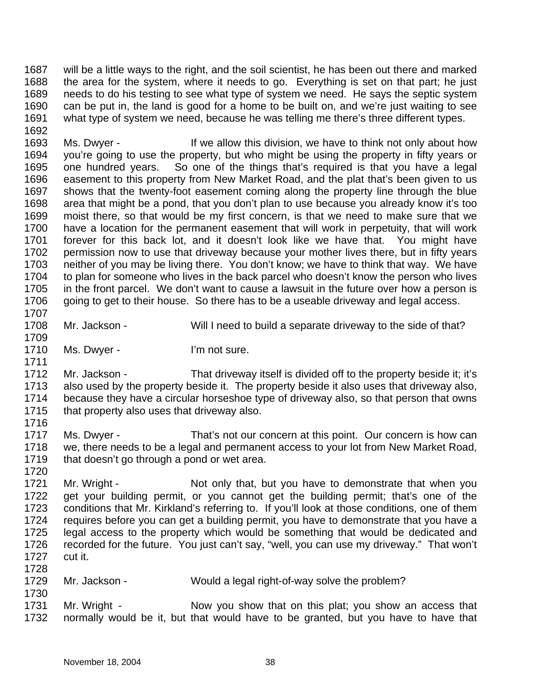1687 1688 1689 1690 1691 1692 will be a little ways to the right, and the soil scientist, he has been out there and marked the area for the system, where it needs to go. Everything is set on that part; he just needs to do his testing to see what type of system we need. He says the septic system can be put in, the land is good for a home to be built on, and we're just waiting to see what type of system we need, because he was telling me there's three different types.

1693 1694 1695 1696 1697 1698 1699 1700 1701 1702 1703 1704 1705 1706 1707 Ms. Dwyer - If we allow this division, we have to think not only about how you're going to use the property, but who might be using the property in fifty years or one hundred years. So one of the things that's required is that you have a legal easement to this property from New Market Road, and the plat that's been given to us shows that the twenty-foot easement coming along the property line through the blue area that might be a pond, that you don't plan to use because you already know it's too moist there, so that would be my first concern, is that we need to make sure that we have a location for the permanent easement that will work in perpetuity, that will work forever for this back lot, and it doesn't look like we have that. You might have permission now to use that driveway because your mother lives there, but in fifty years neither of you may be living there. You don't know; we have to think that way. We have to plan for someone who lives in the back parcel who doesn't know the person who lives in the front parcel. We don't want to cause a lawsuit in the future over how a person is going to get to their house. So there has to be a useable driveway and legal access.

- 1708 Mr. Jackson - Will I need to build a separate driveway to the side of that?
- 1710 Ms. Dwyer - I'm not sure.

1709

1711

1720

1730

1712 1713 1714 1715 1716 Mr. Jackson - That driveway itself is divided off to the property beside it; it's also used by the property beside it. The property beside it also uses that driveway also, because they have a circular horseshoe type of driveway also, so that person that owns that property also uses that driveway also.

1717 1718 1719 Ms. Dwyer - That's not our concern at this point. Our concern is how can we, there needs to be a legal and permanent access to your lot from New Market Road, that doesn't go through a pond or wet area.

1721 1722 1723 1724 1725 1726 1727 1728 Mr. Wright - Not only that, but you have to demonstrate that when you get your building permit, or you cannot get the building permit; that's one of the conditions that Mr. Kirkland's referring to. If you'll look at those conditions, one of them requires before you can get a building permit, you have to demonstrate that you have a legal access to the property which would be something that would be dedicated and recorded for the future. You just can't say, "well, you can use my driveway." That won't cut it.

- 1729 Mr. Jackson - Would a legal right-of-way solve the problem?
- 1731 1732 Mr. Wright - Now you show that on this plat; you show an access that normally would be it, but that would have to be granted, but you have to have that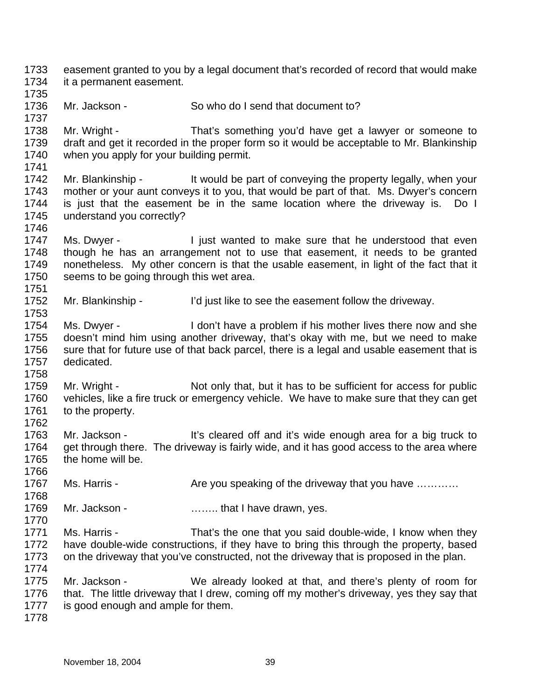1733 1734 1735 1736 1737 1738 1739 1740 1741 1742 1743 1744 1745 1746 1747 1748 1749 1750 1751 1752 1753 1754 1755 1756 1757 1758 1759 1760 1761 1762 1763 1764 1765 1766 1767 1768 1769 1770 1771 1772 1773 1774 1775 1776 1777 1778 easement granted to you by a legal document that's recorded of record that would make it a permanent easement. Mr. Jackson - So who do I send that document to? Mr. Wright - That's something you'd have get a lawyer or someone to draft and get it recorded in the proper form so it would be acceptable to Mr. Blankinship when you apply for your building permit. Mr. Blankinship - It would be part of conveying the property legally, when your mother or your aunt conveys it to you, that would be part of that. Ms. Dwyer's concern is just that the easement be in the same location where the driveway is. Do I understand you correctly? Ms. Dwyer - I just wanted to make sure that he understood that even though he has an arrangement not to use that easement, it needs to be granted nonetheless. My other concern is that the usable easement, in light of the fact that it seems to be going through this wet area. Mr. Blankinship - I'd just like to see the easement follow the driveway. Ms. Dwyer - I don't have a problem if his mother lives there now and she doesn't mind him using another driveway, that's okay with me, but we need to make sure that for future use of that back parcel, there is a legal and usable easement that is dedicated. Mr. Wright - Not only that, but it has to be sufficient for access for public vehicles, like a fire truck or emergency vehicle. We have to make sure that they can get to the property. Mr. Jackson - It's cleared off and it's wide enough area for a big truck to get through there. The driveway is fairly wide, and it has good access to the area where the home will be. Ms. Harris - Are you speaking of the driveway that you have ........... Mr. Jackson - **Example 20** ......... that I have drawn, yes. Ms. Harris - That's the one that you said double-wide, I know when they have double-wide constructions, if they have to bring this through the property, based on the driveway that you've constructed, not the driveway that is proposed in the plan. Mr. Jackson - We already looked at that, and there's plenty of room for that. The little driveway that I drew, coming off my mother's driveway, yes they say that is good enough and ample for them.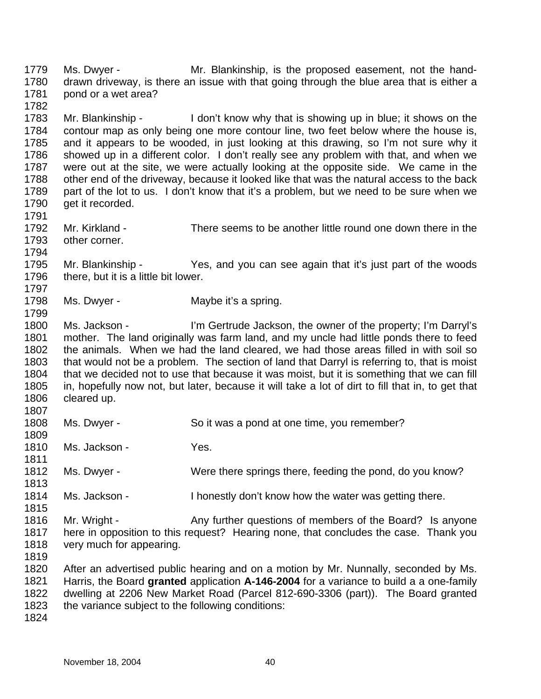1779 1780 1781 1782 1783 1784 1785 1786 1787 1788 1789 1790 1791 1792 1793 1794 1795 1796 1797 1798 1799 1800 1801 1802 1803 1804 1805 1806 1807 1808 1809 1810 1811 1812 1813 1814 1815 1816 1817 1818 1819 1820 1821 1822 1823 Ms. Dwyer - Mr. Blankinship, is the proposed easement, not the handdrawn driveway, is there an issue with that going through the blue area that is either a pond or a wet area? Mr. Blankinship - I don't know why that is showing up in blue; it shows on the contour map as only being one more contour line, two feet below where the house is, and it appears to be wooded, in just looking at this drawing, so I'm not sure why it showed up in a different color. I don't really see any problem with that, and when we were out at the site, we were actually looking at the opposite side. We came in the other end of the driveway, because it looked like that was the natural access to the back part of the lot to us. I don't know that it's a problem, but we need to be sure when we get it recorded. Mr. Kirkland - There seems to be another little round one down there in the other corner. Mr. Blankinship - Yes, and you can see again that it's just part of the woods there, but it is a little bit lower. Ms. Dwyer - Maybe it's a spring. Ms. Jackson - I'm Gertrude Jackson, the owner of the property; I'm Darryl's mother. The land originally was farm land, and my uncle had little ponds there to feed the animals. When we had the land cleared, we had those areas filled in with soil so that would not be a problem. The section of land that Darryl is referring to, that is moist that we decided not to use that because it was moist, but it is something that we can fill in, hopefully now not, but later, because it will take a lot of dirt to fill that in, to get that cleared up. Ms. Dwyer - So it was a pond at one time, you remember? Ms. Jackson - Yes. Ms. Dwyer - Were there springs there, feeding the pond, do you know? Ms. Jackson - I honestly don't know how the water was getting there. Mr. Wright - Any further questions of members of the Board? Is anyone here in opposition to this request? Hearing none, that concludes the case. Thank you very much for appearing. After an advertised public hearing and on a motion by Mr. Nunnally, seconded by Ms. Harris, the Board **granted** application **A-146-2004** for a variance to build a a one-family dwelling at 2206 New Market Road (Parcel 812-690-3306 (part)). The Board granted the variance subject to the following conditions: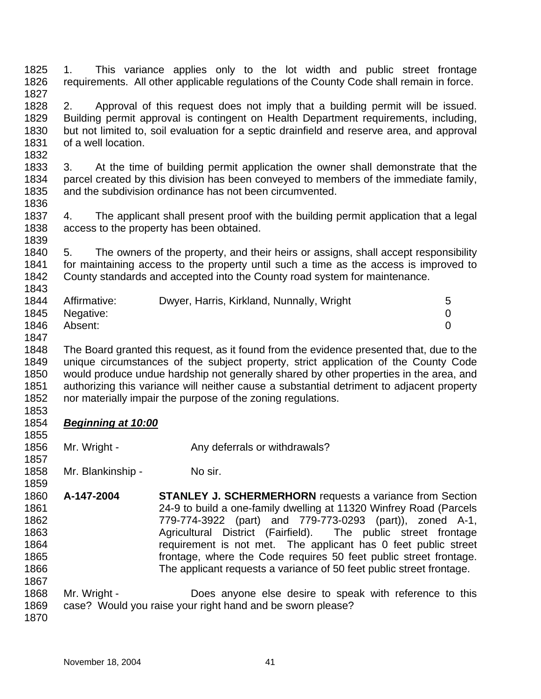- 1825 1826 1827 1. This variance applies only to the lot width and public street frontage requirements. All other applicable regulations of the County Code shall remain in force.
- 1828 1829 1830 1831 2. Approval of this request does not imply that a building permit will be issued. Building permit approval is contingent on Health Department requirements, including, but not limited to, soil evaluation for a septic drainfield and reserve area, and approval of a well location.
- 1833 1834 1835 3. At the time of building permit application the owner shall demonstrate that the parcel created by this division has been conveyed to members of the immediate family, and the subdivision ordinance has not been circumvented.
- 1837 1838 1839 4. The applicant shall present proof with the building permit application that a legal access to the property has been obtained.
- 1840 1841 1842 1843 5. The owners of the property, and their heirs or assigns, shall accept responsibility for maintaining access to the property until such a time as the access is improved to County standards and accepted into the County road system for maintenance.

| 1844 | Affirmative:   | Dwyer, Harris, Kirkland, Nunnally, Wright |  |
|------|----------------|-------------------------------------------|--|
|      | 1845 Negative: |                                           |  |
| 1846 | Absent:        |                                           |  |

1832

1836

1848 1849 1850 1851 1852 1853 The Board granted this request, as it found from the evidence presented that, due to the unique circumstances of the subject property, strict application of the County Code would produce undue hardship not generally shared by other properties in the area, and authorizing this variance will neither cause a substantial detriment to adjacent property nor materially impair the purpose of the zoning regulations.

## 1854 *Beginning at 10:00*

1856 Mr. Wright - Any deferrals or withdrawals?

1858 Mr. Blankinship - No sir.

- 1860 1861 1862 1863 1864 1865 1866 1867 **A-147-2004 STANLEY J. SCHERMERHORN** requests a variance from Section 24-9 to build a one-family dwelling at 11320 Winfrey Road (Parcels 779-774-3922 (part) and 779-773-0293 (part)), zoned A-1, Agricultural District (Fairfield). The public street frontage requirement is not met. The applicant has 0 feet public street frontage, where the Code requires 50 feet public street frontage. The applicant requests a variance of 50 feet public street frontage.
- 1868 1869 Mr. Wright - **Does anyone else desire to speak with reference to this** case? Would you raise your right hand and be sworn please?
- 1870

1855

1857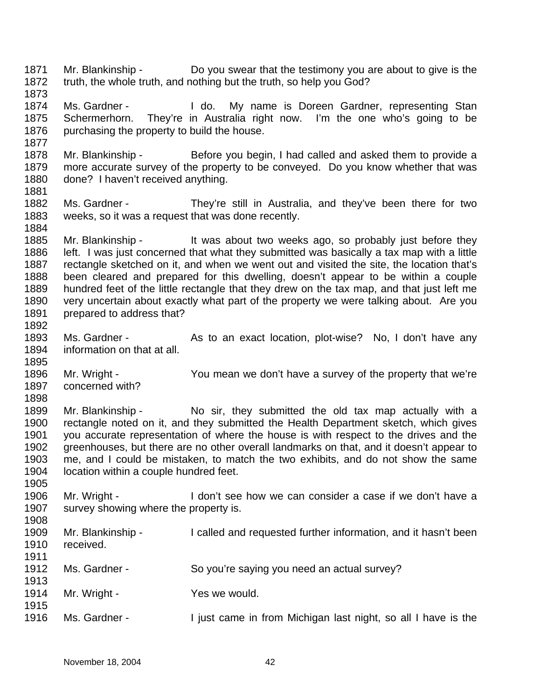1871 1872 1873 1874 1875 1876 1877 1878 1879 1880 1881 1882 1883 1884 1885 1886 1887 1888 1889 1890 1891 1892 1893 1894 1895 1896 1897 1898 1899 1900 1901 1902 1903 1904 1905 1906 1907 1908 1909 1910 1911 1912 1913 1914 1915 1916 Mr. Blankinship - Do you swear that the testimony you are about to give is the truth, the whole truth, and nothing but the truth, so help you God? Ms. Gardner - The Letter My name is Doreen Gardner, representing Stan Schermerhorn. They're in Australia right now. I'm the one who's going to be purchasing the property to build the house. Mr. Blankinship - Before you begin, I had called and asked them to provide a more accurate survey of the property to be conveyed. Do you know whether that was done? I haven't received anything. Ms. Gardner - They're still in Australia, and they've been there for two weeks, so it was a request that was done recently. Mr. Blankinship - It was about two weeks ago, so probably just before they left. I was just concerned that what they submitted was basically a tax map with a little rectangle sketched on it, and when we went out and visited the site, the location that's been cleared and prepared for this dwelling, doesn't appear to be within a couple hundred feet of the little rectangle that they drew on the tax map, and that just left me very uncertain about exactly what part of the property we were talking about. Are you prepared to address that? Ms. Gardner - As to an exact location, plot-wise? No, I don't have any information on that at all. Mr. Wright - You mean we don't have a survey of the property that we're concerned with? Mr. Blankinship - No sir, they submitted the old tax map actually with a rectangle noted on it, and they submitted the Health Department sketch, which gives you accurate representation of where the house is with respect to the drives and the greenhouses, but there are no other overall landmarks on that, and it doesn't appear to me, and I could be mistaken, to match the two exhibits, and do not show the same location within a couple hundred feet. Mr. Wright - The I don't see how we can consider a case if we don't have a survey showing where the property is. Mr. Blankinship - I called and requested further information, and it hasn't been received. Ms. Gardner - So you're saying you need an actual survey? Mr. Wright - Yes we would. Ms. Gardner - I just came in from Michigan last night, so all I have is the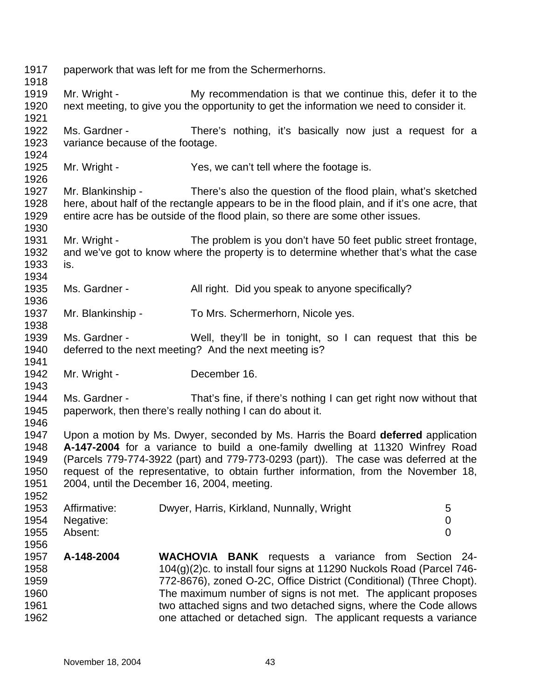| 1917<br>1918                                 |                                                                                                                                       | paperwork that was left for me from the Schermerhorns.                                                                                                                                                                                                                                                                                                                                                                       |  |
|----------------------------------------------|---------------------------------------------------------------------------------------------------------------------------------------|------------------------------------------------------------------------------------------------------------------------------------------------------------------------------------------------------------------------------------------------------------------------------------------------------------------------------------------------------------------------------------------------------------------------------|--|
| 1919<br>1920<br>1921                         | Mr. Wright -                                                                                                                          | My recommendation is that we continue this, defer it to the<br>next meeting, to give you the opportunity to get the information we need to consider it.                                                                                                                                                                                                                                                                      |  |
| 1922<br>1923<br>1924                         | Ms. Gardner -<br>variance because of the footage.                                                                                     | There's nothing, it's basically now just a request for a                                                                                                                                                                                                                                                                                                                                                                     |  |
| 1925<br>1926                                 | Mr. Wright -                                                                                                                          | Yes, we can't tell where the footage is.                                                                                                                                                                                                                                                                                                                                                                                     |  |
| 1927<br>1928<br>1929<br>1930                 |                                                                                                                                       | Mr. Blankinship - There's also the question of the flood plain, what's sketched<br>here, about half of the rectangle appears to be in the flood plain, and if it's one acre, that<br>entire acre has be outside of the flood plain, so there are some other issues.                                                                                                                                                          |  |
| 1931<br>1932<br>1933<br>1934                 | Mr. Wright -<br>is.                                                                                                                   | The problem is you don't have 50 feet public street frontage,<br>and we've got to know where the property is to determine whether that's what the case                                                                                                                                                                                                                                                                       |  |
| 1935<br>1936                                 | Ms. Gardner -                                                                                                                         | All right. Did you speak to anyone specifically?                                                                                                                                                                                                                                                                                                                                                                             |  |
| 1937<br>1938                                 | Mr. Blankinship -                                                                                                                     | To Mrs. Schermerhorn, Nicole yes.                                                                                                                                                                                                                                                                                                                                                                                            |  |
| 1939<br>1940<br>1941                         | Ms. Gardner -<br>Well, they'll be in tonight, so I can request that this be<br>deferred to the next meeting? And the next meeting is? |                                                                                                                                                                                                                                                                                                                                                                                                                              |  |
| 1942<br>1943                                 | Mr. Wright -                                                                                                                          | December 16.                                                                                                                                                                                                                                                                                                                                                                                                                 |  |
| 1944<br>1945<br>1946                         | Ms. Gardner -                                                                                                                         | That's fine, if there's nothing I can get right now without that<br>paperwork, then there's really nothing I can do about it.                                                                                                                                                                                                                                                                                                |  |
| 1947<br>1948<br>1949<br>1950<br>1951<br>1952 |                                                                                                                                       | Upon a motion by Ms. Dwyer, seconded by Ms. Harris the Board deferred application<br>A-147-2004 for a variance to build a one-family dwelling at 11320 Winfrey Road<br>(Parcels 779-774-3922 (part) and 779-773-0293 (part)). The case was deferred at the<br>request of the representative, to obtain further information, from the November 18,<br>2004, until the December 16, 2004, meeting.                             |  |
| 1953<br>1954<br>1955<br>1956                 | Affirmative:<br>Negative:<br>Absent:                                                                                                  | Dwyer, Harris, Kirkland, Nunnally, Wright<br>5<br>0<br>$\overline{0}$                                                                                                                                                                                                                                                                                                                                                        |  |
| 1957<br>1958<br>1959<br>1960<br>1961<br>1962 | A-148-2004                                                                                                                            | <b>WACHOVIA</b><br><b>BANK</b> requests a variance from Section 24-<br>104(g)(2)c. to install four signs at 11290 Nuckols Road (Parcel 746-<br>772-8676), zoned O-2C, Office District (Conditional) (Three Chopt).<br>The maximum number of signs is not met. The applicant proposes<br>two attached signs and two detached signs, where the Code allows<br>one attached or detached sign. The applicant requests a variance |  |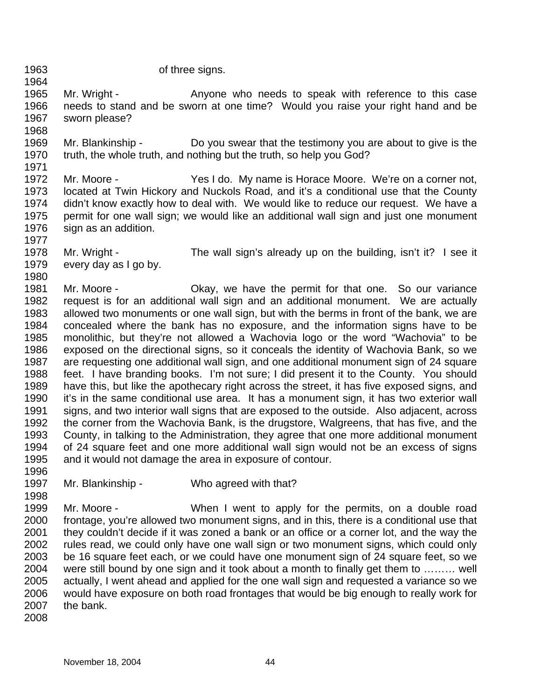1968

1980

of three signs.

1965 1966 1967 Mr. Wright - The Anyone who needs to speak with reference to this case needs to stand and be sworn at one time? Would you raise your right hand and be sworn please?

1969 1970 1971 Mr. Blankinship - Do you swear that the testimony you are about to give is the truth, the whole truth, and nothing but the truth, so help you God?

1972 1973 1974 1975 1976 1977 Mr. Moore - Yes I do. My name is Horace Moore. We're on a corner not, located at Twin Hickory and Nuckols Road, and it's a conditional use that the County didn't know exactly how to deal with. We would like to reduce our request. We have a permit for one wall sign; we would like an additional wall sign and just one monument sign as an addition.

1978 1979 Mr. Wright - The wall sign's already up on the building, isn't it? I see it every day as I go by.

1981 1982 1983 1984 1985 1986 1987 1988 1989 1990 1991 1992 1993 1994 1995 Mr. Moore - Chay, we have the permit for that one. So our variance request is for an additional wall sign and an additional monument. We are actually allowed two monuments or one wall sign, but with the berms in front of the bank, we are concealed where the bank has no exposure, and the information signs have to be monolithic, but they're not allowed a Wachovia logo or the word "Wachovia" to be exposed on the directional signs, so it conceals the identity of Wachovia Bank, so we are requesting one additional wall sign, and one additional monument sign of 24 square feet. I have branding books. I'm not sure; I did present it to the County. You should have this, but like the apothecary right across the street, it has five exposed signs, and it's in the same conditional use area. It has a monument sign, it has two exterior wall signs, and two interior wall signs that are exposed to the outside. Also adjacent, across the corner from the Wachovia Bank, is the drugstore, Walgreens, that has five, and the County, in talking to the Administration, they agree that one more additional monument of 24 square feet and one more additional wall sign would not be an excess of signs and it would not damage the area in exposure of contour.

1997 Mr. Blankinship - Who agreed with that?

1998 1999 2000 2001 2002 2003 2004 2005 2006 2007 Mr. Moore - **When I went to apply for the permits**, on a double road frontage, you're allowed two monument signs, and in this, there is a conditional use that they couldn't decide if it was zoned a bank or an office or a corner lot, and the way the rules read, we could only have one wall sign or two monument signs, which could only be 16 square feet each, or we could have one monument sign of 24 square feet, so we were still bound by one sign and it took about a month to finally get them to ……… well actually, I went ahead and applied for the one wall sign and requested a variance so we would have exposure on both road frontages that would be big enough to really work for the bank.

2008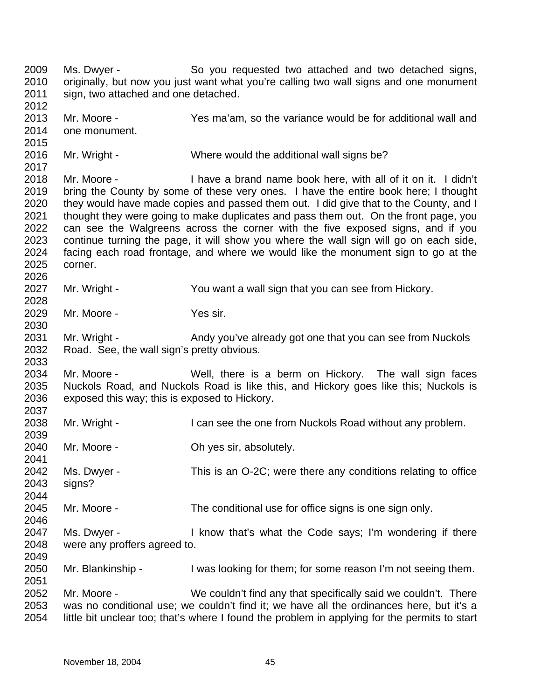2009 2010 2011 2012 2013 2014 2015 2016 2017 2018 2019 2020 2021 2022 2023 2024 2025 2026 2027 2028 2029 2030 2031 2032 2033 2034 2035 2036 2037 2038 2039 2040 2041 2042 2043 2044 2045 2046 2047 2048 2049 2050 2051 2052 2053 2054 Ms. Dwyer - So you requested two attached and two detached signs, originally, but now you just want what you're calling two wall signs and one monument sign, two attached and one detached. Mr. Moore - Yes ma'am, so the variance would be for additional wall and one monument. Mr. Wright - Where would the additional wall signs be? Mr. Moore - I have a brand name book here, with all of it on it. I didn't bring the County by some of these very ones. I have the entire book here; I thought they would have made copies and passed them out. I did give that to the County, and I thought they were going to make duplicates and pass them out. On the front page, you can see the Walgreens across the corner with the five exposed signs, and if you continue turning the page, it will show you where the wall sign will go on each side, facing each road frontage, and where we would like the monument sign to go at the corner. Mr. Wright - You want a wall sign that you can see from Hickory. Mr. Moore - Yes sir. Mr. Wright - Andy you've already got one that you can see from Nuckols Road. See, the wall sign's pretty obvious. Mr. Moore - Well, there is a berm on Hickory. The wall sign faces Nuckols Road, and Nuckols Road is like this, and Hickory goes like this; Nuckols is exposed this way; this is exposed to Hickory. Mr. Wright - I can see the one from Nuckols Road without any problem. Mr. Moore - Chives sir, absolutely. Ms. Dwyer - This is an O-2C; were there any conditions relating to office signs? Mr. Moore - The conditional use for office signs is one sign only. Ms. Dwyer - I know that's what the Code says; I'm wondering if there were any proffers agreed to. Mr. Blankinship - I was looking for them; for some reason I'm not seeing them. Mr. Moore - We couldn't find any that specifically said we couldn't. There was no conditional use; we couldn't find it; we have all the ordinances here, but it's a little bit unclear too; that's where I found the problem in applying for the permits to start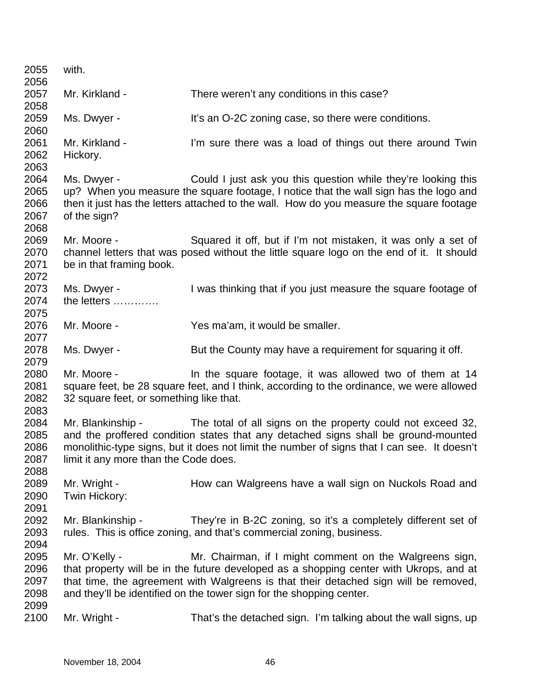| 2055 | with.                                                                                    |                                                                                             |  |
|------|------------------------------------------------------------------------------------------|---------------------------------------------------------------------------------------------|--|
| 2056 |                                                                                          |                                                                                             |  |
| 2057 | Mr. Kirkland -                                                                           | There weren't any conditions in this case?                                                  |  |
| 2058 |                                                                                          |                                                                                             |  |
| 2059 | Ms. Dwyer -                                                                              | It's an O-2C zoning case, so there were conditions.                                         |  |
| 2060 |                                                                                          |                                                                                             |  |
| 2061 | Mr. Kirkland -                                                                           | I'm sure there was a load of things out there around Twin                                   |  |
| 2062 | Hickory.                                                                                 |                                                                                             |  |
| 2063 |                                                                                          |                                                                                             |  |
| 2064 | Ms. Dwyer -                                                                              | Could I just ask you this question while they're looking this                               |  |
| 2065 |                                                                                          | up? When you measure the square footage, I notice that the wall sign has the logo and       |  |
| 2066 | then it just has the letters attached to the wall. How do you measure the square footage |                                                                                             |  |
| 2067 | of the sign?                                                                             |                                                                                             |  |
| 2068 |                                                                                          |                                                                                             |  |
| 2069 | Mr. Moore -                                                                              | Squared it off, but if I'm not mistaken, it was only a set of                               |  |
| 2070 |                                                                                          | channel letters that was posed without the little square logo on the end of it. It should   |  |
| 2071 | be in that framing book.                                                                 |                                                                                             |  |
| 2072 |                                                                                          |                                                                                             |  |
| 2073 | Ms. Dwyer -                                                                              | I was thinking that if you just measure the square footage of                               |  |
| 2074 | the letters                                                                              |                                                                                             |  |
| 2075 |                                                                                          |                                                                                             |  |
| 2076 | Mr. Moore -                                                                              | Yes ma'am, it would be smaller.                                                             |  |
| 2077 |                                                                                          |                                                                                             |  |
| 2078 | Ms. Dwyer -                                                                              | But the County may have a requirement for squaring it off.                                  |  |
| 2079 |                                                                                          |                                                                                             |  |
| 2080 | Mr. Moore -                                                                              | In the square footage, it was allowed two of them at 14                                     |  |
| 2081 |                                                                                          | square feet, be 28 square feet, and I think, according to the ordinance, we were allowed    |  |
| 2082 | 32 square feet, or something like that.                                                  |                                                                                             |  |
| 2083 |                                                                                          |                                                                                             |  |
| 2084 | Mr. Blankinship -                                                                        | The total of all signs on the property could not exceed 32,                                 |  |
| 2085 |                                                                                          |                                                                                             |  |
| 2086 |                                                                                          | and the proffered condition states that any detached signs shall be ground-mounted          |  |
|      |                                                                                          | monolithic-type signs, but it does not limit the number of signs that I can see. It doesn't |  |
| 2087 | limit it any more than the Code does.                                                    |                                                                                             |  |
| 2088 |                                                                                          |                                                                                             |  |
| 2089 | Mr. Wright -                                                                             | How can Walgreens have a wall sign on Nuckols Road and                                      |  |
| 2090 | Twin Hickory:                                                                            |                                                                                             |  |
| 2091 |                                                                                          |                                                                                             |  |
| 2092 | Mr. Blankinship -                                                                        | They're in B-2C zoning, so it's a completely different set of                               |  |
| 2093 |                                                                                          | rules. This is office zoning, and that's commercial zoning, business.                       |  |
| 2094 |                                                                                          |                                                                                             |  |
| 2095 | Mr. O'Kelly -                                                                            | Mr. Chairman, if I might comment on the Walgreens sign,                                     |  |
| 2096 |                                                                                          | that property will be in the future developed as a shopping center with Ukrops, and at      |  |
| 2097 |                                                                                          | that time, the agreement with Walgreens is that their detached sign will be removed,        |  |
| 2098 |                                                                                          | and they'll be identified on the tower sign for the shopping center.                        |  |
| 2099 |                                                                                          |                                                                                             |  |
| 2100 | Mr. Wright -                                                                             | That's the detached sign. I'm talking about the wall signs, up                              |  |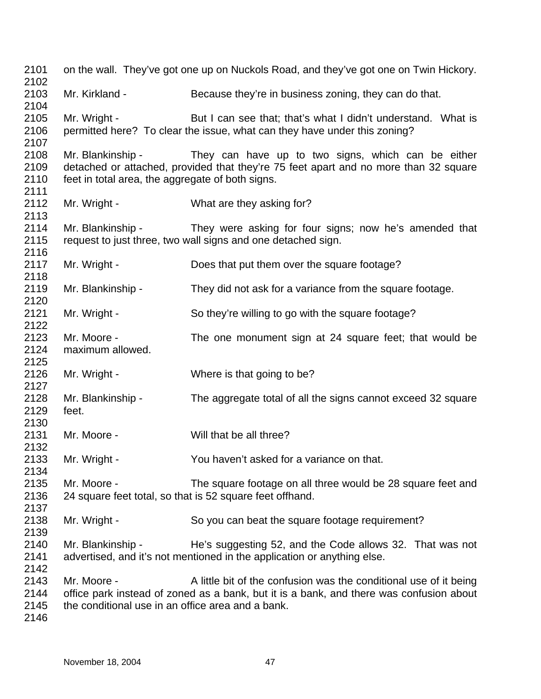| 2101<br>2102                 |                                                                       | on the wall. They've got one up on Nuckols Road, and they've got one on Twin Hickory.                                                                        |
|------------------------------|-----------------------------------------------------------------------|--------------------------------------------------------------------------------------------------------------------------------------------------------------|
| 2103<br>2104                 | Mr. Kirkland -                                                        | Because they're in business zoning, they can do that.                                                                                                        |
| 2105<br>2106<br>2107         | Mr. Wright -                                                          | But I can see that; that's what I didn't understand. What is<br>permitted here? To clear the issue, what can they have under this zoning?                    |
| 2108<br>2109<br>2110         | Mr. Blankinship -<br>feet in total area, the aggregate of both signs. | They can have up to two signs, which can be either<br>detached or attached, provided that they're 75 feet apart and no more than 32 square                   |
| 2111<br>2112<br>2113         | Mr. Wright -                                                          | What are they asking for?                                                                                                                                    |
| 2114<br>2115<br>2116         | Mr. Blankinship -                                                     | They were asking for four signs; now he's amended that<br>request to just three, two wall signs and one detached sign.                                       |
| 2117<br>2118                 | Mr. Wright -                                                          | Does that put them over the square footage?                                                                                                                  |
| 2119<br>2120                 | Mr. Blankinship -                                                     | They did not ask for a variance from the square footage.                                                                                                     |
| 2121<br>2122                 | Mr. Wright -                                                          | So they're willing to go with the square footage?                                                                                                            |
| 2123<br>2124<br>2125         | Mr. Moore -<br>maximum allowed.                                       | The one monument sign at 24 square feet; that would be                                                                                                       |
| 2126<br>2127                 | Mr. Wright -                                                          | Where is that going to be?                                                                                                                                   |
| 2128<br>2129<br>2130         | Mr. Blankinship -<br>feet.                                            | The aggregate total of all the signs cannot exceed 32 square                                                                                                 |
| 2131<br>2132                 | Mr. Moore -                                                           | Will that be all three?                                                                                                                                      |
| 2133<br>2134                 | Mr. Wright -                                                          | You haven't asked for a variance on that.                                                                                                                    |
| 2135<br>2136<br>2137         | Mr. Moore -                                                           | The square footage on all three would be 28 square feet and<br>24 square feet total, so that is 52 square feet offhand.                                      |
| 2138<br>2139                 | Mr. Wright -                                                          | So you can beat the square footage requirement?                                                                                                              |
| 2140<br>2141<br>2142         | Mr. Blankinship -                                                     | He's suggesting 52, and the Code allows 32. That was not<br>advertised, and it's not mentioned in the application or anything else.                          |
| 2143<br>2144<br>2145<br>2146 | Mr. Moore -<br>the conditional use in an office area and a bank.      | A little bit of the confusion was the conditional use of it being<br>office park instead of zoned as a bank, but it is a bank, and there was confusion about |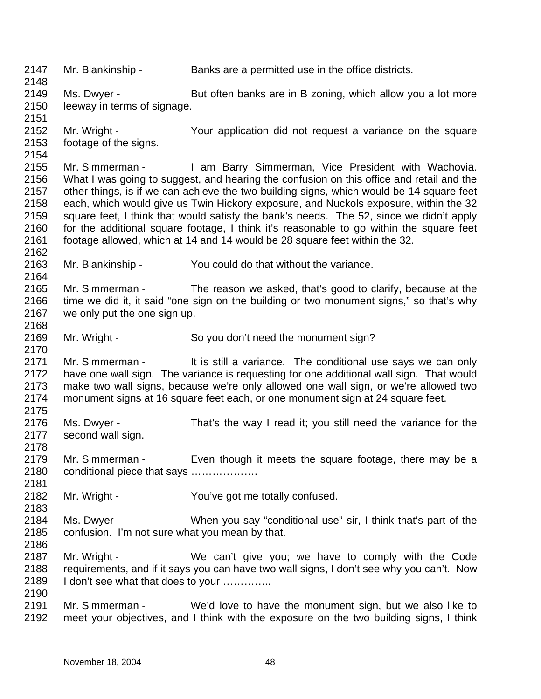2147 2148 2149 2150 2151 2152 2153 2154 2155 2156 2157 2158 2159 2160 2161 2162 2163 2164 2165 2166 2167 2168 2169 2170 2171 2172 2173 2174 2175 2176 2177 2178 2179 2180 2181 2182 2183 2184 2185 2186 2187 2188 2189 2190 2191 2192 Mr. Blankinship - Banks are a permitted use in the office districts. Ms. Dwyer - But often banks are in B zoning, which allow you a lot more leeway in terms of signage. Mr. Wright - The Your application did not request a variance on the square footage of the signs. Mr. Simmerman - I am Barry Simmerman, Vice President with Wachovia. What I was going to suggest, and hearing the confusion on this office and retail and the other things, is if we can achieve the two building signs, which would be 14 square feet each, which would give us Twin Hickory exposure, and Nuckols exposure, within the 32 square feet, I think that would satisfy the bank's needs. The 52, since we didn't apply for the additional square footage, I think it's reasonable to go within the square feet footage allowed, which at 14 and 14 would be 28 square feet within the 32. Mr. Blankinship - You could do that without the variance. Mr. Simmerman - The reason we asked, that's good to clarify, because at the time we did it, it said "one sign on the building or two monument signs," so that's why we only put the one sign up. Mr. Wright - So you don't need the monument sign? Mr. Simmerman - It is still a variance. The conditional use says we can only have one wall sign. The variance is requesting for one additional wall sign. That would make two wall signs, because we're only allowed one wall sign, or we're allowed two monument signs at 16 square feet each, or one monument sign at 24 square feet. Ms. Dwyer - That's the way I read it; you still need the variance for the second wall sign. Mr. Simmerman - Even though it meets the square footage, there may be a conditional piece that says ………………. Mr. Wright - You've got me totally confused. Ms. Dwyer - When you say "conditional use" sir, I think that's part of the confusion. I'm not sure what you mean by that. Mr. Wright - We can't give you; we have to comply with the Code requirements, and if it says you can have two wall signs, I don't see why you can't. Now I don't see what that does to your .............. Mr. Simmerman - We'd love to have the monument sign, but we also like to meet your objectives, and I think with the exposure on the two building signs, I think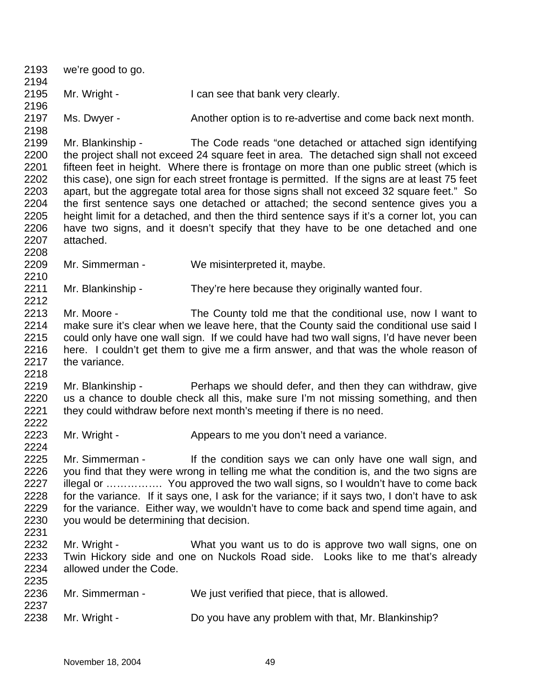| 2193<br>2194                                                                 | we're good to go.                                                                                                                                                                                                                                                                                                                                                                                                                                                                                                                                                                                                                                                                                                                                       |                                                                                                                                                                                                                          |  |  |  |
|------------------------------------------------------------------------------|---------------------------------------------------------------------------------------------------------------------------------------------------------------------------------------------------------------------------------------------------------------------------------------------------------------------------------------------------------------------------------------------------------------------------------------------------------------------------------------------------------------------------------------------------------------------------------------------------------------------------------------------------------------------------------------------------------------------------------------------------------|--------------------------------------------------------------------------------------------------------------------------------------------------------------------------------------------------------------------------|--|--|--|
| 2195<br>2196                                                                 | Mr. Wright -                                                                                                                                                                                                                                                                                                                                                                                                                                                                                                                                                                                                                                                                                                                                            | I can see that bank very clearly.                                                                                                                                                                                        |  |  |  |
| 2197<br>2198                                                                 | Ms. Dwyer -                                                                                                                                                                                                                                                                                                                                                                                                                                                                                                                                                                                                                                                                                                                                             | Another option is to re-advertise and come back next month.                                                                                                                                                              |  |  |  |
| 2199<br>2200<br>2201<br>2202<br>2203<br>2204<br>2205<br>2206<br>2207<br>2208 | Mr. Blankinship -<br>The Code reads "one detached or attached sign identifying<br>the project shall not exceed 24 square feet in area. The detached sign shall not exceed<br>fifteen feet in height. Where there is frontage on more than one public street (which is<br>this case), one sign for each street frontage is permitted. If the signs are at least 75 feet<br>apart, but the aggregate total area for those signs shall not exceed 32 square feet." So<br>the first sentence says one detached or attached; the second sentence gives you a<br>height limit for a detached, and then the third sentence says if it's a corner lot, you can<br>have two signs, and it doesn't specify that they have to be one detached and one<br>attached. |                                                                                                                                                                                                                          |  |  |  |
| 2209<br>2210                                                                 | Mr. Simmerman -                                                                                                                                                                                                                                                                                                                                                                                                                                                                                                                                                                                                                                                                                                                                         | We misinterpreted it, maybe.                                                                                                                                                                                             |  |  |  |
| 2211<br>2212                                                                 | Mr. Blankinship -                                                                                                                                                                                                                                                                                                                                                                                                                                                                                                                                                                                                                                                                                                                                       | They're here because they originally wanted four.                                                                                                                                                                        |  |  |  |
| 2213<br>2214<br>2215<br>2216<br>2217<br>2218                                 | Mr. Moore -<br>The County told me that the conditional use, now I want to<br>make sure it's clear when we leave here, that the County said the conditional use said I<br>could only have one wall sign. If we could have had two wall signs, I'd have never been<br>here. I couldn't get them to give me a firm answer, and that was the whole reason of<br>the variance.                                                                                                                                                                                                                                                                                                                                                                               |                                                                                                                                                                                                                          |  |  |  |
| 2219<br>2220<br>2221<br>2222                                                 | Mr. Blankinship -                                                                                                                                                                                                                                                                                                                                                                                                                                                                                                                                                                                                                                                                                                                                       | Perhaps we should defer, and then they can withdraw, give<br>us a chance to double check all this, make sure I'm not missing something, and then<br>they could withdraw before next month's meeting if there is no need. |  |  |  |
| 2223<br>2224                                                                 | Mr. Wright -                                                                                                                                                                                                                                                                                                                                                                                                                                                                                                                                                                                                                                                                                                                                            | Appears to me you don't need a variance.                                                                                                                                                                                 |  |  |  |
| 2225<br>2226<br>2227<br>2228<br>2229<br>2230<br>2231                         | Mr. Simmerman - If the condition says we can only have one wall sign, and<br>you find that they were wrong in telling me what the condition is, and the two signs are<br>illegal or  You approved the two wall signs, so I wouldn't have to come back<br>for the variance. If it says one, I ask for the variance; if it says two, I don't have to ask<br>for the variance. Either way, we wouldn't have to come back and spend time again, and<br>you would be determining that decision.                                                                                                                                                                                                                                                              |                                                                                                                                                                                                                          |  |  |  |
| 2232<br>2233<br>2234<br>2235                                                 | Mr. Wright -<br>allowed under the Code.                                                                                                                                                                                                                                                                                                                                                                                                                                                                                                                                                                                                                                                                                                                 | What you want us to do is approve two wall signs, one on<br>Twin Hickory side and one on Nuckols Road side. Looks like to me that's already                                                                              |  |  |  |
| 2236                                                                         | Mr. Simmerman -                                                                                                                                                                                                                                                                                                                                                                                                                                                                                                                                                                                                                                                                                                                                         | We just verified that piece, that is allowed.                                                                                                                                                                            |  |  |  |
| 2237<br>2238                                                                 | Mr. Wright -                                                                                                                                                                                                                                                                                                                                                                                                                                                                                                                                                                                                                                                                                                                                            | Do you have any problem with that, Mr. Blankinship?                                                                                                                                                                      |  |  |  |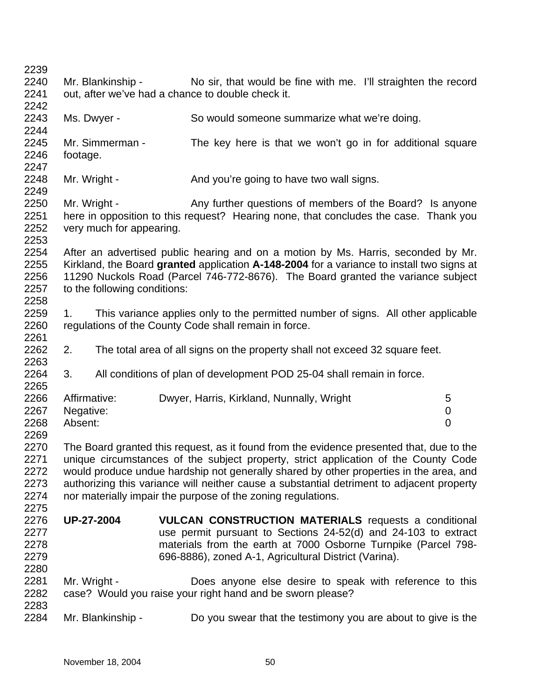2242

2249

2261

2263

2265

2275

- 2240 2241 Mr. Blankinship - No sir, that would be fine with me. I'll straighten the record out, after we've had a chance to double check it.
- 2243 2244 Ms. Dwyer - So would someone summarize what we're doing.
- 2245 2246 2247 Mr. Simmerman - The key here is that we won't go in for additional square footage.
- 2248 Mr. Wright - And you're going to have two wall signs.
- 2250 2251 2252 2253 Mr. Wright - Any further questions of members of the Board? Is anyone here in opposition to this request? Hearing none, that concludes the case. Thank you very much for appearing.
- 2254 2255 2256 2257 2258 After an advertised public hearing and on a motion by Ms. Harris, seconded by Mr. Kirkland, the Board **granted** application **A-148-2004** for a variance to install two signs at 11290 Nuckols Road (Parcel 746-772-8676). The Board granted the variance subject to the following conditions:
- 2259 2260 1. This variance applies only to the permitted number of signs. All other applicable regulations of the County Code shall remain in force.
- 2262 2. The total area of all signs on the property shall not exceed 32 square feet.
- 2264 3. All conditions of plan of development POD 25-04 shall remain in force.
- 2266 2267 2268 Affirmative: Dwyer, Harris, Kirkland, Nunnally, Wright 5 Negative: 0 Absent: 0
- 2269 2270 2271 2272 2273 2274 The Board granted this request, as it found from the evidence presented that, due to the unique circumstances of the subject property, strict application of the County Code would produce undue hardship not generally shared by other properties in the area, and authorizing this variance will neither cause a substantial detriment to adjacent property nor materially impair the purpose of the zoning regulations.
- 2276 2277 2278 2279 **UP-27-2004 VULCAN CONSTRUCTION MATERIALS** requests a conditional use permit pursuant to Sections 24-52(d) and 24-103 to extract materials from the earth at 7000 Osborne Turnpike (Parcel 798- 696-8886), zoned A-1, Agricultural District (Varina).
- 2281 2282 2283 Mr. Wright - **Does anyone else desire to speak with reference to this** case? Would you raise your right hand and be sworn please?
- 2284 Mr. Blankinship - Do you swear that the testimony you are about to give is the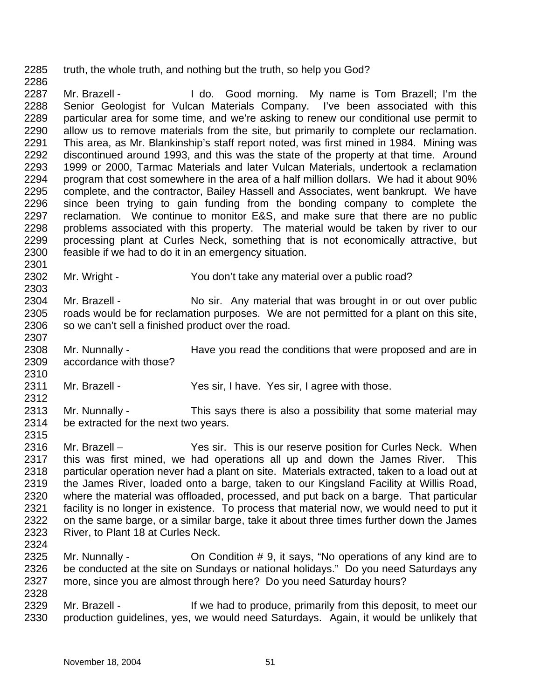2285 truth, the whole truth, and nothing but the truth, so help you God?

2286

2301

2303

2307

2310

2312

2315

2287 2288 2289 2290 2291 2292 2293 2294 2295 2296 2297 2298 2299 2300 Mr. Brazell - The Music Cood morning. My name is Tom Brazell; I'm the Senior Geologist for Vulcan Materials Company. I've been associated with this particular area for some time, and we're asking to renew our conditional use permit to allow us to remove materials from the site, but primarily to complete our reclamation. This area, as Mr. Blankinship's staff report noted, was first mined in 1984. Mining was discontinued around 1993, and this was the state of the property at that time. Around 1999 or 2000, Tarmac Materials and later Vulcan Materials, undertook a reclamation program that cost somewhere in the area of a half million dollars. We had it about 90% complete, and the contractor, Bailey Hassell and Associates, went bankrupt. We have since been trying to gain funding from the bonding company to complete the reclamation. We continue to monitor E&S, and make sure that there are no public problems associated with this property. The material would be taken by river to our processing plant at Curles Neck, something that is not economically attractive, but feasible if we had to do it in an emergency situation.

2302 Mr. Wright - You don't take any material over a public road?

2304 2305 2306 Mr. Brazell - No sir. Any material that was brought in or out over public roads would be for reclamation purposes. We are not permitted for a plant on this site, so we can't sell a finished product over the road.

2308 2309 Mr. Nunnally - Have you read the conditions that were proposed and are in accordance with those?

2311 Mr. Brazell - Yes sir, I have. Yes sir, I agree with those.

2313 2314 Mr. Nunnally - This says there is also a possibility that some material may be extracted for the next two years.

2316 2317 2318 2319 2320 2321 2322 2323 2324 Mr. Brazell – Yes sir. This is our reserve position for Curles Neck. When this was first mined, we had operations all up and down the James River. This particular operation never had a plant on site. Materials extracted, taken to a load out at the James River, loaded onto a barge, taken to our Kingsland Facility at Willis Road, where the material was offloaded, processed, and put back on a barge. That particular facility is no longer in existence. To process that material now, we would need to put it on the same barge, or a similar barge, take it about three times further down the James River, to Plant 18 at Curles Neck.

2325 2326 2327 2328 Mr. Nunnally - Ch Condition # 9, it says, "No operations of any kind are to be conducted at the site on Sundays or national holidays." Do you need Saturdays any more, since you are almost through here? Do you need Saturday hours?

2329 2330 Mr. Brazell - The State of the had to produce, primarily from this deposit, to meet our production guidelines, yes, we would need Saturdays. Again, it would be unlikely that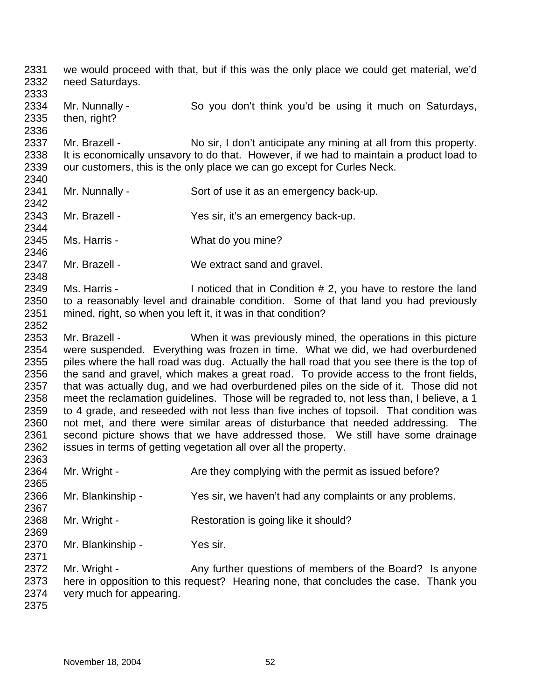2331 2332 2333 2334 2335 2336 2337 2338 2339 2340 2341 2342 2343 2344 2345 2346 2347 2348 2349 2350 2351 2352 2353 2354 2355 2356 2357 2358 2359 2360 2361 2362 2363 2364 2365 2366 2367 2368 2369 2370 2371 2372 2373 2374 2375 we would proceed with that, but if this was the only place we could get material, we'd need Saturdays. Mr. Nunnally - So you don't think you'd be using it much on Saturdays, then, right? Mr. Brazell - No sir, I don't anticipate any mining at all from this property. It is economically unsavory to do that. However, if we had to maintain a product load to our customers, this is the only place we can go except for Curles Neck. Mr. Nunnally - Sort of use it as an emergency back-up. Mr. Brazell - Yes sir, it's an emergency back-up. Ms. Harris - What do you mine? Mr. Brazell - We extract sand and gravel. Ms. Harris - Inoticed that in Condition # 2, you have to restore the land to a reasonably level and drainable condition. Some of that land you had previously mined, right, so when you left it, it was in that condition? Mr. Brazell - When it was previously mined, the operations in this picture were suspended. Everything was frozen in time. What we did, we had overburdened piles where the hall road was dug. Actually the hall road that you see there is the top of the sand and gravel, which makes a great road. To provide access to the front fields, that was actually dug, and we had overburdened piles on the side of it. Those did not meet the reclamation guidelines. Those will be regraded to, not less than, I believe, a 1 to 4 grade, and reseeded with not less than five inches of topsoil. That condition was not met, and there were similar areas of disturbance that needed addressing. The second picture shows that we have addressed those. We still have some drainage issues in terms of getting vegetation all over all the property. Mr. Wright - Are they complying with the permit as issued before? Mr. Blankinship - Yes sir, we haven't had any complaints or any problems. Mr. Wright - Restoration is going like it should? Mr. Blankinship - Yes sir. Mr. Wright - Any further questions of members of the Board? Is anyone here in opposition to this request? Hearing none, that concludes the case. Thank you very much for appearing.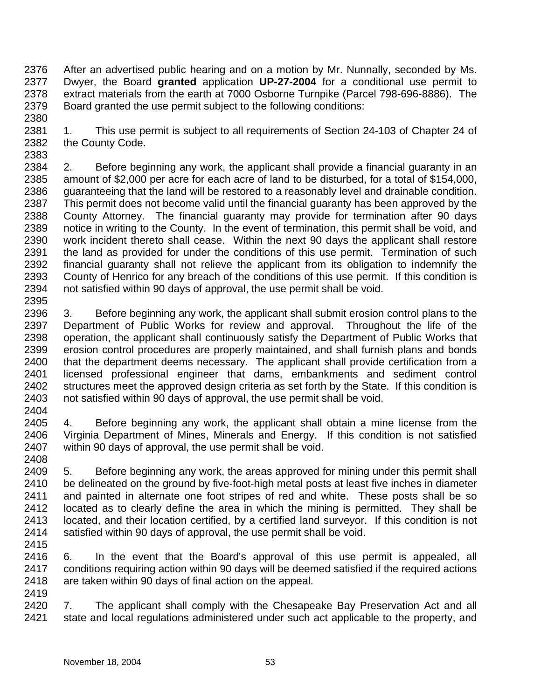2376 2377 2378 2379 2380 After an advertised public hearing and on a motion by Mr. Nunnally, seconded by Ms. Dwyer, the Board **granted** application **UP-27-2004** for a conditional use permit to extract materials from the earth at 7000 Osborne Turnpike (Parcel 798-696-8886). The Board granted the use permit subject to the following conditions:

2381 2382 1. This use permit is subject to all requirements of Section 24-103 of Chapter 24 of the County Code.

2383 2384 2385 2386 2387 2388 2389 2390 2391 2392 2393 2394 2395 2. Before beginning any work, the applicant shall provide a financial guaranty in an amount of \$2,000 per acre for each acre of land to be disturbed, for a total of \$154,000, guaranteeing that the land will be restored to a reasonably level and drainable condition. This permit does not become valid until the financial guaranty has been approved by the County Attorney. The financial guaranty may provide for termination after 90 days notice in writing to the County. In the event of termination, this permit shall be void, and work incident thereto shall cease. Within the next 90 days the applicant shall restore the land as provided for under the conditions of this use permit. Termination of such financial guaranty shall not relieve the applicant from its obligation to indemnify the County of Henrico for any breach of the conditions of this use permit. If this condition is not satisfied within 90 days of approval, the use permit shall be void.

- 2396 2397 2398 2399 2400 2401 2402 2403 3. Before beginning any work, the applicant shall submit erosion control plans to the Department of Public Works for review and approval. Throughout the life of the operation, the applicant shall continuously satisfy the Department of Public Works that erosion control procedures are properly maintained, and shall furnish plans and bonds that the department deems necessary. The applicant shall provide certification from a licensed professional engineer that dams, embankments and sediment control structures meet the approved design criteria as set forth by the State. If this condition is not satisfied within 90 days of approval, the use permit shall be void.
- 2404
- 2405 2406 2407 4. Before beginning any work, the applicant shall obtain a mine license from the Virginia Department of Mines, Minerals and Energy. If this condition is not satisfied within 90 days of approval, the use permit shall be void.
- 2408

2409 2410 2411 2412 2413 2414 5. Before beginning any work, the areas approved for mining under this permit shall be delineated on the ground by five-foot-high metal posts at least five inches in diameter and painted in alternate one foot stripes of red and white. These posts shall be so located as to clearly define the area in which the mining is permitted. They shall be located, and their location certified, by a certified land surveyor. If this condition is not satisfied within 90 days of approval, the use permit shall be void.

2415

2416 2417 2418 2419 6. In the event that the Board's approval of this use permit is appealed, all conditions requiring action within 90 days will be deemed satisfied if the required actions are taken within 90 days of final action on the appeal.

2420 2421 7. The applicant shall comply with the Chesapeake Bay Preservation Act and all state and local regulations administered under such act applicable to the property, and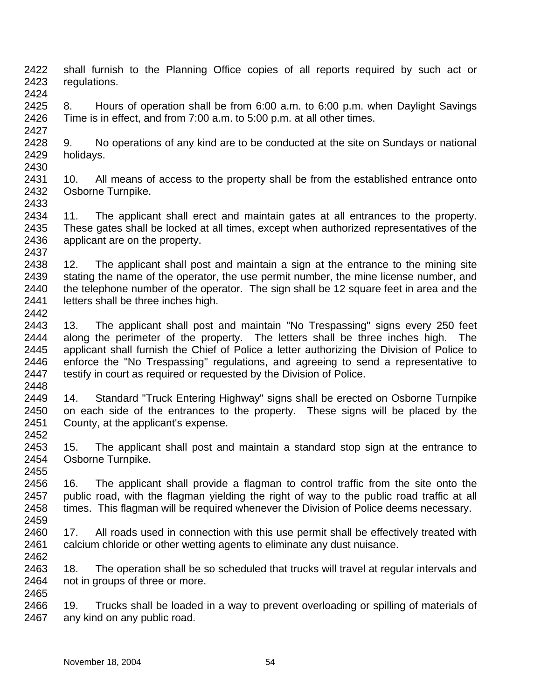- 2422 2423 2424 shall furnish to the Planning Office copies of all reports required by such act or regulations.
- 2425 2426 8. Hours of operation shall be from 6:00 a.m. to 6:00 p.m. when Daylight Savings Time is in effect, and from 7:00 a.m. to 5:00 p.m. at all other times.
- 2428 2429 2430 9. No operations of any kind are to be conducted at the site on Sundays or national holidays.
- 2431 2432 2433 10. All means of access to the property shall be from the established entrance onto Osborne Turnpike.
- 2434 2435 2436 2437 11. The applicant shall erect and maintain gates at all entrances to the property. These gates shall be locked at all times, except when authorized representatives of the applicant are on the property.
- 2438 2439 2440 2441 12. The applicant shall post and maintain a sign at the entrance to the mining site stating the name of the operator, the use permit number, the mine license number, and the telephone number of the operator. The sign shall be 12 square feet in area and the letters shall be three inches high.
- 2443 2444 2445 2446 2447 2448 13. The applicant shall post and maintain "No Trespassing" signs every 250 feet along the perimeter of the property. The letters shall be three inches high. The applicant shall furnish the Chief of Police a letter authorizing the Division of Police to enforce the "No Trespassing" regulations, and agreeing to send a representative to testify in court as required or requested by the Division of Police.
- 2449 2450 2451 14. Standard "Truck Entering Highway" signs shall be erected on Osborne Turnpike on each side of the entrances to the property. These signs will be placed by the County, at the applicant's expense.
- 2453 2454 15. The applicant shall post and maintain a standard stop sign at the entrance to Osborne Turnpike.
- 2456 2457 2458 2459 16. The applicant shall provide a flagman to control traffic from the site onto the public road, with the flagman yielding the right of way to the public road traffic at all times. This flagman will be required whenever the Division of Police deems necessary.
- 2460 2461 17. All roads used in connection with this use permit shall be effectively treated with calcium chloride or other wetting agents to eliminate any dust nuisance.
- 2463 2464 2465 18. The operation shall be so scheduled that trucks will travel at regular intervals and not in groups of three or more.
- 2466 2467 19. Trucks shall be loaded in a way to prevent overloading or spilling of materials of any kind on any public road.

2442

2452

2455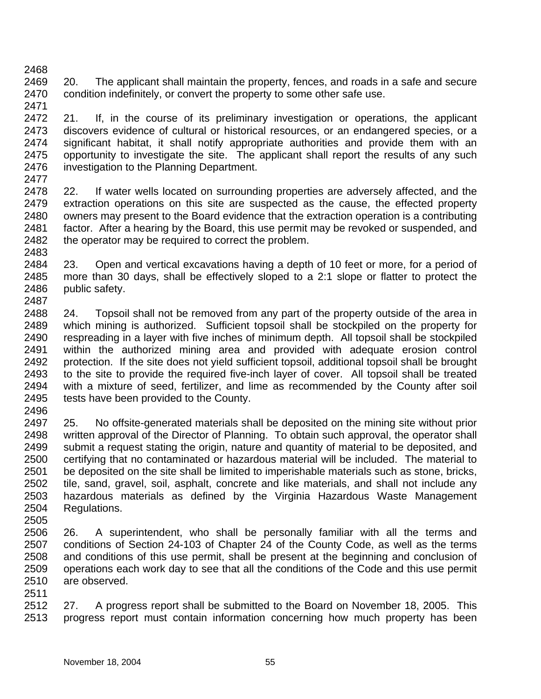2468 2469 2470 2471 20. The applicant shall maintain the property, fences, and roads in a safe and secure condition indefinitely, or convert the property to some other safe use.

2472 2473 2474 2475 2476 2477 21. If, in the course of its preliminary investigation or operations, the applicant discovers evidence of cultural or historical resources, or an endangered species, or a significant habitat, it shall notify appropriate authorities and provide them with an opportunity to investigate the site. The applicant shall report the results of any such investigation to the Planning Department.

2478 2479 2480 2481 2482 2483 22. If water wells located on surrounding properties are adversely affected, and the extraction operations on this site are suspected as the cause, the effected property owners may present to the Board evidence that the extraction operation is a contributing factor. After a hearing by the Board, this use permit may be revoked or suspended, and the operator may be required to correct the problem.

2484 2485 2486 2487 23. Open and vertical excavations having a depth of 10 feet or more, for a period of more than 30 days, shall be effectively sloped to a 2:1 slope or flatter to protect the public safety.

2488 2489 2490 2491 2492 2493 2494 2495 24. Topsoil shall not be removed from any part of the property outside of the area in which mining is authorized. Sufficient topsoil shall be stockpiled on the property for respreading in a layer with five inches of minimum depth. All topsoil shall be stockpiled within the authorized mining area and provided with adequate erosion control protection. If the site does not yield sufficient topsoil, additional topsoil shall be brought to the site to provide the required five-inch layer of cover. All topsoil shall be treated with a mixture of seed, fertilizer, and lime as recommended by the County after soil tests have been provided to the County.

2496

2497 2498 2499 2500 2501 2502 2503 2504 25. No offsite-generated materials shall be deposited on the mining site without prior written approval of the Director of Planning. To obtain such approval, the operator shall submit a request stating the origin, nature and quantity of material to be deposited, and certifying that no contaminated or hazardous material will be included. The material to be deposited on the site shall be limited to imperishable materials such as stone, bricks, tile, sand, gravel, soil, asphalt, concrete and like materials, and shall not include any hazardous materials as defined by the Virginia Hazardous Waste Management Regulations.

2505

2506 2507 2508 2509 2510 26. A superintendent, who shall be personally familiar with all the terms and conditions of Section 24-103 of Chapter 24 of the County Code, as well as the terms and conditions of this use permit, shall be present at the beginning and conclusion of operations each work day to see that all the conditions of the Code and this use permit are observed.

2511

2512 2513 27. A progress report shall be submitted to the Board on November 18, 2005. This progress report must contain information concerning how much property has been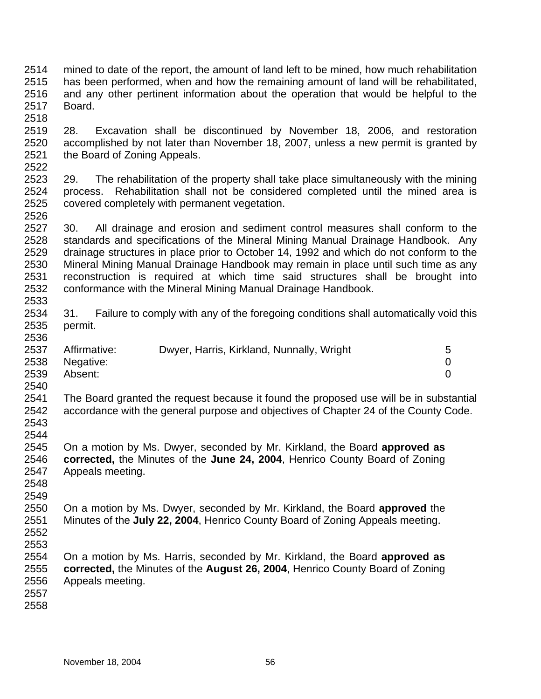- 2514 2515 2516 2517 2518 mined to date of the report, the amount of land left to be mined, how much rehabilitation has been performed, when and how the remaining amount of land will be rehabilitated, and any other pertinent information about the operation that would be helpful to the Board.
- 2519 2520 2521 2522 28. Excavation shall be discontinued by November 18, 2006, and restoration accomplished by not later than November 18, 2007, unless a new permit is granted by the Board of Zoning Appeals.
- 2523 2524 2525 29. The rehabilitation of the property shall take place simultaneously with the mining process. Rehabilitation shall not be considered completed until the mined area is covered completely with permanent vegetation.
- 2527 2528 2529 2530 2531 2532 2533 30. All drainage and erosion and sediment control measures shall conform to the standards and specifications of the Mineral Mining Manual Drainage Handbook. Any drainage structures in place prior to October 14, 1992 and which do not conform to the Mineral Mining Manual Drainage Handbook may remain in place until such time as any reconstruction is required at which time said structures shall be brought into conformance with the Mineral Mining Manual Drainage Handbook.
- 2534 2535 31. Failure to comply with any of the foregoing conditions shall automatically void this permit.
- 2537 2538 2539 Affirmative: Dwyer, Harris, Kirkland, Nunnally, Wright 5 Negative: 0 Absent: 0
- 2540 2541 2542 2543 The Board granted the request because it found the proposed use will be in substantial accordance with the general purpose and objectives of Chapter 24 of the County Code.
- 2544 2545 2546 2547 On a motion by Ms. Dwyer, seconded by Mr. Kirkland, the Board **approved as corrected,** the Minutes of the **June 24, 2004**, Henrico County Board of Zoning Appeals meeting.
- 2548 2549

- 2550 2551 2552 On a motion by Ms. Dwyer, seconded by Mr. Kirkland, the Board **approved** the Minutes of the **July 22, 2004**, Henrico County Board of Zoning Appeals meeting.
- 2553
- 2554 2555 2556 On a motion by Ms. Harris, seconded by Mr. Kirkland, the Board **approved as corrected,** the Minutes of the **August 26, 2004**, Henrico County Board of Zoning Appeals meeting.
- 2557
- 2558